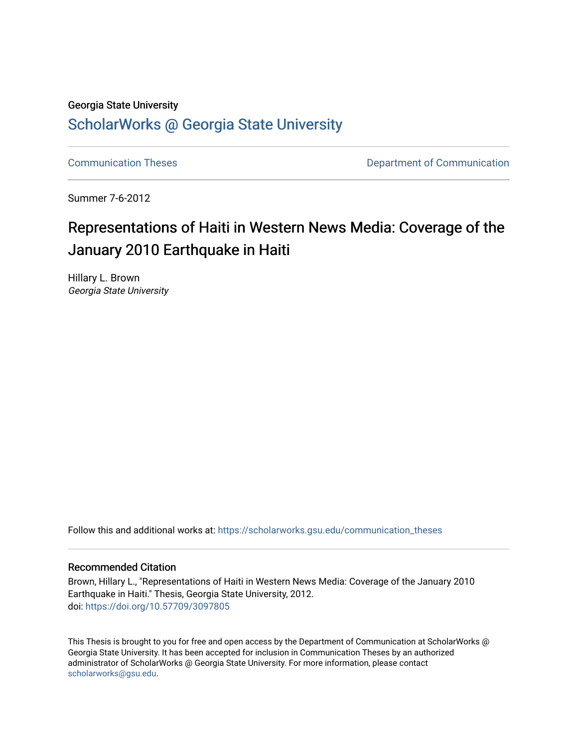## Georgia State University

## [ScholarWorks @ Georgia State University](https://scholarworks.gsu.edu/)

[Communication Theses](https://scholarworks.gsu.edu/communication_theses) **Communication Communication** 

Summer 7-6-2012

# Representations of Haiti in Western News Media: Coverage of the January 2010 Earthquake in Haiti

Hillary L. Brown Georgia State University

Follow this and additional works at: [https://scholarworks.gsu.edu/communication\\_theses](https://scholarworks.gsu.edu/communication_theses?utm_source=scholarworks.gsu.edu%2Fcommunication_theses%2F88&utm_medium=PDF&utm_campaign=PDFCoverPages) 

#### Recommended Citation

Brown, Hillary L., "Representations of Haiti in Western News Media: Coverage of the January 2010 Earthquake in Haiti." Thesis, Georgia State University, 2012. doi: <https://doi.org/10.57709/3097805>

This Thesis is brought to you for free and open access by the Department of Communication at ScholarWorks @ Georgia State University. It has been accepted for inclusion in Communication Theses by an authorized administrator of ScholarWorks @ Georgia State University. For more information, please contact [scholarworks@gsu.edu.](mailto:scholarworks@gsu.edu)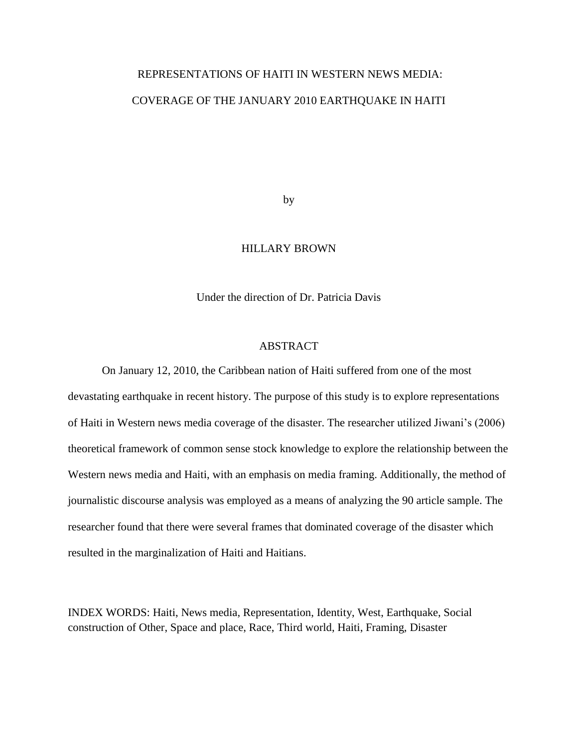# REPRESENTATIONS OF HAITI IN WESTERN NEWS MEDIA: COVERAGE OF THE JANUARY 2010 EARTHQUAKE IN HAITI

by

#### HILLARY BROWN

Under the direction of Dr. Patricia Davis

#### ABSTRACT

On January 12, 2010, the Caribbean nation of Haiti suffered from one of the most devastating earthquake in recent history. The purpose of this study is to explore representations of Haiti in Western news media coverage of the disaster. The researcher utilized Jiwani's (2006) theoretical framework of common sense stock knowledge to explore the relationship between the Western news media and Haiti, with an emphasis on media framing. Additionally, the method of journalistic discourse analysis was employed as a means of analyzing the 90 article sample. The researcher found that there were several frames that dominated coverage of the disaster which resulted in the marginalization of Haiti and Haitians.

INDEX WORDS: Haiti, News media, Representation, Identity, West, Earthquake, Social construction of Other, Space and place, Race, Third world, Haiti, Framing, Disaster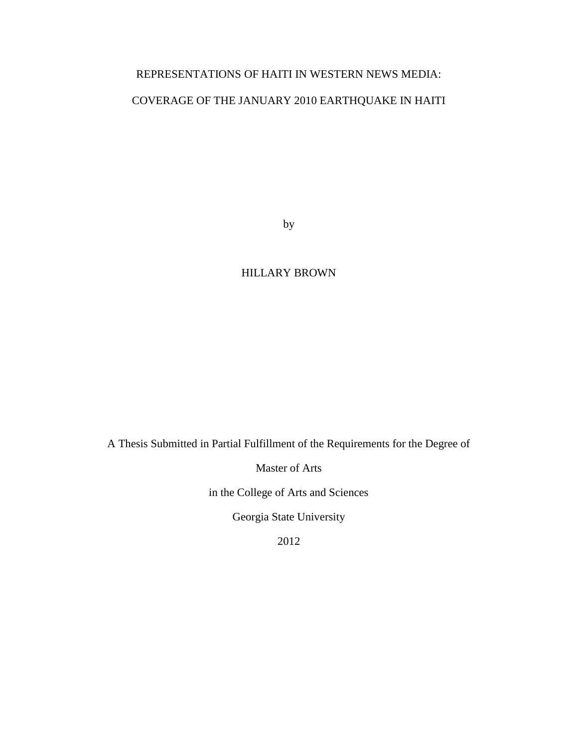## REPRESENTATIONS OF HAITI IN WESTERN NEWS MEDIA:

## COVERAGE OF THE JANUARY 2010 EARTHQUAKE IN HAITI

by

### HILLARY BROWN

A Thesis Submitted in Partial Fulfillment of the Requirements for the Degree of

Master of Arts

in the College of Arts and Sciences

Georgia State University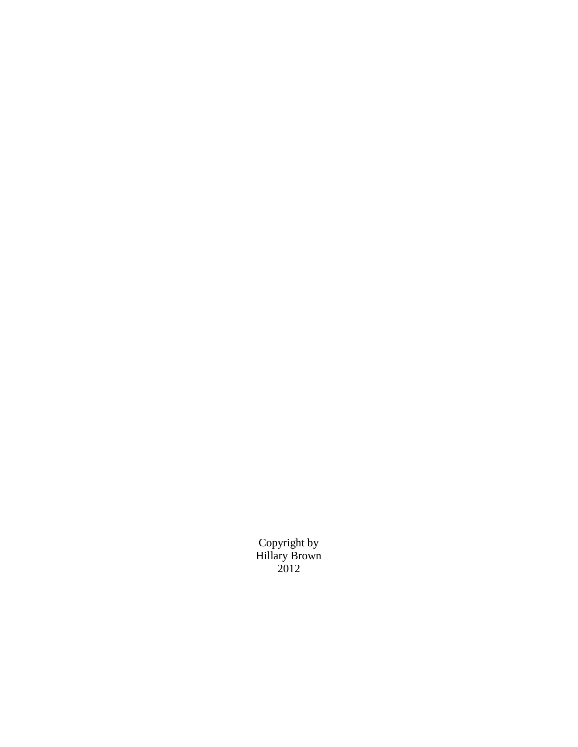Copyright by Hillary Brown 2012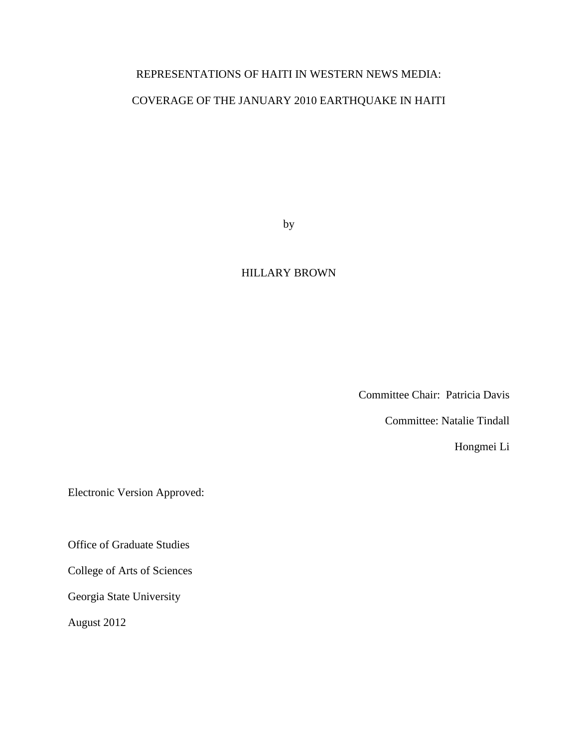## REPRESENTATIONS OF HAITI IN WESTERN NEWS MEDIA:

## COVERAGE OF THE JANUARY 2010 EARTHQUAKE IN HAITI

by

#### HILLARY BROWN

Committee Chair: Patricia Davis

Committee: Natalie Tindall

Hongmei Li

Electronic Version Approved:

Office of Graduate Studies

College of Arts of Sciences

Georgia State University

August 2012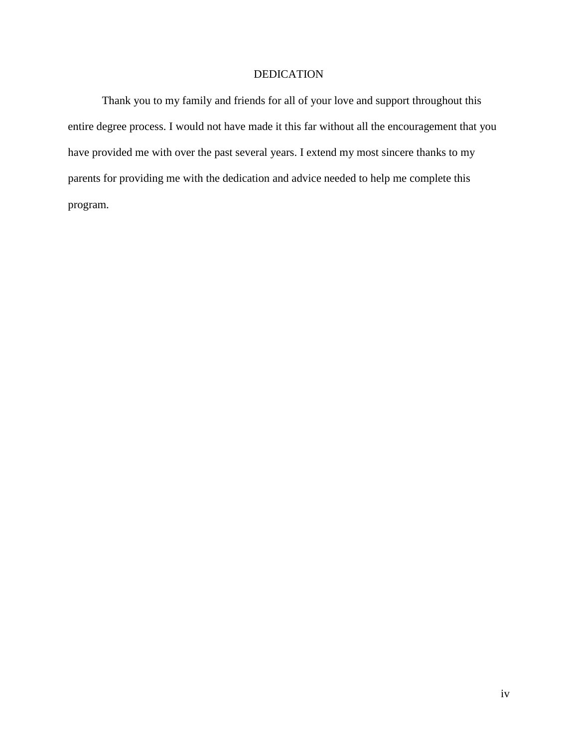#### DEDICATION

Thank you to my family and friends for all of your love and support throughout this entire degree process. I would not have made it this far without all the encouragement that you have provided me with over the past several years. I extend my most sincere thanks to my parents for providing me with the dedication and advice needed to help me complete this program.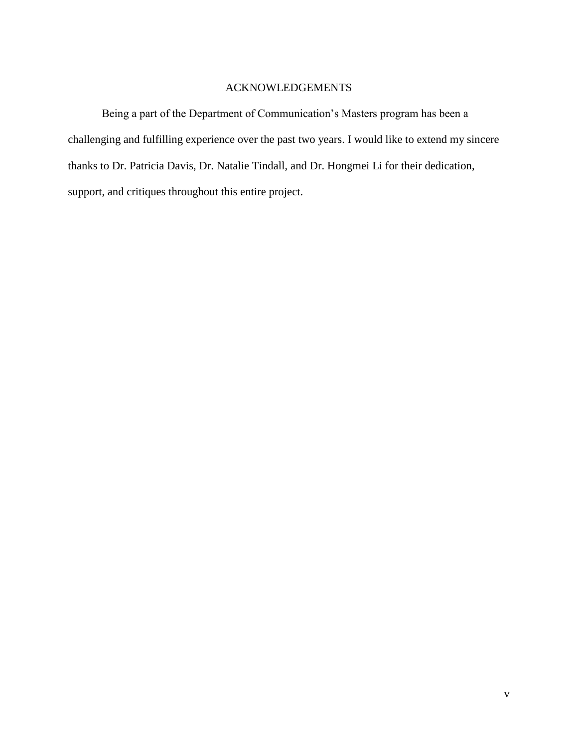### ACKNOWLEDGEMENTS

<span id="page-6-0"></span>Being a part of the Department of Communication's Masters program has been a challenging and fulfilling experience over the past two years. I would like to extend my sincere thanks to Dr. Patricia Davis, Dr. Natalie Tindall, and Dr. Hongmei Li for their dedication, support, and critiques throughout this entire project.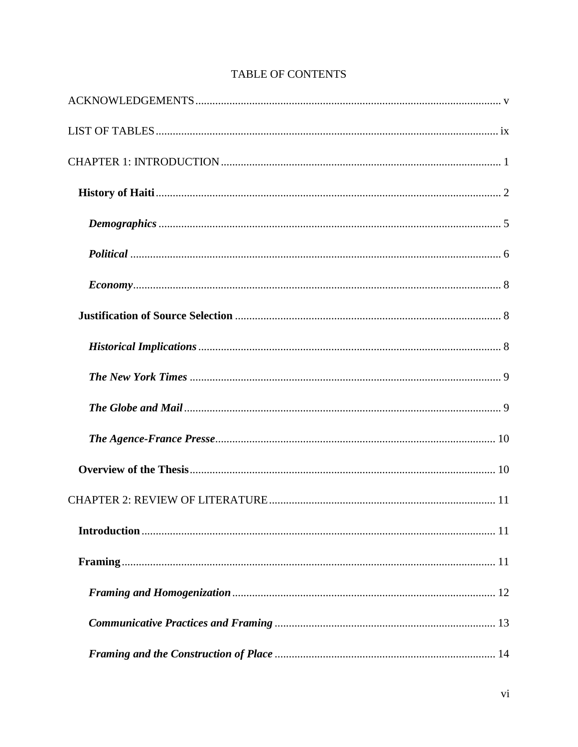## **TABLE OF CONTENTS**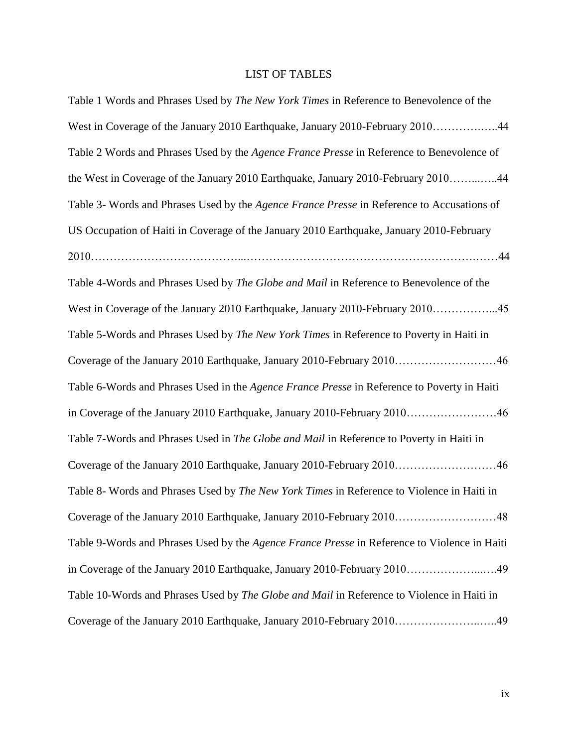## LIST OF TABLES

<span id="page-10-0"></span>

| Table 1 Words and Phrases Used by <i>The New York Times</i> in Reference to Benevolence of the    |
|---------------------------------------------------------------------------------------------------|
| West in Coverage of the January 2010 Earthquake, January 2010-February 201044                     |
| Table 2 Words and Phrases Used by the Agence France Presse in Reference to Benevolence of         |
| the West in Coverage of the January 2010 Earthquake, January 2010-February 201044                 |
| Table 3- Words and Phrases Used by the Agence France Presse in Reference to Accusations of        |
| US Occupation of Haiti in Coverage of the January 2010 Earthquake, January 2010-February          |
|                                                                                                   |
| Table 4-Words and Phrases Used by The Globe and Mail in Reference to Benevolence of the           |
| West in Coverage of the January 2010 Earthquake, January 2010-February 201045                     |
| Table 5-Words and Phrases Used by The New York Times in Reference to Poverty in Haiti in          |
| Coverage of the January 2010 Earthquake, January 2010-February 201046                             |
| Table 6-Words and Phrases Used in the Agence France Presse in Reference to Poverty in Haiti       |
| in Coverage of the January 2010 Earthquake, January 2010-February 201046                          |
| Table 7-Words and Phrases Used in The Globe and Mail in Reference to Poverty in Haiti in          |
| Coverage of the January 2010 Earthquake, January 2010-February 201046                             |
| Table 8- Words and Phrases Used by <i>The New York Times</i> in Reference to Violence in Haiti in |
| Coverage of the January 2010 Earthquake, January 2010-February 201048                             |
| Table 9-Words and Phrases Used by the Agence France Presse in Reference to Violence in Haiti      |
| in Coverage of the January 2010 Earthquake, January 2010-February 201049                          |
| Table 10-Words and Phrases Used by The Globe and Mail in Reference to Violence in Haiti in        |
| Coverage of the January 2010 Earthquake, January 2010-February 201049                             |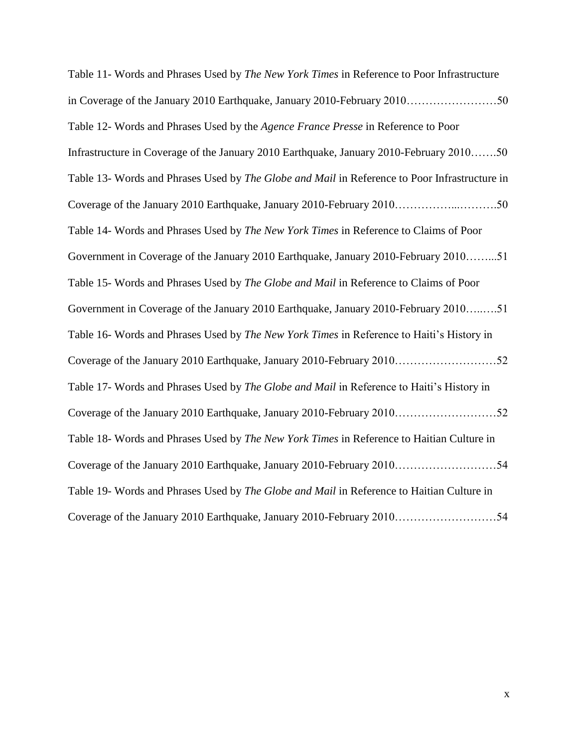Table 11- Words and Phrases Used by *The New York Times* in Reference to Poor Infrastructure in Coverage of the January 2010 Earthquake, January 2010-February 2010……………………50 Table 12- Words and Phrases Used by the *Agence France Presse* in Reference to Poor Infrastructure in Coverage of the January 2010 Earthquake, January 2010-February 2010…….50 Table 13- Words and Phrases Used by *The Globe and Mail* in Reference to Poor Infrastructure in Coverage of the January 2010 Earthquake, January 2010-February 2010……………...……….50 Table 14- Words and Phrases Used by *The New York Times* in Reference to Claims of Poor Government in Coverage of the January 2010 Earthquake, January 2010-February 2010……...51 Table 15- Words and Phrases Used by *The Globe and Mail* in Reference to Claims of Poor Government in Coverage of the January 2010 Earthquake, January 2010-February 2010…..….51 Table 16- Words and Phrases Used by *The New York Times* in Reference to Haiti's History in Coverage of the January 2010 Earthquake, January 2010-February 2010………………………52 Table 17- Words and Phrases Used by *The Globe and Mail* in Reference to Haiti's History in Coverage of the January 2010 Earthquake, January 2010-February 2010………………………52 Table 18- Words and Phrases Used by *The New York Times* in Reference to Haitian Culture in Coverage of the January 2010 Earthquake, January 2010-February 2010………………………54 Table 19- Words and Phrases Used by *The Globe and Mail* in Reference to Haitian Culture in Coverage of the January 2010 Earthquake, January 2010-February 2010………………………54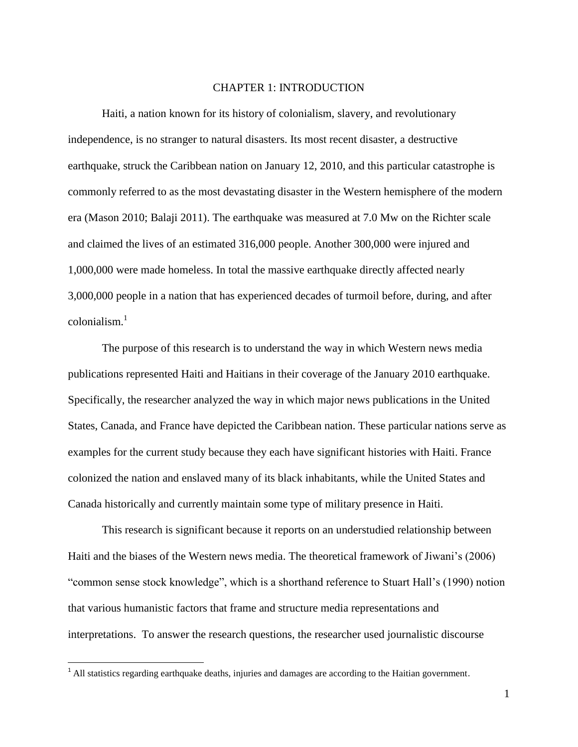#### CHAPTER 1: INTRODUCTION

<span id="page-12-0"></span>Haiti, a nation known for its history of colonialism, slavery, and revolutionary independence, is no stranger to natural disasters. Its most recent disaster, a destructive earthquake, struck the Caribbean nation on January 12, 2010, and this particular catastrophe is commonly referred to as the most devastating disaster in the Western hemisphere of the modern era (Mason 2010; Balaji 2011). The earthquake was measured at 7.0 Mw on the Richter scale and claimed the lives of an estimated 316,000 people. Another 300,000 were injured and 1,000,000 were made homeless. In total the massive earthquake directly affected nearly 3,000,000 people in a nation that has experienced decades of turmoil before, during, and after  $\text{colonialism}$ <sup>1</sup>

The purpose of this research is to understand the way in which Western news media publications represented Haiti and Haitians in their coverage of the January 2010 earthquake. Specifically, the researcher analyzed the way in which major news publications in the United States, Canada, and France have depicted the Caribbean nation. These particular nations serve as examples for the current study because they each have significant histories with Haiti. France colonized the nation and enslaved many of its black inhabitants, while the United States and Canada historically and currently maintain some type of military presence in Haiti.

This research is significant because it reports on an understudied relationship between Haiti and the biases of the Western news media. The theoretical framework of Jiwani's (2006) "common sense stock knowledge", which is a shorthand reference to Stuart Hall's (1990) notion that various humanistic factors that frame and structure media representations and interpretations. To answer the research questions, the researcher used journalistic discourse

 $\overline{\phantom{a}}$ 

 $<sup>1</sup>$  All statistics regarding earthquake deaths, injuries and damages are according to the Haitian government.</sup>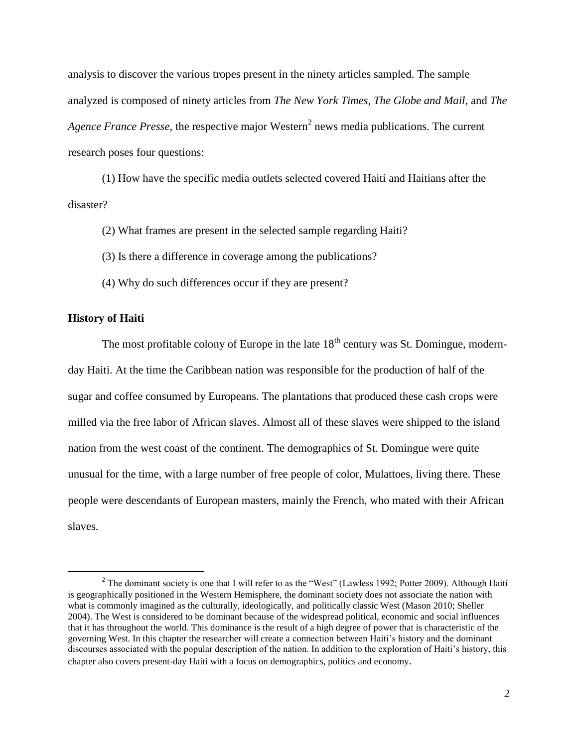analysis to discover the various tropes present in the ninety articles sampled. The sample analyzed is composed of ninety articles from *The New York Times, The Globe and Mail*, and *The* Agence France Presse, the respective major Western<sup>2</sup> news media publications. The current research poses four questions:

(1) How have the specific media outlets selected covered Haiti and Haitians after the disaster?

(2) What frames are present in the selected sample regarding Haiti?

(3) Is there a difference in coverage among the publications?

(4) Why do such differences occur if they are present?

#### <span id="page-13-0"></span>**History of Haiti**

l

The most profitable colony of Europe in the late  $18<sup>th</sup>$  century was St. Domingue, modernday Haiti. At the time the Caribbean nation was responsible for the production of half of the sugar and coffee consumed by Europeans. The plantations that produced these cash crops were milled via the free labor of African slaves. Almost all of these slaves were shipped to the island nation from the west coast of the continent. The demographics of St. Domingue were quite unusual for the time, with a large number of free people of color, Mulattoes, living there. These people were descendants of European masters, mainly the French, who mated with their African slaves.

<sup>&</sup>lt;sup>2</sup> The dominant society is one that I will refer to as the "West" (Lawless 1992; Potter 2009). Although Haiti is geographically positioned in the Western Hemisphere, the dominant society does not associate the nation with what is commonly imagined as the culturally, ideologically, and politically classic West (Mason 2010; Sheller 2004). The West is considered to be dominant because of the widespread political, economic and social influences that it has throughout the world. This dominance is the result of a high degree of power that is characteristic of the governing West. In this chapter the researcher will create a connection between Haiti's history and the dominant discourses associated with the popular description of the nation. In addition to the exploration of Haiti's history, this chapter also covers present-day Haiti with a focus on demographics, politics and economy.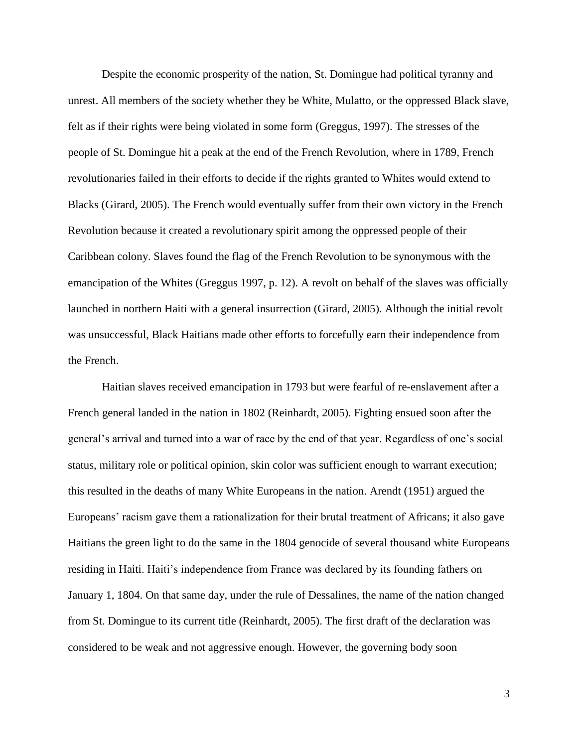Despite the economic prosperity of the nation, St. Domingue had political tyranny and unrest. All members of the society whether they be White, Mulatto, or the oppressed Black slave, felt as if their rights were being violated in some form (Greggus, 1997). The stresses of the people of St. Domingue hit a peak at the end of the French Revolution, where in 1789, French revolutionaries failed in their efforts to decide if the rights granted to Whites would extend to Blacks (Girard, 2005). The French would eventually suffer from their own victory in the French Revolution because it created a revolutionary spirit among the oppressed people of their Caribbean colony. Slaves found the flag of the French Revolution to be synonymous with the emancipation of the Whites (Greggus 1997, p. 12). A revolt on behalf of the slaves was officially launched in northern Haiti with a general insurrection (Girard, 2005). Although the initial revolt was unsuccessful, Black Haitians made other efforts to forcefully earn their independence from the French.

Haitian slaves received emancipation in 1793 but were fearful of re-enslavement after a French general landed in the nation in 1802 (Reinhardt, 2005). Fighting ensued soon after the general's arrival and turned into a war of race by the end of that year. Regardless of one's social status, military role or political opinion, skin color was sufficient enough to warrant execution; this resulted in the deaths of many White Europeans in the nation. Arendt (1951) argued the Europeans' racism gave them a rationalization for their brutal treatment of Africans; it also gave Haitians the green light to do the same in the 1804 genocide of several thousand white Europeans residing in Haiti. Haiti's independence from France was declared by its founding fathers on January 1, 1804. On that same day, under the rule of Dessalines, the name of the nation changed from St. Domingue to its current title (Reinhardt, 2005). The first draft of the declaration was considered to be weak and not aggressive enough. However, the governing body soon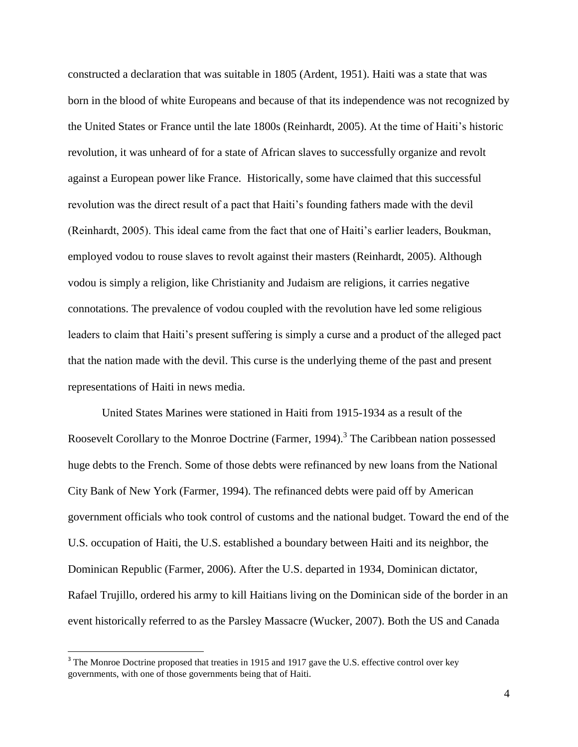constructed a declaration that was suitable in 1805 (Ardent, 1951). Haiti was a state that was born in the blood of white Europeans and because of that its independence was not recognized by the United States or France until the late 1800s (Reinhardt, 2005). At the time of Haiti's historic revolution, it was unheard of for a state of African slaves to successfully organize and revolt against a European power like France. Historically, some have claimed that this successful revolution was the direct result of a pact that Haiti's founding fathers made with the devil (Reinhardt, 2005). This ideal came from the fact that one of Haiti's earlier leaders, Boukman, employed vodou to rouse slaves to revolt against their masters (Reinhardt, 2005). Although vodou is simply a religion, like Christianity and Judaism are religions, it carries negative connotations. The prevalence of vodou coupled with the revolution have led some religious leaders to claim that Haiti's present suffering is simply a curse and a product of the alleged pact that the nation made with the devil. This curse is the underlying theme of the past and present representations of Haiti in news media.

United States Marines were stationed in Haiti from 1915-1934 as a result of the Roosevelt Corollary to the Monroe Doctrine (Farmer, 1994).<sup>3</sup> The Caribbean nation possessed huge debts to the French. Some of those debts were refinanced by new loans from the National City Bank of New York (Farmer, 1994). The refinanced debts were paid off by American government officials who took control of customs and the national budget. Toward the end of the U.S. occupation of Haiti, the U.S. established a boundary between Haiti and its neighbor, the Dominican Republic (Farmer, 2006). After the U.S. departed in 1934, Dominican dictator, Rafael Trujillo, ordered his army to kill Haitians living on the Dominican side of the border in an event historically referred to as the Parsley Massacre (Wucker, 2007). Both the US and Canada

<sup>&</sup>lt;sup>3</sup> The Monroe Doctrine proposed that treaties in 1915 and 1917 gave the U.S. effective control over key governments, with one of those governments being that of Haiti.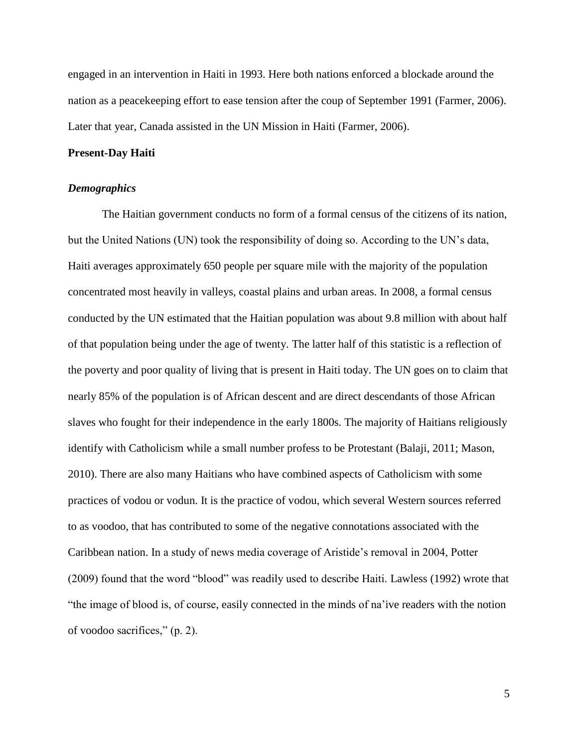engaged in an intervention in Haiti in 1993. Here both nations enforced a blockade around the nation as a peacekeeping effort to ease tension after the coup of September 1991 (Farmer, 2006). Later that year, Canada assisted in the UN Mission in Haiti (Farmer, 2006).

#### **Present-Day Haiti**

#### <span id="page-16-0"></span>*Demographics*

The Haitian government conducts no form of a formal census of the citizens of its nation, but the United Nations (UN) took the responsibility of doing so. According to the UN's data, Haiti averages approximately 650 people per square mile with the majority of the population concentrated most heavily in valleys, coastal plains and urban areas. In 2008, a formal census conducted by the UN estimated that the Haitian population was about 9.8 million with about half of that population being under the age of twenty. The latter half of this statistic is a reflection of the poverty and poor quality of living that is present in Haiti today. The UN goes on to claim that nearly 85% of the population is of African descent and are direct descendants of those African slaves who fought for their independence in the early 1800s. The majority of Haitians religiously identify with Catholicism while a small number profess to be Protestant (Balaji, 2011; Mason, 2010). There are also many Haitians who have combined aspects of Catholicism with some practices of vodou or vodun. It is the practice of vodou, which several Western sources referred to as voodoo, that has contributed to some of the negative connotations associated with the Caribbean nation. In a study of news media coverage of Aristide's removal in 2004, Potter (2009) found that the word "blood" was readily used to describe Haiti. Lawless (1992) wrote that "the image of blood is, of course, easily connected in the minds of na'ive readers with the notion of voodoo sacrifices," (p. 2).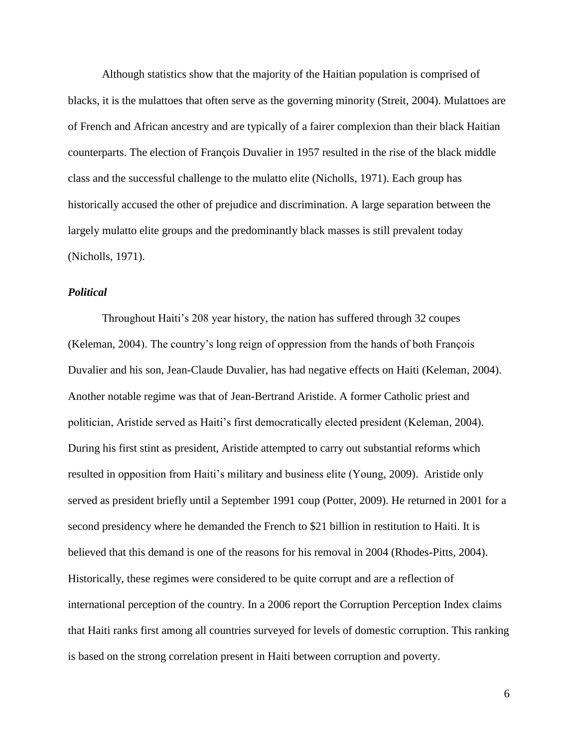Although statistics show that the majority of the Haitian population is comprised of blacks, it is the mulattoes that often serve as the governing minority (Streit, 2004). Mulattoes are of French and African ancestry and are typically of a fairer complexion than their black Haitian counterparts. The election of François Duvalier in 1957 resulted in the rise of the black middle class and the successful challenge to the mulatto elite (Nicholls, 1971). Each group has historically accused the other of prejudice and discrimination. A large separation between the largely mulatto elite groups and the predominantly black masses is still prevalent today (Nicholls, 1971).

#### <span id="page-17-0"></span>*Political*

Throughout Haiti's 208 year history, the nation has suffered through 32 coupes (Keleman, 2004). The country's long reign of oppression from the hands of both François Duvalier and his son, Jean-Claude Duvalier, has had negative effects on Haiti (Keleman, 2004). Another notable regime was that of Jean-Bertrand Aristide. A former Catholic priest and politician, Aristide served as Haiti's first democratically elected president (Keleman, 2004). During his first stint as president, Aristide attempted to carry out substantial reforms which resulted in opposition from Haiti's military and business elite (Young, 2009). Aristide only served as president briefly until a September 1991 coup (Potter, 2009). He returned in 2001 for a second presidency where he demanded the French to \$21 billion in restitution to Haiti. It is believed that this demand is one of the reasons for his removal in 2004 (Rhodes-Pitts, 2004). Historically, these regimes were considered to be quite corrupt and are a reflection of international perception of the country. In a 2006 report the Corruption Perception Index claims that Haiti ranks first among all countries surveyed for levels of domestic corruption. This ranking is based on the strong correlation present in Haiti between corruption and poverty.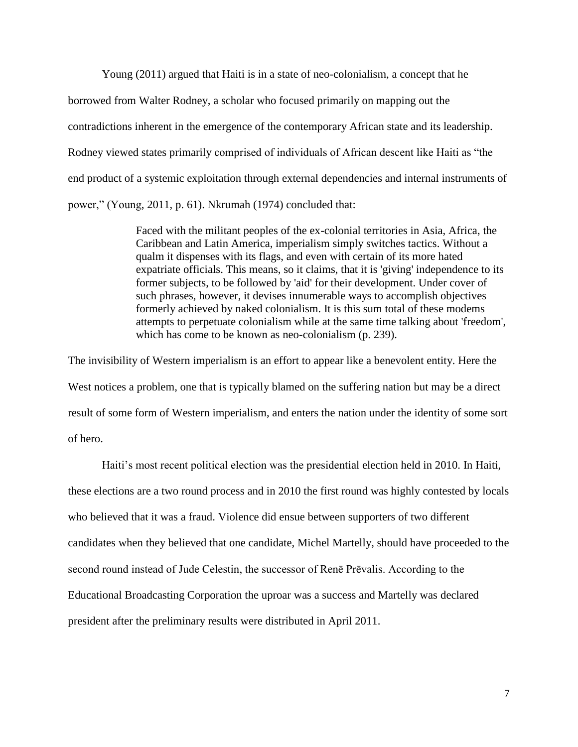Young (2011) argued that Haiti is in a state of neo-colonialism, a concept that he borrowed from Walter Rodney, a scholar who focused primarily on mapping out the contradictions inherent in the emergence of the contemporary African state and its leadership. Rodney viewed states primarily comprised of individuals of African descent like Haiti as "the end product of a systemic exploitation through external dependencies and internal instruments of power," (Young, 2011, p. 61). Nkrumah (1974) concluded that:

> Faced with the militant peoples of the ex-colonial territories in Asia, Africa, the Caribbean and Latin America, imperialism simply switches tactics. Without a qualm it dispenses with its flags, and even with certain of its more hated expatriate officials. This means, so it claims, that it is 'giving' independence to its former subjects, to be followed by 'aid' for their development. Under cover of such phrases, however, it devises innumerable ways to accomplish objectives formerly achieved by naked colonialism. It is this sum total of these modems attempts to perpetuate colonialism while at the same time talking about 'freedom', which has come to be known as neo-colonialism (p. 239).

The invisibility of Western imperialism is an effort to appear like a benevolent entity. Here the West notices a problem, one that is typically blamed on the suffering nation but may be a direct result of some form of Western imperialism, and enters the nation under the identity of some sort of hero.

Haiti's most recent political election was the presidential election held in 2010. In Haiti, these elections are a two round process and in 2010 the first round was highly contested by locals who believed that it was a fraud. Violence did ensue between supporters of two different candidates when they believed that one candidate, Michel Martelly, should have proceeded to the second round instead of Jude Celestin, the successor of Renē Prēvalis. According to the Educational Broadcasting Corporation the uproar was a success and Martelly was declared president after the preliminary results were distributed in April 2011.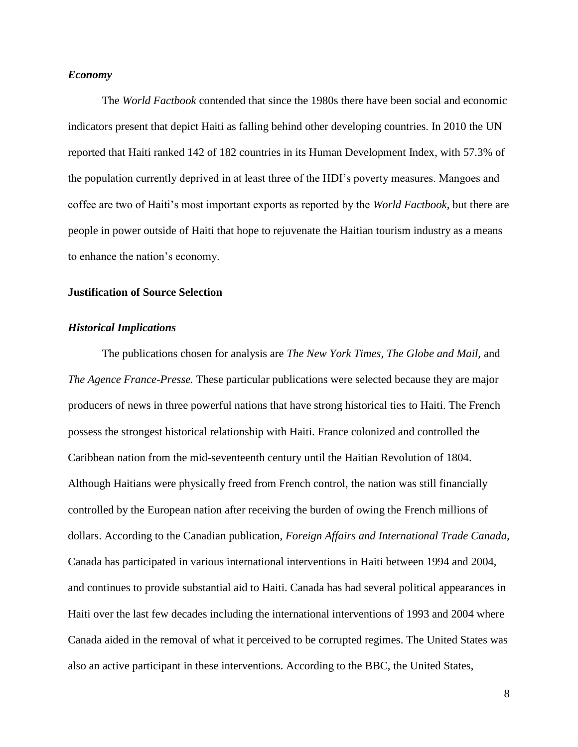#### <span id="page-19-0"></span>*Economy*

The *World Factbook* contended that since the 1980s there have been social and economic indicators present that depict Haiti as falling behind other developing countries. In 2010 the UN reported that Haiti ranked 142 of 182 countries in its Human Development Index, with 57.3% of the population currently deprived in at least three of the HDI's poverty measures. Mangoes and coffee are two of Haiti's most important exports as reported by the *World Factbook*, but there are people in power outside of Haiti that hope to rejuvenate the Haitian tourism industry as a means to enhance the nation's economy.

#### <span id="page-19-1"></span>**Justification of Source Selection**

#### <span id="page-19-2"></span>*Historical Implications*

The publications chosen for analysis are *The New York Times, The Globe and Mail,* and *The Agence France-Presse.* These particular publications were selected because they are major producers of news in three powerful nations that have strong historical ties to Haiti. The French possess the strongest historical relationship with Haiti. France colonized and controlled the Caribbean nation from the mid-seventeenth century until the Haitian Revolution of 1804. Although Haitians were physically freed from French control, the nation was still financially controlled by the European nation after receiving the burden of owing the French millions of dollars. According to the Canadian publication, *Foreign Affairs and International Trade Canada,*  Canada has participated in various international interventions in Haiti between 1994 and 2004, and continues to provide substantial aid to Haiti. Canada has had several political appearances in Haiti over the last few decades including the international interventions of 1993 and 2004 where Canada aided in the removal of what it perceived to be corrupted regimes. The United States was also an active participant in these interventions. According to the BBC, the United States,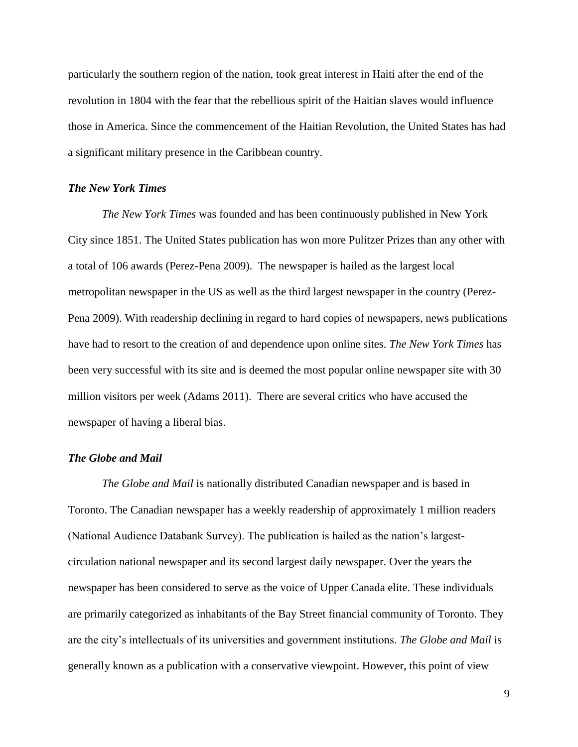particularly the southern region of the nation, took great interest in Haiti after the end of the revolution in 1804 with the fear that the rebellious spirit of the Haitian slaves would influence those in America. Since the commencement of the Haitian Revolution, the United States has had a significant military presence in the Caribbean country.

#### <span id="page-20-0"></span>*The New York Times*

*The New York Times* was founded and has been continuously published in New York City since 1851. The United States publication has won more Pulitzer Prizes than any other with a total of 106 awards (Perez-Pena 2009). The newspaper is hailed as the largest local metropolitan newspaper in the US as well as the third largest newspaper in the country (Perez-Pena 2009). With readership declining in regard to hard copies of newspapers, news publications have had to resort to the creation of and dependence upon online sites. *The New York Times* has been very successful with its site and is deemed the most popular online newspaper site with 30 million visitors per week (Adams 2011). There are several critics who have accused the newspaper of having a liberal bias.

#### <span id="page-20-1"></span>*The Globe and Mail*

*The Globe and Mail* is nationally distributed Canadian newspaper and is based in Toronto. The Canadian newspaper has a weekly readership of approximately 1 million readers (National Audience Databank Survey). The publication is hailed as the nation's largestcirculation national newspaper and its second largest daily newspaper. Over the years the newspaper has been considered to serve as the voice of Upper Canada elite. These individuals are primarily categorized as inhabitants of the Bay Street financial community of Toronto. They are the city's intellectuals of its universities and government institutions. *The Globe and Mail* is generally known as a publication with a conservative viewpoint. However, this point of view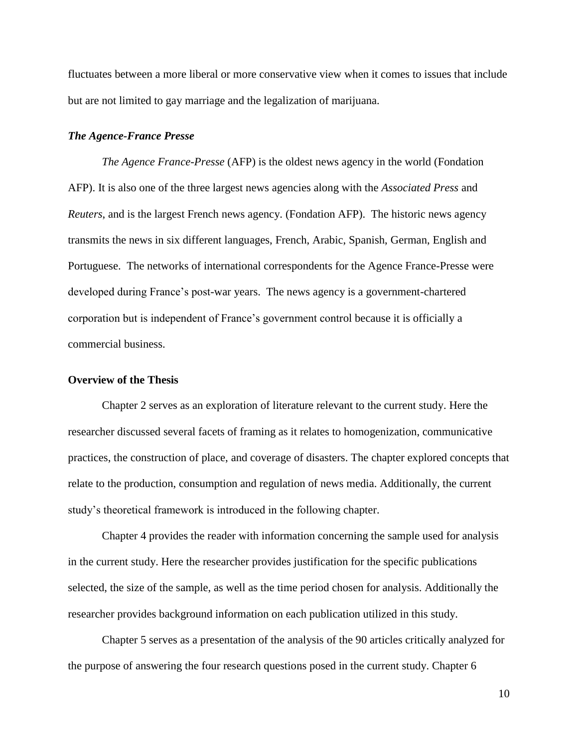fluctuates between a more liberal or more conservative view when it comes to issues that include but are not limited to gay marriage and the legalization of marijuana.

#### <span id="page-21-0"></span>*The Agence-France Presse*

*The Agence France-Presse* (AFP) is the oldest news agency in the world (Fondation AFP). It is also one of the three largest news agencies along with the *Associated Press* and *Reuters*, and is the largest French news agency. (Fondation AFP). The historic news agency transmits the news in six different languages, French, Arabic, Spanish, German, English and Portuguese. The networks of international correspondents for the Agence France-Presse were developed during France's post-war years. The news agency is a government-chartered corporation but is independent of France's government control because it is officially a commercial business.

#### <span id="page-21-1"></span>**Overview of the Thesis**

Chapter 2 serves as an exploration of literature relevant to the current study. Here the researcher discussed several facets of framing as it relates to homogenization, communicative practices, the construction of place, and coverage of disasters. The chapter explored concepts that relate to the production, consumption and regulation of news media. Additionally, the current study's theoretical framework is introduced in the following chapter.

Chapter 4 provides the reader with information concerning the sample used for analysis in the current study. Here the researcher provides justification for the specific publications selected, the size of the sample, as well as the time period chosen for analysis. Additionally the researcher provides background information on each publication utilized in this study.

Chapter 5 serves as a presentation of the analysis of the 90 articles critically analyzed for the purpose of answering the four research questions posed in the current study. Chapter 6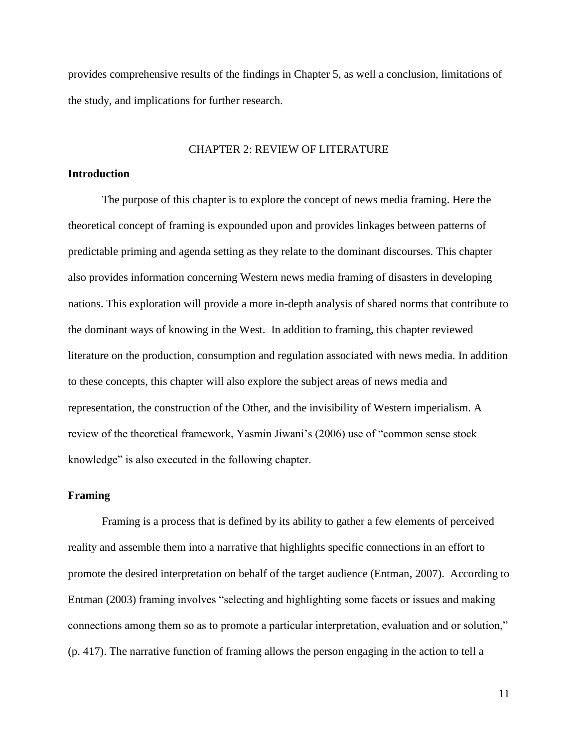provides comprehensive results of the findings in Chapter 5, as well a conclusion, limitations of the study, and implications for further research.

#### CHAPTER 2: REVIEW OF LITERATURE

#### <span id="page-22-1"></span><span id="page-22-0"></span>**Introduction**

The purpose of this chapter is to explore the concept of news media framing. Here the theoretical concept of framing is expounded upon and provides linkages between patterns of predictable priming and agenda setting as they relate to the dominant discourses. This chapter also provides information concerning Western news media framing of disasters in developing nations. This exploration will provide a more in-depth analysis of shared norms that contribute to the dominant ways of knowing in the West. In addition to framing, this chapter reviewed literature on the production, consumption and regulation associated with news media. In addition to these concepts, this chapter will also explore the subject areas of news media and representation, the construction of the Other, and the invisibility of Western imperialism. A review of the theoretical framework, Yasmin Jiwani's (2006) use of "common sense stock knowledge" is also executed in the following chapter.

#### <span id="page-22-2"></span>**Framing**

Framing is a process that is defined by its ability to gather a few elements of perceived reality and assemble them into a narrative that highlights specific connections in an effort to promote the desired interpretation on behalf of the target audience (Entman, 2007). According to Entman (2003) framing involves "selecting and highlighting some facets or issues and making connections among them so as to promote a particular interpretation, evaluation and or solution," (p. 417). The narrative function of framing allows the person engaging in the action to tell a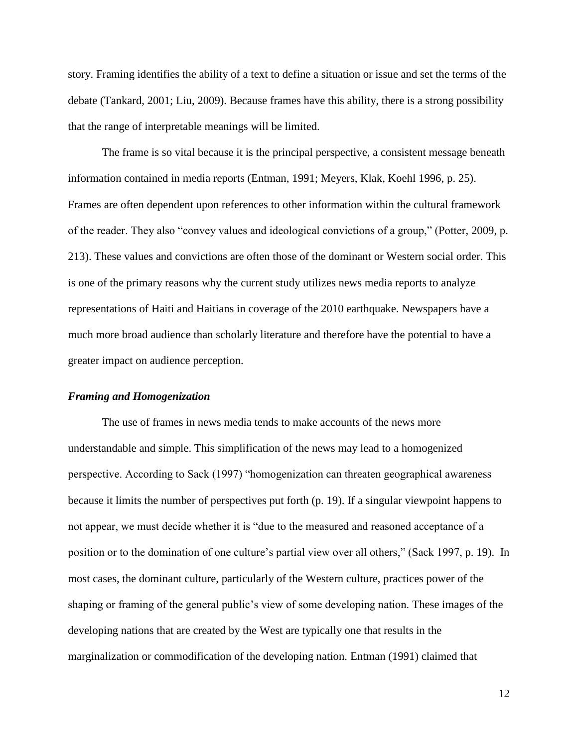story. Framing identifies the ability of a text to define a situation or issue and set the terms of the debate (Tankard, 2001; Liu, 2009). Because frames have this ability, there is a strong possibility that the range of interpretable meanings will be limited.

The frame is so vital because it is the principal perspective, a consistent message beneath information contained in media reports (Entman, 1991; Meyers, Klak, Koehl 1996, p. 25). Frames are often dependent upon references to other information within the cultural framework of the reader. They also "convey values and ideological convictions of a group," (Potter, 2009, p. 213). These values and convictions are often those of the dominant or Western social order. This is one of the primary reasons why the current study utilizes news media reports to analyze representations of Haiti and Haitians in coverage of the 2010 earthquake. Newspapers have a much more broad audience than scholarly literature and therefore have the potential to have a greater impact on audience perception.

#### <span id="page-23-0"></span>*Framing and Homogenization*

The use of frames in news media tends to make accounts of the news more understandable and simple. This simplification of the news may lead to a homogenized perspective. According to Sack (1997) "homogenization can threaten geographical awareness because it limits the number of perspectives put forth (p. 19). If a singular viewpoint happens to not appear, we must decide whether it is "due to the measured and reasoned acceptance of a position or to the domination of one culture's partial view over all others," (Sack 1997, p. 19). In most cases, the dominant culture, particularly of the Western culture, practices power of the shaping or framing of the general public's view of some developing nation. These images of the developing nations that are created by the West are typically one that results in the marginalization or commodification of the developing nation. Entman (1991) claimed that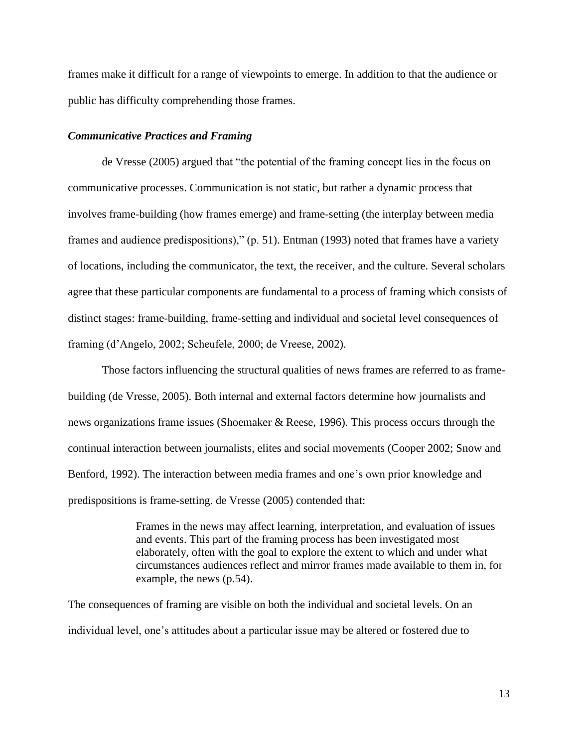frames make it difficult for a range of viewpoints to emerge. In addition to that the audience or public has difficulty comprehending those frames.

#### <span id="page-24-0"></span>*Communicative Practices and Framing*

de Vresse (2005) argued that "the potential of the framing concept lies in the focus on communicative processes. Communication is not static, but rather a dynamic process that involves frame-building (how frames emerge) and frame-setting (the interplay between media frames and audience predispositions)," (p. 51). Entman (1993) noted that frames have a variety of locations, including the communicator, the text, the receiver, and the culture. Several scholars agree that these particular components are fundamental to a process of framing which consists of distinct stages: frame-building, frame-setting and individual and societal level consequences of framing (d'Angelo, 2002; Scheufele, 2000; de Vreese, 2002).

Those factors influencing the structural qualities of news frames are referred to as framebuilding (de Vresse, 2005). Both internal and external factors determine how journalists and news organizations frame issues (Shoemaker & Reese, 1996). This process occurs through the continual interaction between journalists, elites and social movements (Cooper 2002; Snow and Benford, 1992). The interaction between media frames and one's own prior knowledge and predispositions is frame-setting. de Vresse (2005) contended that:

> Frames in the news may affect learning, interpretation, and evaluation of issues and events. This part of the framing process has been investigated most elaborately, often with the goal to explore the extent to which and under what circumstances audiences reflect and mirror frames made available to them in, for example, the news (p.54).

The consequences of framing are visible on both the individual and societal levels. On an individual level, one's attitudes about a particular issue may be altered or fostered due to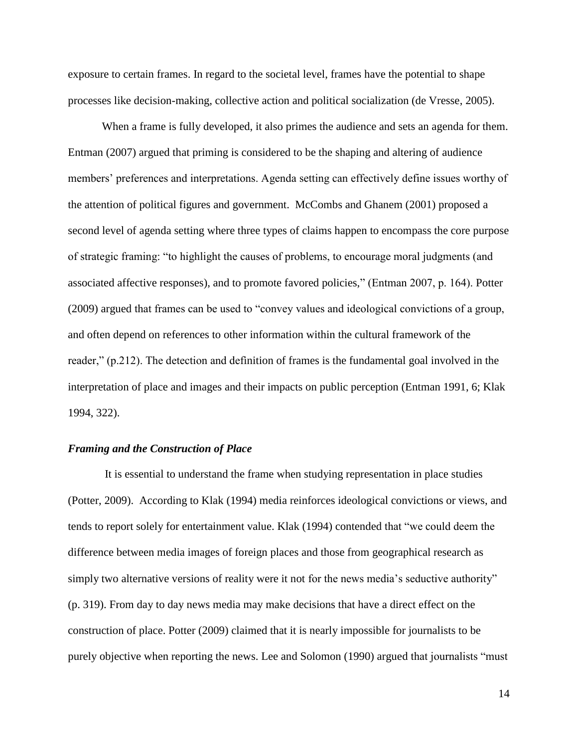exposure to certain frames. In regard to the societal level, frames have the potential to shape processes like decision-making, collective action and political socialization (de Vresse, 2005).

When a frame is fully developed, it also primes the audience and sets an agenda for them. Entman (2007) argued that priming is considered to be the shaping and altering of audience members' preferences and interpretations. Agenda setting can effectively define issues worthy of the attention of political figures and government. McCombs and Ghanem (2001) proposed a second level of agenda setting where three types of claims happen to encompass the core purpose of strategic framing: "to highlight the causes of problems, to encourage moral judgments (and associated affective responses), and to promote favored policies," (Entman 2007, p. 164). Potter (2009) argued that frames can be used to "convey values and ideological convictions of a group, and often depend on references to other information within the cultural framework of the reader," (p.212). The detection and definition of frames is the fundamental goal involved in the interpretation of place and images and their impacts on public perception (Entman 1991, 6; Klak 1994, 322).

#### <span id="page-25-0"></span>*Framing and the Construction of Place*

It is essential to understand the frame when studying representation in place studies (Potter, 2009). According to Klak (1994) media reinforces ideological convictions or views, and tends to report solely for entertainment value. Klak (1994) contended that "we could deem the difference between media images of foreign places and those from geographical research as simply two alternative versions of reality were it not for the news media's seductive authority" (p. 319). From day to day news media may make decisions that have a direct effect on the construction of place. Potter (2009) claimed that it is nearly impossible for journalists to be purely objective when reporting the news. Lee and Solomon (1990) argued that journalists "must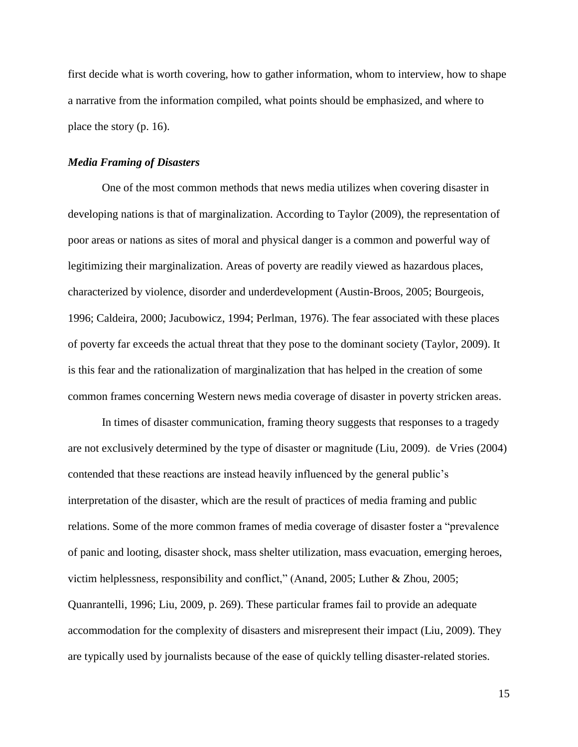first decide what is worth covering, how to gather information, whom to interview, how to shape a narrative from the information compiled, what points should be emphasized, and where to place the story (p. 16).

#### <span id="page-26-0"></span>*Media Framing of Disasters*

One of the most common methods that news media utilizes when covering disaster in developing nations is that of marginalization. According to Taylor (2009), the representation of poor areas or nations as sites of moral and physical danger is a common and powerful way of legitimizing their marginalization. Areas of poverty are readily viewed as hazardous places, characterized by violence, disorder and underdevelopment (Austin-Broos, 2005; Bourgeois, 1996; Caldeira, 2000; Jacubowicz, 1994; Perlman, 1976). The fear associated with these places of poverty far exceeds the actual threat that they pose to the dominant society (Taylor, 2009). It is this fear and the rationalization of marginalization that has helped in the creation of some common frames concerning Western news media coverage of disaster in poverty stricken areas.

In times of disaster communication, framing theory suggests that responses to a tragedy are not exclusively determined by the type of disaster or magnitude (Liu, 2009). de Vries (2004) contended that these reactions are instead heavily influenced by the general public's interpretation of the disaster, which are the result of practices of media framing and public relations. Some of the more common frames of media coverage of disaster foster a "prevalence of panic and looting, disaster shock, mass shelter utilization, mass evacuation, emerging heroes, victim helplessness, responsibility and conflict," (Anand, 2005; Luther & Zhou, 2005; Quanrantelli, 1996; Liu, 2009, p. 269). These particular frames fail to provide an adequate accommodation for the complexity of disasters and misrepresent their impact (Liu, 2009). They are typically used by journalists because of the ease of quickly telling disaster-related stories.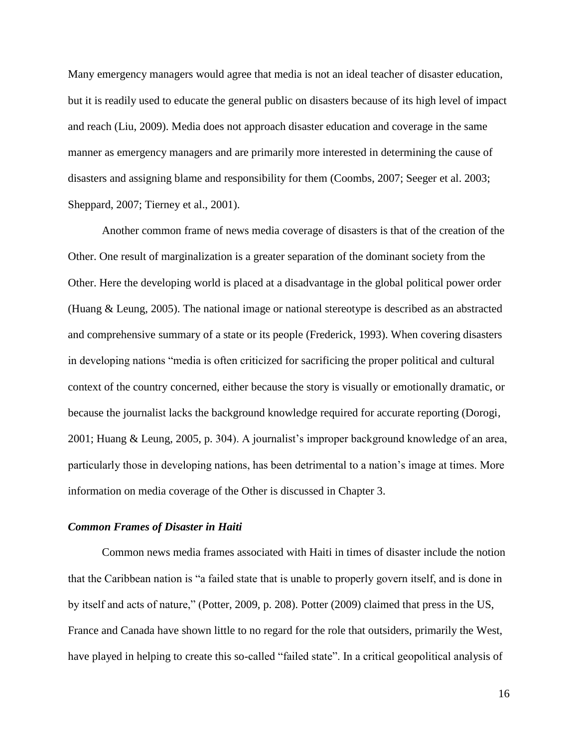Many emergency managers would agree that media is not an ideal teacher of disaster education, but it is readily used to educate the general public on disasters because of its high level of impact and reach (Liu, 2009). Media does not approach disaster education and coverage in the same manner as emergency managers and are primarily more interested in determining the cause of disasters and assigning blame and responsibility for them (Coombs, 2007; Seeger et al. 2003; Sheppard, 2007; Tierney et al., 2001).

Another common frame of news media coverage of disasters is that of the creation of the Other. One result of marginalization is a greater separation of the dominant society from the Other. Here the developing world is placed at a disadvantage in the global political power order (Huang & Leung, 2005). The national image or national stereotype is described as an abstracted and comprehensive summary of a state or its people (Frederick, 1993). When covering disasters in developing nations "media is often criticized for sacrificing the proper political and cultural context of the country concerned, either because the story is visually or emotionally dramatic, or because the journalist lacks the background knowledge required for accurate reporting (Dorogi, 2001; Huang & Leung, 2005, p. 304). A journalist's improper background knowledge of an area, particularly those in developing nations, has been detrimental to a nation's image at times. More information on media coverage of the Other is discussed in Chapter 3.

#### <span id="page-27-0"></span>*Common Frames of Disaster in Haiti*

Common news media frames associated with Haiti in times of disaster include the notion that the Caribbean nation is "a failed state that is unable to properly govern itself, and is done in by itself and acts of nature," (Potter, 2009, p. 208). Potter (2009) claimed that press in the US, France and Canada have shown little to no regard for the role that outsiders, primarily the West, have played in helping to create this so-called "failed state". In a critical geopolitical analysis of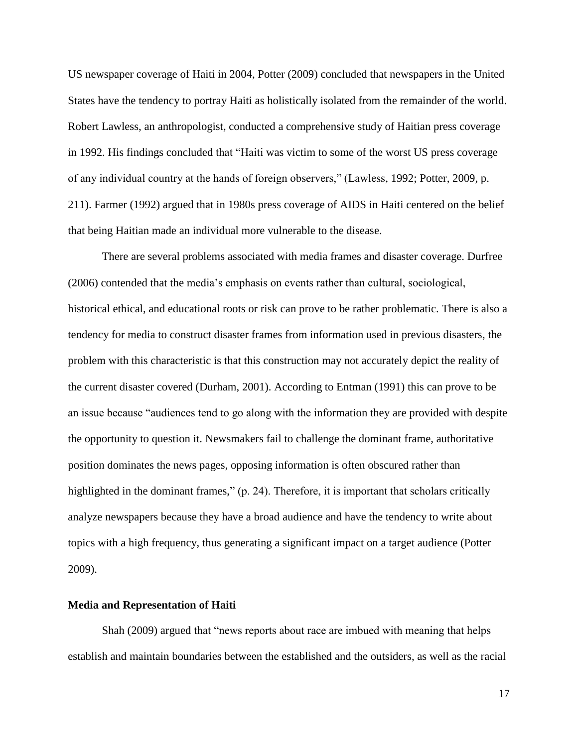US newspaper coverage of Haiti in 2004, Potter (2009) concluded that newspapers in the United States have the tendency to portray Haiti as holistically isolated from the remainder of the world. Robert Lawless, an anthropologist, conducted a comprehensive study of Haitian press coverage in 1992. His findings concluded that "Haiti was victim to some of the worst US press coverage of any individual country at the hands of foreign observers," (Lawless, 1992; Potter, 2009, p. 211). Farmer (1992) argued that in 1980s press coverage of AIDS in Haiti centered on the belief that being Haitian made an individual more vulnerable to the disease.

There are several problems associated with media frames and disaster coverage. Durfree (2006) contended that the media's emphasis on events rather than cultural, sociological, historical ethical, and educational roots or risk can prove to be rather problematic. There is also a tendency for media to construct disaster frames from information used in previous disasters, the problem with this characteristic is that this construction may not accurately depict the reality of the current disaster covered (Durham, 2001). According to Entman (1991) this can prove to be an issue because "audiences tend to go along with the information they are provided with despite the opportunity to question it. Newsmakers fail to challenge the dominant frame, authoritative position dominates the news pages, opposing information is often obscured rather than highlighted in the dominant frames," (p. 24). Therefore, it is important that scholars critically analyze newspapers because they have a broad audience and have the tendency to write about topics with a high frequency, thus generating a significant impact on a target audience (Potter 2009).

#### <span id="page-28-0"></span>**Media and Representation of Haiti**

Shah (2009) argued that "news reports about race are imbued with meaning that helps establish and maintain boundaries between the established and the outsiders, as well as the racial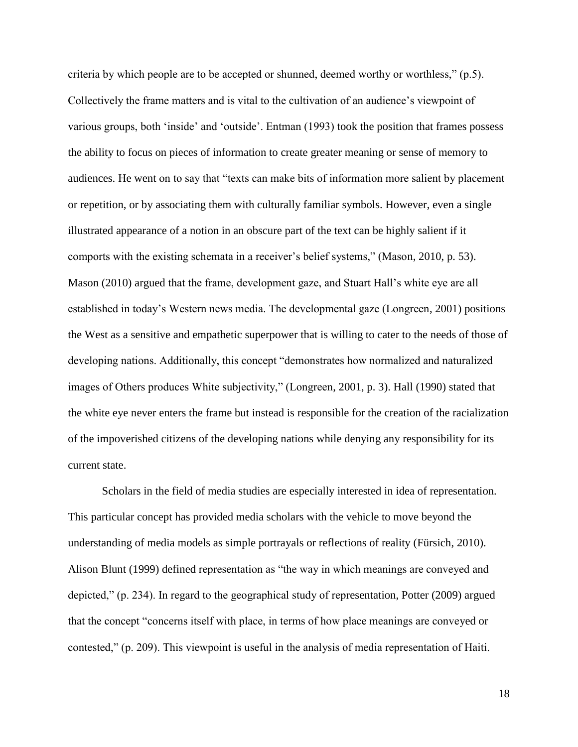criteria by which people are to be accepted or shunned, deemed worthy or worthless," (p.5). Collectively the frame matters and is vital to the cultivation of an audience's viewpoint of various groups, both 'inside' and 'outside'. Entman (1993) took the position that frames possess the ability to focus on pieces of information to create greater meaning or sense of memory to audiences. He went on to say that "texts can make bits of information more salient by placement or repetition, or by associating them with culturally familiar symbols. However, even a single illustrated appearance of a notion in an obscure part of the text can be highly salient if it comports with the existing schemata in a receiver's belief systems," (Mason, 2010, p. 53). Mason (2010) argued that the frame, development gaze, and Stuart Hall's white eye are all established in today's Western news media. The developmental gaze (Longreen, 2001) positions the West as a sensitive and empathetic superpower that is willing to cater to the needs of those of developing nations. Additionally, this concept "demonstrates how normalized and naturalized images of Others produces White subjectivity," (Longreen, 2001, p. 3). Hall (1990) stated that the white eye never enters the frame but instead is responsible for the creation of the racialization of the impoverished citizens of the developing nations while denying any responsibility for its current state.

Scholars in the field of media studies are especially interested in idea of representation. This particular concept has provided media scholars with the vehicle to move beyond the understanding of media models as simple portrayals or reflections of reality (Fürsich, 2010). Alison Blunt (1999) defined representation as "the way in which meanings are conveyed and depicted," (p. 234). In regard to the geographical study of representation, Potter (2009) argued that the concept "concerns itself with place, in terms of how place meanings are conveyed or contested," (p. 209). This viewpoint is useful in the analysis of media representation of Haiti.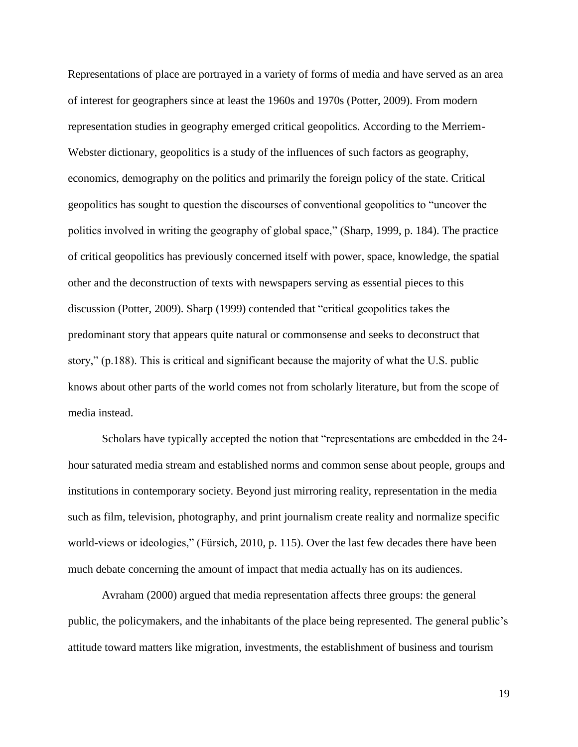Representations of place are portrayed in a variety of forms of media and have served as an area of interest for geographers since at least the 1960s and 1970s (Potter, 2009). From modern representation studies in geography emerged critical geopolitics. According to the Merriem-Webster dictionary, geopolitics is a study of the influences of such factors as geography, economics, demography on the politics and primarily the foreign policy of the state. Critical geopolitics has sought to question the discourses of conventional geopolitics to "uncover the politics involved in writing the geography of global space," (Sharp, 1999, p. 184). The practice of critical geopolitics has previously concerned itself with power, space, knowledge, the spatial other and the deconstruction of texts with newspapers serving as essential pieces to this discussion (Potter, 2009). Sharp (1999) contended that "critical geopolitics takes the predominant story that appears quite natural or commonsense and seeks to deconstruct that story," (p.188). This is critical and significant because the majority of what the U.S. public knows about other parts of the world comes not from scholarly literature, but from the scope of media instead.

Scholars have typically accepted the notion that "representations are embedded in the 24 hour saturated media stream and established norms and common sense about people, groups and institutions in contemporary society. Beyond just mirroring reality, representation in the media such as film, television, photography, and print journalism create reality and normalize specific world-views or ideologies," (Fürsich, 2010, p. 115). Over the last few decades there have been much debate concerning the amount of impact that media actually has on its audiences.

Avraham (2000) argued that media representation affects three groups: the general public, the policymakers, and the inhabitants of the place being represented. The general public's attitude toward matters like migration, investments, the establishment of business and tourism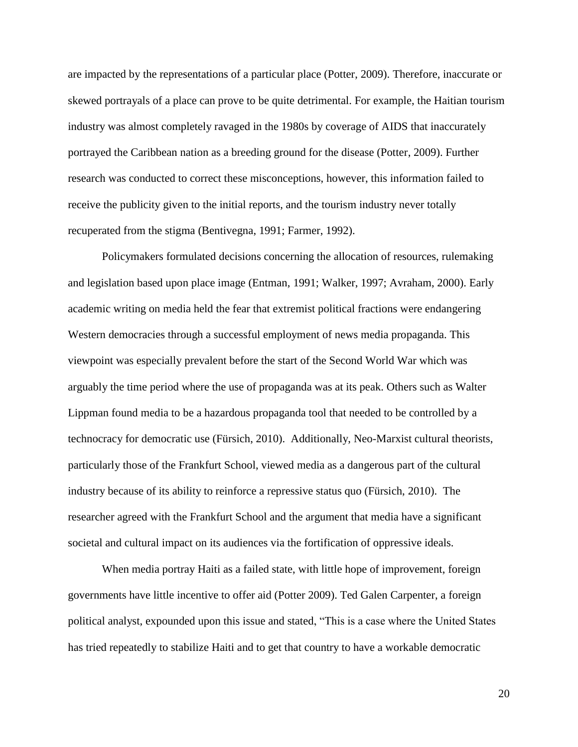are impacted by the representations of a particular place (Potter, 2009). Therefore, inaccurate or skewed portrayals of a place can prove to be quite detrimental. For example, the Haitian tourism industry was almost completely ravaged in the 1980s by coverage of AIDS that inaccurately portrayed the Caribbean nation as a breeding ground for the disease (Potter, 2009). Further research was conducted to correct these misconceptions, however, this information failed to receive the publicity given to the initial reports, and the tourism industry never totally recuperated from the stigma (Bentivegna, 1991; Farmer, 1992).

Policymakers formulated decisions concerning the allocation of resources, rulemaking and legislation based upon place image (Entman, 1991; Walker, 1997; Avraham, 2000). Early academic writing on media held the fear that extremist political fractions were endangering Western democracies through a successful employment of news media propaganda. This viewpoint was especially prevalent before the start of the Second World War which was arguably the time period where the use of propaganda was at its peak. Others such as Walter Lippman found media to be a hazardous propaganda tool that needed to be controlled by a technocracy for democratic use (Fürsich, 2010). Additionally, Neo-Marxist cultural theorists, particularly those of the Frankfurt School, viewed media as a dangerous part of the cultural industry because of its ability to reinforce a repressive status quo (Fürsich, 2010). The researcher agreed with the Frankfurt School and the argument that media have a significant societal and cultural impact on its audiences via the fortification of oppressive ideals.

When media portray Haiti as a failed state, with little hope of improvement, foreign governments have little incentive to offer aid (Potter 2009). Ted Galen Carpenter, a foreign political analyst, expounded upon this issue and stated, "This is a case where the United States has tried repeatedly to stabilize Haiti and to get that country to have a workable democratic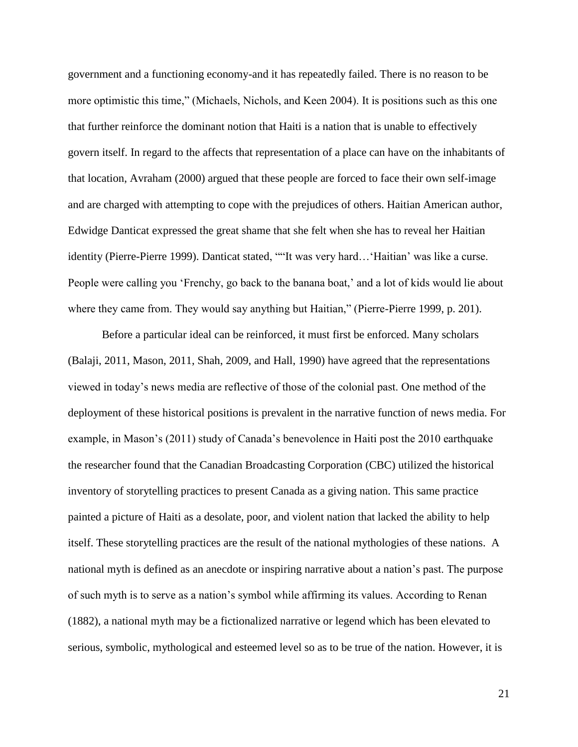government and a functioning economy-and it has repeatedly failed. There is no reason to be more optimistic this time," (Michaels, Nichols, and Keen 2004). It is positions such as this one that further reinforce the dominant notion that Haiti is a nation that is unable to effectively govern itself. In regard to the affects that representation of a place can have on the inhabitants of that location, Avraham (2000) argued that these people are forced to face their own self-image and are charged with attempting to cope with the prejudices of others. Haitian American author, Edwidge Danticat expressed the great shame that she felt when she has to reveal her Haitian identity (Pierre-Pierre 1999). Danticat stated, ""It was very hard…'Haitian' was like a curse. People were calling you 'Frenchy, go back to the banana boat,' and a lot of kids would lie about where they came from. They would say anything but Haitian," (Pierre-Pierre 1999, p. 201).

Before a particular ideal can be reinforced, it must first be enforced. Many scholars (Balaji, 2011, Mason, 2011, Shah, 2009, and Hall, 1990) have agreed that the representations viewed in today's news media are reflective of those of the colonial past. One method of the deployment of these historical positions is prevalent in the narrative function of news media. For example, in Mason's (2011) study of Canada's benevolence in Haiti post the 2010 earthquake the researcher found that the Canadian Broadcasting Corporation (CBC) utilized the historical inventory of storytelling practices to present Canada as a giving nation. This same practice painted a picture of Haiti as a desolate, poor, and violent nation that lacked the ability to help itself. These storytelling practices are the result of the national mythologies of these nations. A national myth is defined as an anecdote or inspiring narrative about a nation's past. The purpose of such myth is to serve as a nation's symbol while affirming its values. According to Renan (1882), a national myth may be a fictionalized narrative or legend which has been elevated to serious, symbolic, mythological and esteemed level so as to be true of the nation. However, it is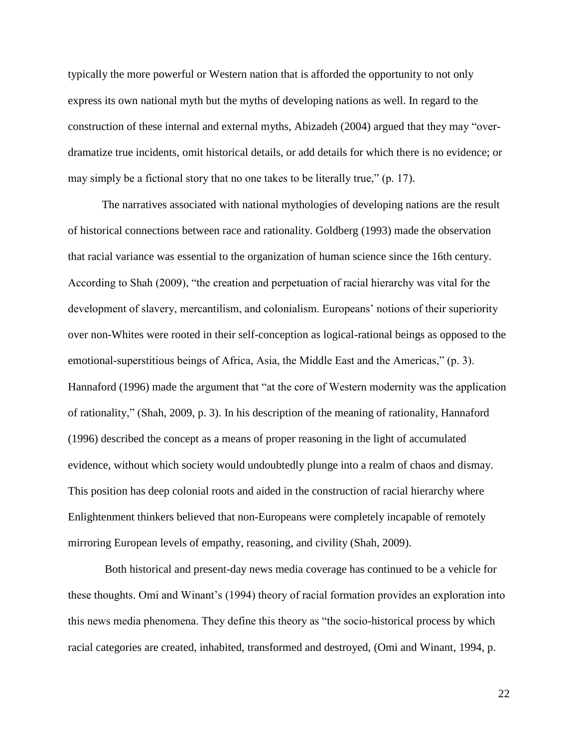typically the more powerful or Western nation that is afforded the opportunity to not only express its own national myth but the myths of developing nations as well. In regard to the construction of these internal and external myths, Abizadeh (2004) argued that they may "overdramatize true incidents, omit historical details, or add details for which there is no evidence; or may simply be a fictional story that no one takes to be literally true," (p. 17).

The narratives associated with national mythologies of developing nations are the result of historical connections between race and rationality. Goldberg (1993) made the observation that racial variance was essential to the organization of human science since the 16th century. According to Shah (2009), "the creation and perpetuation of racial hierarchy was vital for the development of slavery, mercantilism, and colonialism. Europeans' notions of their superiority over non-Whites were rooted in their self-conception as logical-rational beings as opposed to the emotional-superstitious beings of Africa, Asia, the Middle East and the Americas," (p. 3). Hannaford (1996) made the argument that "at the core of Western modernity was the application of rationality," (Shah, 2009, p. 3). In his description of the meaning of rationality, Hannaford (1996) described the concept as a means of proper reasoning in the light of accumulated evidence, without which society would undoubtedly plunge into a realm of chaos and dismay. This position has deep colonial roots and aided in the construction of racial hierarchy where Enlightenment thinkers believed that non-Europeans were completely incapable of remotely mirroring European levels of empathy, reasoning, and civility (Shah, 2009).

Both historical and present-day news media coverage has continued to be a vehicle for these thoughts. Omi and Winant's (1994) theory of racial formation provides an exploration into this news media phenomena. They define this theory as "the socio-historical process by which racial categories are created, inhabited, transformed and destroyed, (Omi and Winant, 1994, p.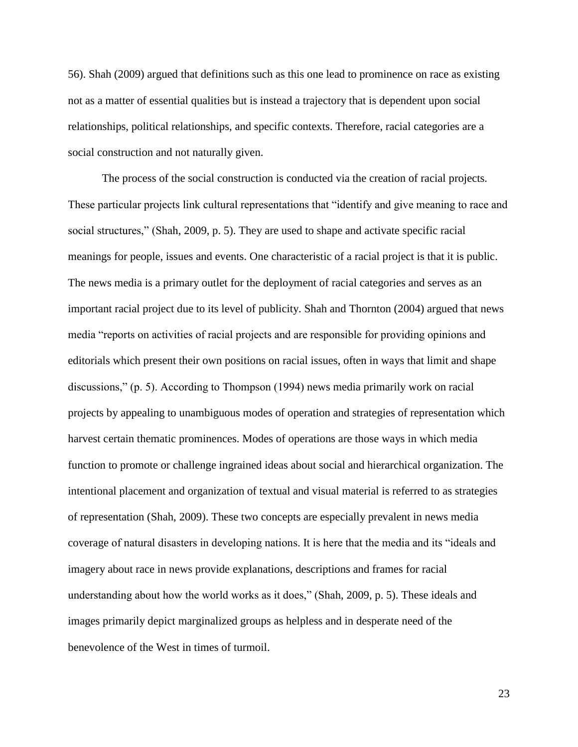56). Shah (2009) argued that definitions such as this one lead to prominence on race as existing not as a matter of essential qualities but is instead a trajectory that is dependent upon social relationships, political relationships, and specific contexts. Therefore, racial categories are a social construction and not naturally given.

The process of the social construction is conducted via the creation of racial projects. These particular projects link cultural representations that "identify and give meaning to race and social structures," (Shah, 2009, p. 5). They are used to shape and activate specific racial meanings for people, issues and events. One characteristic of a racial project is that it is public. The news media is a primary outlet for the deployment of racial categories and serves as an important racial project due to its level of publicity. Shah and Thornton (2004) argued that news media "reports on activities of racial projects and are responsible for providing opinions and editorials which present their own positions on racial issues, often in ways that limit and shape discussions," (p. 5). According to Thompson (1994) news media primarily work on racial projects by appealing to unambiguous modes of operation and strategies of representation which harvest certain thematic prominences. Modes of operations are those ways in which media function to promote or challenge ingrained ideas about social and hierarchical organization. The intentional placement and organization of textual and visual material is referred to as strategies of representation (Shah, 2009). These two concepts are especially prevalent in news media coverage of natural disasters in developing nations. It is here that the media and its "ideals and imagery about race in news provide explanations, descriptions and frames for racial understanding about how the world works as it does," (Shah, 2009, p. 5). These ideals and images primarily depict marginalized groups as helpless and in desperate need of the benevolence of the West in times of turmoil.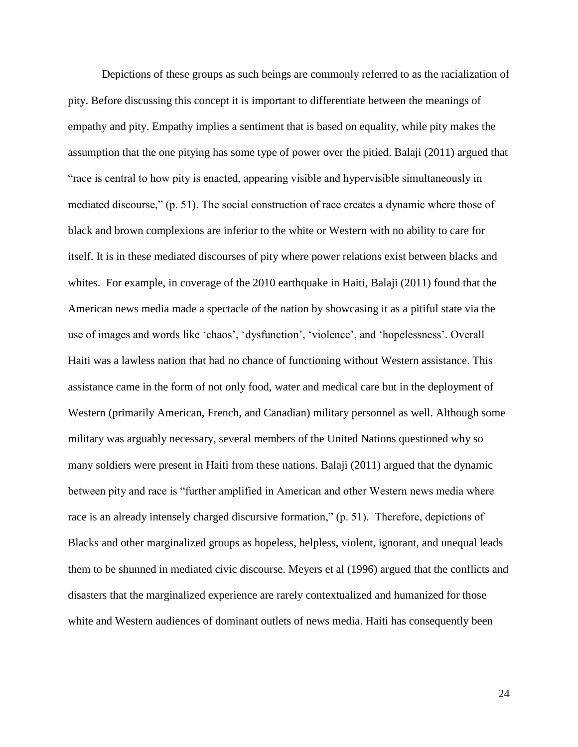Depictions of these groups as such beings are commonly referred to as the racialization of pity. Before discussing this concept it is important to differentiate between the meanings of empathy and pity. Empathy implies a sentiment that is based on equality, while pity makes the assumption that the one pitying has some type of power over the pitied. Balaji (2011) argued that "race is central to how pity is enacted, appearing visible and hypervisible simultaneously in mediated discourse," (p. 51). The social construction of race creates a dynamic where those of black and brown complexions are inferior to the white or Western with no ability to care for itself. It is in these mediated discourses of pity where power relations exist between blacks and whites. For example, in coverage of the 2010 earthquake in Haiti, Balaji (2011) found that the American news media made a spectacle of the nation by showcasing it as a pitiful state via the use of images and words like 'chaos', 'dysfunction', 'violence', and 'hopelessness'. Overall Haiti was a lawless nation that had no chance of functioning without Western assistance. This assistance came in the form of not only food, water and medical care but in the deployment of Western (primarily American, French, and Canadian) military personnel as well. Although some military was arguably necessary, several members of the United Nations questioned why so many soldiers were present in Haiti from these nations. Balaji (2011) argued that the dynamic between pity and race is "further amplified in American and other Western news media where race is an already intensely charged discursive formation," (p. 51). Therefore, depictions of Blacks and other marginalized groups as hopeless, helpless, violent, ignorant, and unequal leads them to be shunned in mediated civic discourse. Meyers et al (1996) argued that the conflicts and disasters that the marginalized experience are rarely contextualized and humanized for those white and Western audiences of dominant outlets of news media. Haiti has consequently been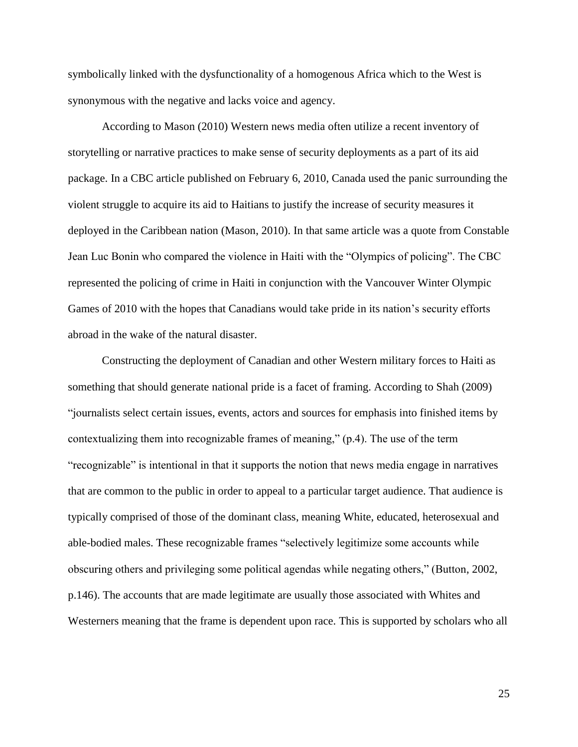symbolically linked with the dysfunctionality of a homogenous Africa which to the West is synonymous with the negative and lacks voice and agency.

According to Mason (2010) Western news media often utilize a recent inventory of storytelling or narrative practices to make sense of security deployments as a part of its aid package. In a CBC article published on February 6, 2010, Canada used the panic surrounding the violent struggle to acquire its aid to Haitians to justify the increase of security measures it deployed in the Caribbean nation (Mason, 2010). In that same article was a quote from Constable Jean Luc Bonin who compared the violence in Haiti with the "Olympics of policing". The CBC represented the policing of crime in Haiti in conjunction with the Vancouver Winter Olympic Games of 2010 with the hopes that Canadians would take pride in its nation's security efforts abroad in the wake of the natural disaster.

Constructing the deployment of Canadian and other Western military forces to Haiti as something that should generate national pride is a facet of framing. According to Shah (2009) "journalists select certain issues, events, actors and sources for emphasis into finished items by contextualizing them into recognizable frames of meaning," (p.4). The use of the term "recognizable" is intentional in that it supports the notion that news media engage in narratives that are common to the public in order to appeal to a particular target audience. That audience is typically comprised of those of the dominant class, meaning White, educated, heterosexual and able-bodied males. These recognizable frames "selectively legitimize some accounts while obscuring others and privileging some political agendas while negating others," (Button, 2002, p.146). The accounts that are made legitimate are usually those associated with Whites and Westerners meaning that the frame is dependent upon race. This is supported by scholars who all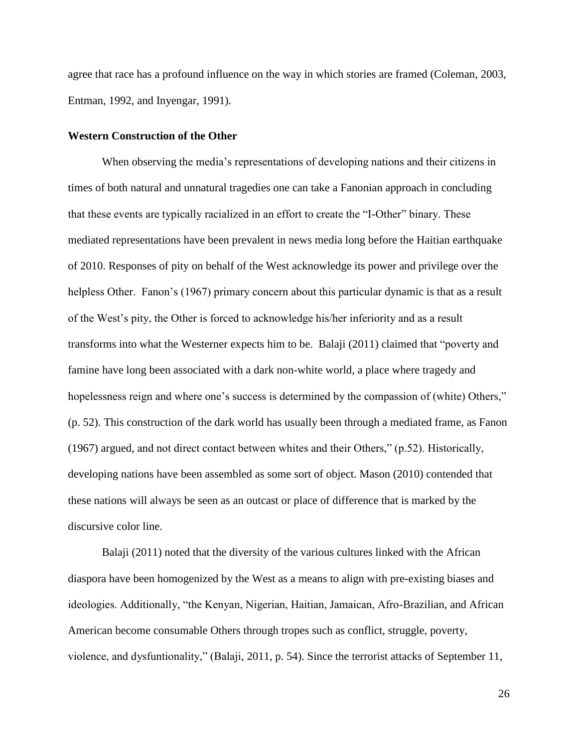agree that race has a profound influence on the way in which stories are framed (Coleman, 2003, Entman, 1992, and Inyengar, 1991).

## **Western Construction of the Other**

When observing the media's representations of developing nations and their citizens in times of both natural and unnatural tragedies one can take a Fanonian approach in concluding that these events are typically racialized in an effort to create the "I-Other" binary. These mediated representations have been prevalent in news media long before the Haitian earthquake of 2010. Responses of pity on behalf of the West acknowledge its power and privilege over the helpless Other. Fanon's (1967) primary concern about this particular dynamic is that as a result of the West's pity, the Other is forced to acknowledge his/her inferiority and as a result transforms into what the Westerner expects him to be. Balaji (2011) claimed that "poverty and famine have long been associated with a dark non-white world, a place where tragedy and hopelessness reign and where one's success is determined by the compassion of (white) Others," (p. 52). This construction of the dark world has usually been through a mediated frame, as Fanon (1967) argued, and not direct contact between whites and their Others," (p.52). Historically, developing nations have been assembled as some sort of object. Mason (2010) contended that these nations will always be seen as an outcast or place of difference that is marked by the discursive color line.

Balaji (2011) noted that the diversity of the various cultures linked with the African diaspora have been homogenized by the West as a means to align with pre-existing biases and ideologies. Additionally, "the Kenyan, Nigerian, Haitian, Jamaican, Afro-Brazilian, and African American become consumable Others through tropes such as conflict, struggle, poverty, violence, and dysfuntionality," (Balaji, 2011, p. 54). Since the terrorist attacks of September 11,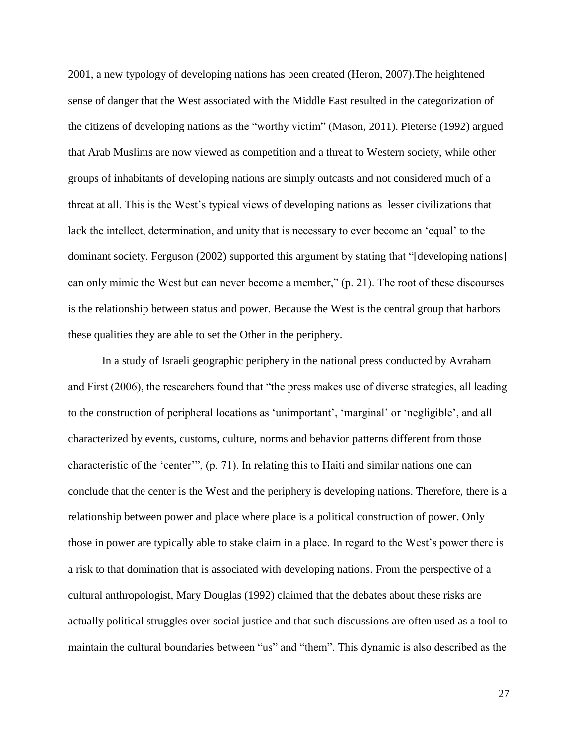2001, a new typology of developing nations has been created (Heron, 2007).The heightened sense of danger that the West associated with the Middle East resulted in the categorization of the citizens of developing nations as the "worthy victim" (Mason, 2011). Pieterse (1992) argued that Arab Muslims are now viewed as competition and a threat to Western society, while other groups of inhabitants of developing nations are simply outcasts and not considered much of a threat at all. This is the West's typical views of developing nations as lesser civilizations that lack the intellect, determination, and unity that is necessary to ever become an 'equal' to the dominant society. Ferguson (2002) supported this argument by stating that "[developing nations] can only mimic the West but can never become a member," (p. 21). The root of these discourses is the relationship between status and power. Because the West is the central group that harbors these qualities they are able to set the Other in the periphery.

In a study of Israeli geographic periphery in the national press conducted by Avraham and First (2006), the researchers found that "the press makes use of diverse strategies, all leading to the construction of peripheral locations as 'unimportant', 'marginal' or 'negligible', and all characterized by events, customs, culture, norms and behavior patterns different from those characteristic of the 'center'", (p. 71). In relating this to Haiti and similar nations one can conclude that the center is the West and the periphery is developing nations. Therefore, there is a relationship between power and place where place is a political construction of power. Only those in power are typically able to stake claim in a place. In regard to the West's power there is a risk to that domination that is associated with developing nations. From the perspective of a cultural anthropologist, Mary Douglas (1992) claimed that the debates about these risks are actually political struggles over social justice and that such discussions are often used as a tool to maintain the cultural boundaries between "us" and "them". This dynamic is also described as the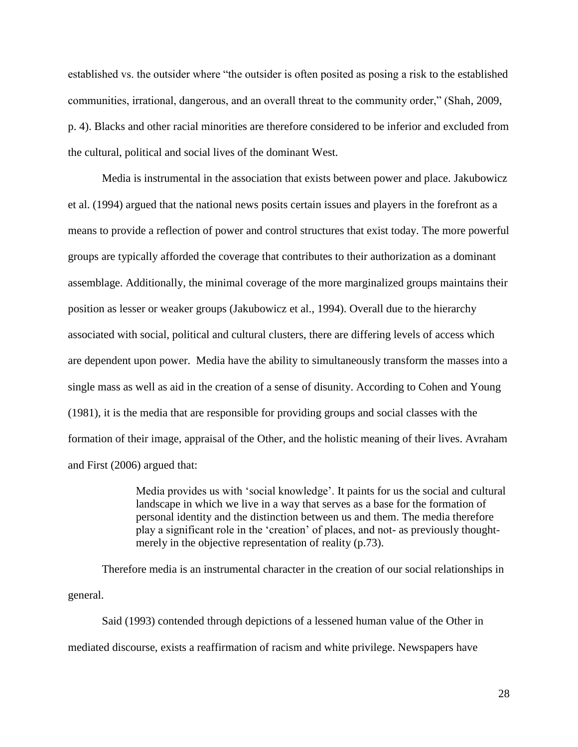established vs. the outsider where "the outsider is often posited as posing a risk to the established communities, irrational, dangerous, and an overall threat to the community order," (Shah, 2009, p. 4). Blacks and other racial minorities are therefore considered to be inferior and excluded from the cultural, political and social lives of the dominant West.

Media is instrumental in the association that exists between power and place. Jakubowicz et al. (1994) argued that the national news posits certain issues and players in the forefront as a means to provide a reflection of power and control structures that exist today. The more powerful groups are typically afforded the coverage that contributes to their authorization as a dominant assemblage. Additionally, the minimal coverage of the more marginalized groups maintains their position as lesser or weaker groups (Jakubowicz et al., 1994). Overall due to the hierarchy associated with social, political and cultural clusters, there are differing levels of access which are dependent upon power. Media have the ability to simultaneously transform the masses into a single mass as well as aid in the creation of a sense of disunity. According to Cohen and Young (1981), it is the media that are responsible for providing groups and social classes with the formation of their image, appraisal of the Other, and the holistic meaning of their lives. Avraham and First (2006) argued that:

> Media provides us with 'social knowledge'. It paints for us the social and cultural landscape in which we live in a way that serves as a base for the formation of personal identity and the distinction between us and them. The media therefore play a significant role in the 'creation' of places, and not- as previously thoughtmerely in the objective representation of reality (p.73).

Therefore media is an instrumental character in the creation of our social relationships in general.

Said (1993) contended through depictions of a lessened human value of the Other in mediated discourse, exists a reaffirmation of racism and white privilege. Newspapers have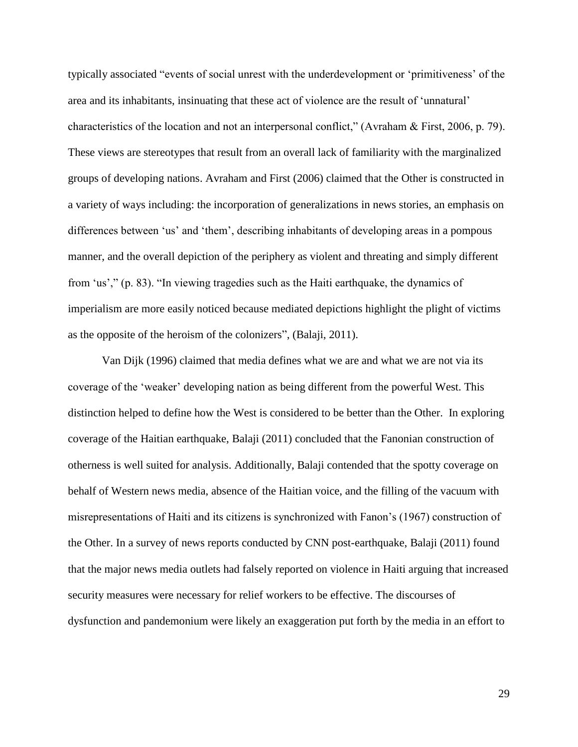typically associated "events of social unrest with the underdevelopment or 'primitiveness' of the area and its inhabitants, insinuating that these act of violence are the result of 'unnatural' characteristics of the location and not an interpersonal conflict," (Avraham & First, 2006, p. 79). These views are stereotypes that result from an overall lack of familiarity with the marginalized groups of developing nations. Avraham and First (2006) claimed that the Other is constructed in a variety of ways including: the incorporation of generalizations in news stories, an emphasis on differences between 'us' and 'them', describing inhabitants of developing areas in a pompous manner, and the overall depiction of the periphery as violent and threating and simply different from 'us'," (p. 83). "In viewing tragedies such as the Haiti earthquake, the dynamics of imperialism are more easily noticed because mediated depictions highlight the plight of victims as the opposite of the heroism of the colonizers", (Balaji, 2011).

Van Dijk (1996) claimed that media defines what we are and what we are not via its coverage of the 'weaker' developing nation as being different from the powerful West. This distinction helped to define how the West is considered to be better than the Other. In exploring coverage of the Haitian earthquake, Balaji (2011) concluded that the Fanonian construction of otherness is well suited for analysis. Additionally, Balaji contended that the spotty coverage on behalf of Western news media, absence of the Haitian voice, and the filling of the vacuum with misrepresentations of Haiti and its citizens is synchronized with Fanon's (1967) construction of the Other. In a survey of news reports conducted by CNN post-earthquake, Balaji (2011) found that the major news media outlets had falsely reported on violence in Haiti arguing that increased security measures were necessary for relief workers to be effective. The discourses of dysfunction and pandemonium were likely an exaggeration put forth by the media in an effort to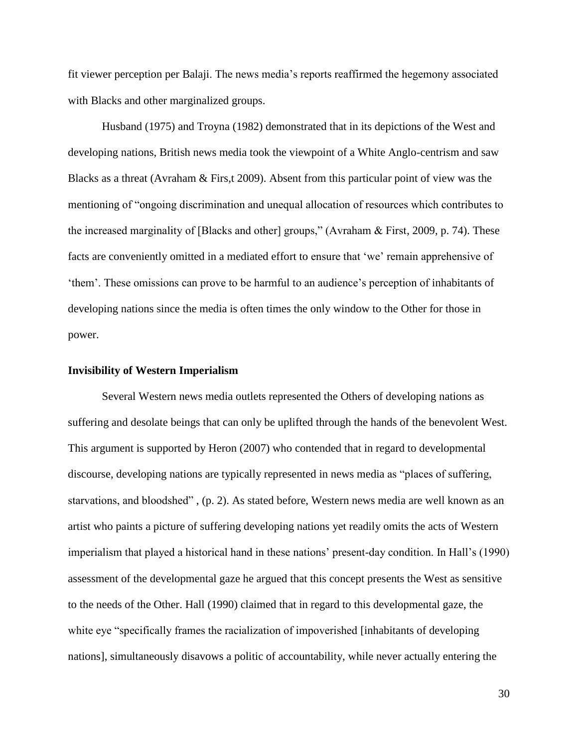fit viewer perception per Balaji. The news media's reports reaffirmed the hegemony associated with Blacks and other marginalized groups.

Husband (1975) and Troyna (1982) demonstrated that in its depictions of the West and developing nations, British news media took the viewpoint of a White Anglo-centrism and saw Blacks as a threat (Avraham & Firs,t 2009). Absent from this particular point of view was the mentioning of "ongoing discrimination and unequal allocation of resources which contributes to the increased marginality of [Blacks and other] groups," (Avraham & First, 2009, p. 74). These facts are conveniently omitted in a mediated effort to ensure that 'we' remain apprehensive of 'them'. These omissions can prove to be harmful to an audience's perception of inhabitants of developing nations since the media is often times the only window to the Other for those in power.

#### **Invisibility of Western Imperialism**

Several Western news media outlets represented the Others of developing nations as suffering and desolate beings that can only be uplifted through the hands of the benevolent West. This argument is supported by Heron (2007) who contended that in regard to developmental discourse, developing nations are typically represented in news media as "places of suffering, starvations, and bloodshed" , (p. 2). As stated before, Western news media are well known as an artist who paints a picture of suffering developing nations yet readily omits the acts of Western imperialism that played a historical hand in these nations' present-day condition. In Hall's (1990) assessment of the developmental gaze he argued that this concept presents the West as sensitive to the needs of the Other. Hall (1990) claimed that in regard to this developmental gaze, the white eye "specifically frames the racialization of impoverished [inhabitants of developing nations], simultaneously disavows a politic of accountability, while never actually entering the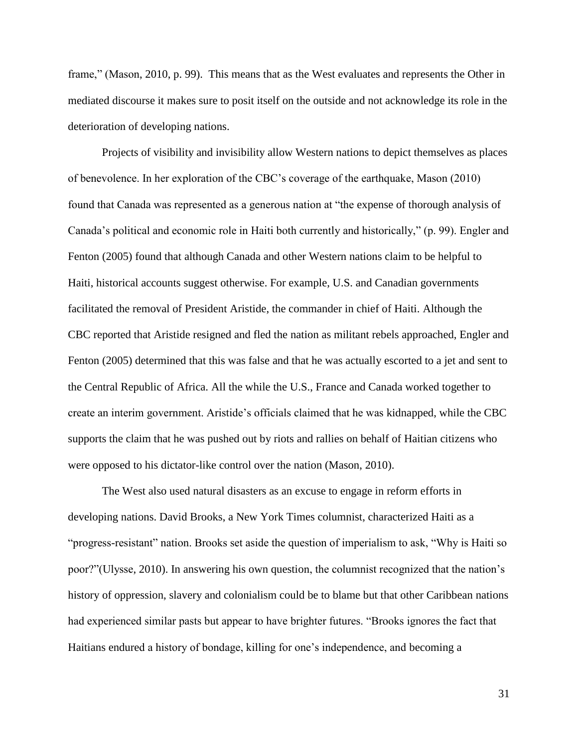frame," (Mason, 2010, p. 99). This means that as the West evaluates and represents the Other in mediated discourse it makes sure to posit itself on the outside and not acknowledge its role in the deterioration of developing nations.

Projects of visibility and invisibility allow Western nations to depict themselves as places of benevolence. In her exploration of the CBC's coverage of the earthquake, Mason (2010) found that Canada was represented as a generous nation at "the expense of thorough analysis of Canada's political and economic role in Haiti both currently and historically," (p. 99). Engler and Fenton (2005) found that although Canada and other Western nations claim to be helpful to Haiti, historical accounts suggest otherwise. For example, U.S. and Canadian governments facilitated the removal of President Aristide, the commander in chief of Haiti. Although the CBC reported that Aristide resigned and fled the nation as militant rebels approached, Engler and Fenton (2005) determined that this was false and that he was actually escorted to a jet and sent to the Central Republic of Africa. All the while the U.S., France and Canada worked together to create an interim government. Aristide's officials claimed that he was kidnapped, while the CBC supports the claim that he was pushed out by riots and rallies on behalf of Haitian citizens who were opposed to his dictator-like control over the nation (Mason, 2010).

The West also used natural disasters as an excuse to engage in reform efforts in developing nations. David Brooks, a New York Times columnist, characterized Haiti as a "progress-resistant" nation. Brooks set aside the question of imperialism to ask, "Why is Haiti so poor?"(Ulysse, 2010). In answering his own question, the columnist recognized that the nation's history of oppression, slavery and colonialism could be to blame but that other Caribbean nations had experienced similar pasts but appear to have brighter futures. "Brooks ignores the fact that Haitians endured a history of bondage, killing for one's independence, and becoming a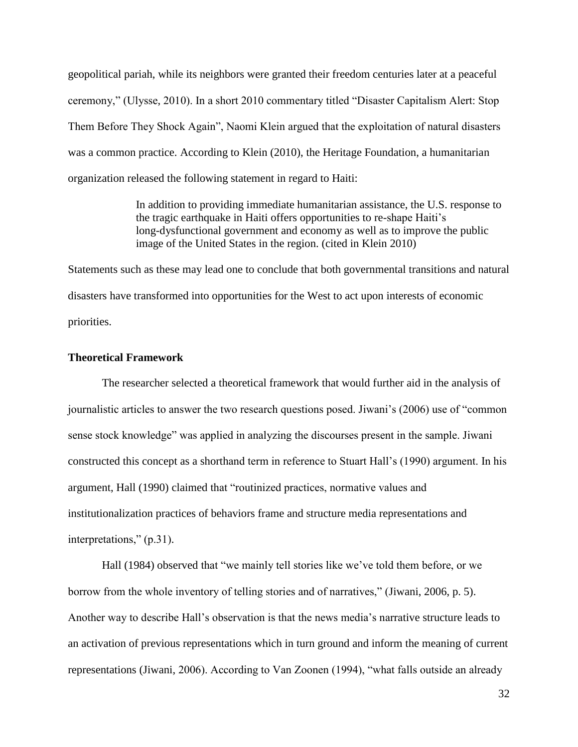geopolitical pariah, while its neighbors were granted their freedom centuries later at a peaceful ceremony," (Ulysse, 2010). In a short 2010 commentary titled "Disaster Capitalism Alert: Stop Them Before They Shock Again", Naomi Klein argued that the exploitation of natural disasters was a common practice. According to Klein (2010), the Heritage Foundation, a humanitarian organization released the following statement in regard to Haiti:

> In addition to providing immediate humanitarian assistance, the U.S. response to the tragic earthquake in Haiti offers opportunities to re-shape Haiti's long-dysfunctional government and economy as well as to improve the public image of the United States in the region. (cited in Klein 2010)

Statements such as these may lead one to conclude that both governmental transitions and natural disasters have transformed into opportunities for the West to act upon interests of economic priorities.

## **Theoretical Framework**

The researcher selected a theoretical framework that would further aid in the analysis of journalistic articles to answer the two research questions posed. Jiwani's (2006) use of "common sense stock knowledge" was applied in analyzing the discourses present in the sample. Jiwani constructed this concept as a shorthand term in reference to Stuart Hall's (1990) argument. In his argument, Hall (1990) claimed that "routinized practices, normative values and institutionalization practices of behaviors frame and structure media representations and interpretations," (p.31).

Hall (1984) observed that "we mainly tell stories like we've told them before, or we borrow from the whole inventory of telling stories and of narratives," (Jiwani, 2006, p. 5). Another way to describe Hall's observation is that the news media's narrative structure leads to an activation of previous representations which in turn ground and inform the meaning of current representations (Jiwani, 2006). According to Van Zoonen (1994), "what falls outside an already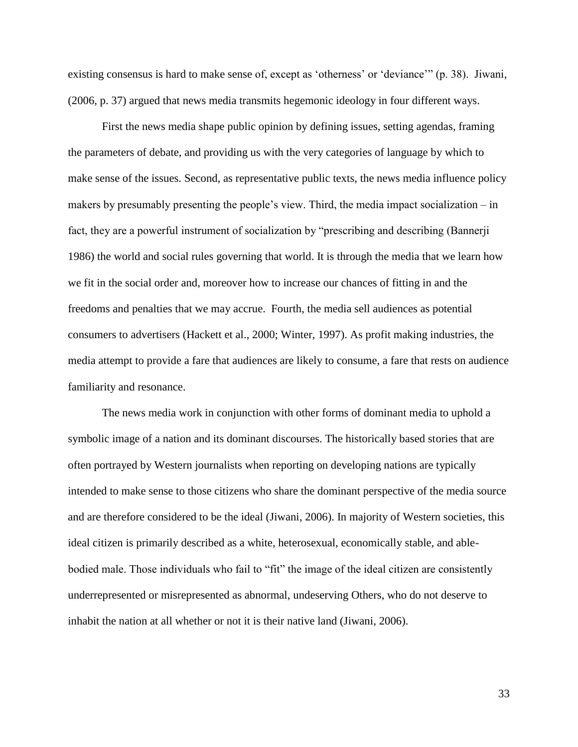existing consensus is hard to make sense of, except as 'otherness' or 'deviance'" (p. 38). Jiwani, (2006, p. 37) argued that news media transmits hegemonic ideology in four different ways.

First the news media shape public opinion by defining issues, setting agendas, framing the parameters of debate, and providing us with the very categories of language by which to make sense of the issues. Second, as representative public texts, the news media influence policy makers by presumably presenting the people's view. Third, the media impact socialization – in fact, they are a powerful instrument of socialization by "prescribing and describing (Bannerji 1986) the world and social rules governing that world. It is through the media that we learn how we fit in the social order and, moreover how to increase our chances of fitting in and the freedoms and penalties that we may accrue. Fourth, the media sell audiences as potential consumers to advertisers (Hackett et al., 2000; Winter, 1997). As profit making industries, the media attempt to provide a fare that audiences are likely to consume, a fare that rests on audience familiarity and resonance.

The news media work in conjunction with other forms of dominant media to uphold a symbolic image of a nation and its dominant discourses. The historically based stories that are often portrayed by Western journalists when reporting on developing nations are typically intended to make sense to those citizens who share the dominant perspective of the media source and are therefore considered to be the ideal (Jiwani, 2006). In majority of Western societies, this ideal citizen is primarily described as a white, heterosexual, economically stable, and ablebodied male. Those individuals who fail to "fit" the image of the ideal citizen are consistently underrepresented or misrepresented as abnormal, undeserving Others, who do not deserve to inhabit the nation at all whether or not it is their native land (Jiwani, 2006).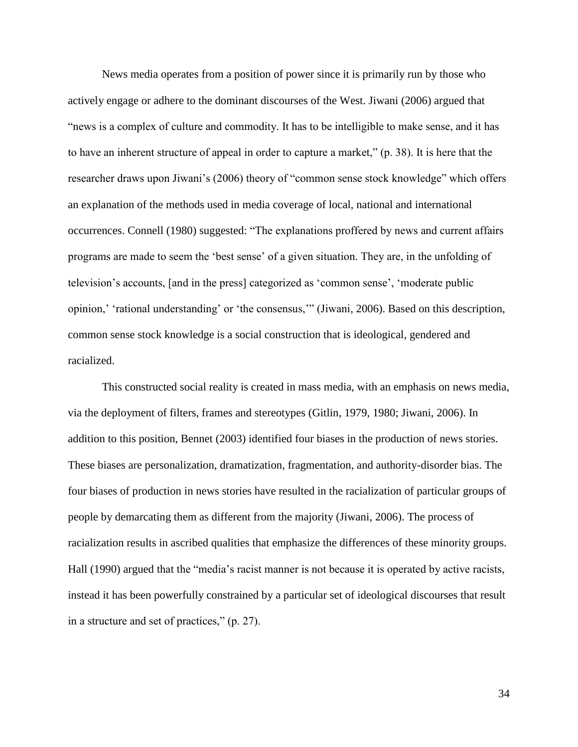News media operates from a position of power since it is primarily run by those who actively engage or adhere to the dominant discourses of the West. Jiwani (2006) argued that "news is a complex of culture and commodity. It has to be intelligible to make sense, and it has to have an inherent structure of appeal in order to capture a market," (p. 38). It is here that the researcher draws upon Jiwani's (2006) theory of "common sense stock knowledge" which offers an explanation of the methods used in media coverage of local, national and international occurrences. Connell (1980) suggested: "The explanations proffered by news and current affairs programs are made to seem the 'best sense' of a given situation. They are, in the unfolding of television's accounts, [and in the press] categorized as 'common sense', 'moderate public opinion,' 'rational understanding' or 'the consensus,'" (Jiwani, 2006). Based on this description, common sense stock knowledge is a social construction that is ideological, gendered and racialized.

This constructed social reality is created in mass media, with an emphasis on news media, via the deployment of filters, frames and stereotypes (Gitlin, 1979, 1980; Jiwani, 2006). In addition to this position, Bennet (2003) identified four biases in the production of news stories. These biases are personalization, dramatization, fragmentation, and authority-disorder bias. The four biases of production in news stories have resulted in the racialization of particular groups of people by demarcating them as different from the majority (Jiwani, 2006). The process of racialization results in ascribed qualities that emphasize the differences of these minority groups. Hall (1990) argued that the "media's racist manner is not because it is operated by active racists, instead it has been powerfully constrained by a particular set of ideological discourses that result in a structure and set of practices," (p. 27).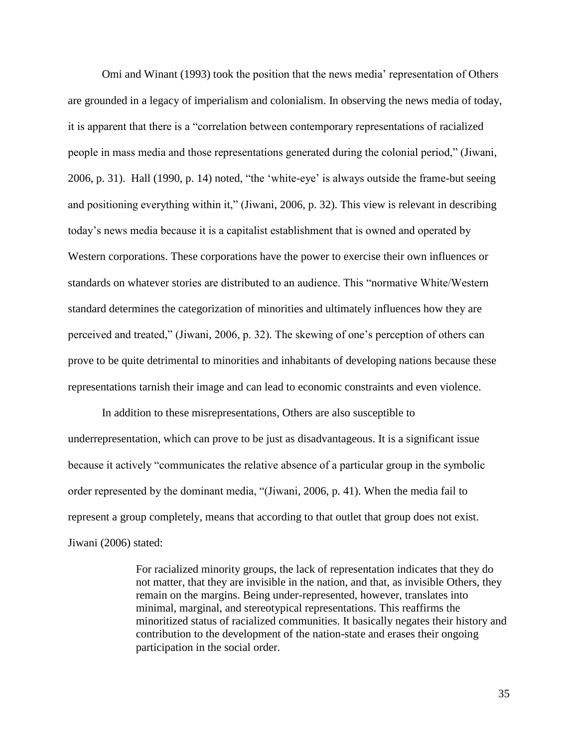Omi and Winant (1993) took the position that the news media' representation of Others are grounded in a legacy of imperialism and colonialism. In observing the news media of today, it is apparent that there is a "correlation between contemporary representations of racialized people in mass media and those representations generated during the colonial period," (Jiwani, 2006, p. 31). Hall (1990, p. 14) noted, "the 'white-eye' is always outside the frame-but seeing and positioning everything within it," (Jiwani, 2006, p. 32). This view is relevant in describing today's news media because it is a capitalist establishment that is owned and operated by Western corporations. These corporations have the power to exercise their own influences or standards on whatever stories are distributed to an audience. This "normative White/Western standard determines the categorization of minorities and ultimately influences how they are perceived and treated," (Jiwani, 2006, p. 32). The skewing of one's perception of others can prove to be quite detrimental to minorities and inhabitants of developing nations because these representations tarnish their image and can lead to economic constraints and even violence.

In addition to these misrepresentations, Others are also susceptible to underrepresentation, which can prove to be just as disadvantageous. It is a significant issue because it actively "communicates the relative absence of a particular group in the symbolic order represented by the dominant media, "(Jiwani, 2006, p. 41). When the media fail to represent a group completely, means that according to that outlet that group does not exist. Jiwani (2006) stated:

> For racialized minority groups, the lack of representation indicates that they do not matter, that they are invisible in the nation, and that, as invisible Others, they remain on the margins. Being under-represented, however, translates into minimal, marginal, and stereotypical representations. This reaffirms the minoritized status of racialized communities. It basically negates their history and contribution to the development of the nation-state and erases their ongoing participation in the social order.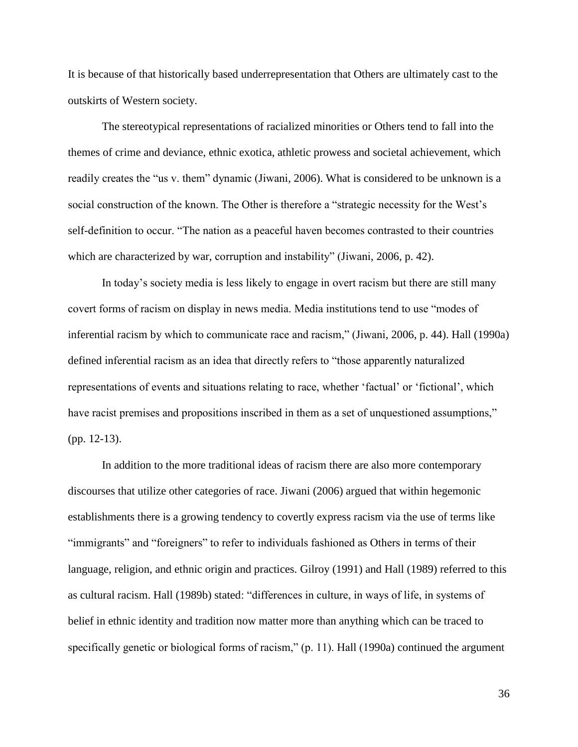It is because of that historically based underrepresentation that Others are ultimately cast to the outskirts of Western society.

The stereotypical representations of racialized minorities or Others tend to fall into the themes of crime and deviance, ethnic exotica, athletic prowess and societal achievement, which readily creates the "us v. them" dynamic (Jiwani, 2006). What is considered to be unknown is a social construction of the known. The Other is therefore a "strategic necessity for the West's self-definition to occur. "The nation as a peaceful haven becomes contrasted to their countries which are characterized by war, corruption and instability" (Jiwani, 2006, p. 42).

In today's society media is less likely to engage in overt racism but there are still many covert forms of racism on display in news media. Media institutions tend to use "modes of inferential racism by which to communicate race and racism," (Jiwani, 2006, p. 44). Hall (1990a) defined inferential racism as an idea that directly refers to "those apparently naturalized representations of events and situations relating to race, whether 'factual' or 'fictional', which have racist premises and propositions inscribed in them as a set of unquestioned assumptions," (pp. 12-13).

In addition to the more traditional ideas of racism there are also more contemporary discourses that utilize other categories of race. Jiwani (2006) argued that within hegemonic establishments there is a growing tendency to covertly express racism via the use of terms like "immigrants" and "foreigners" to refer to individuals fashioned as Others in terms of their language, religion, and ethnic origin and practices. Gilroy (1991) and Hall (1989) referred to this as cultural racism. Hall (1989b) stated: "differences in culture, in ways of life, in systems of belief in ethnic identity and tradition now matter more than anything which can be traced to specifically genetic or biological forms of racism," (p. 11). Hall (1990a) continued the argument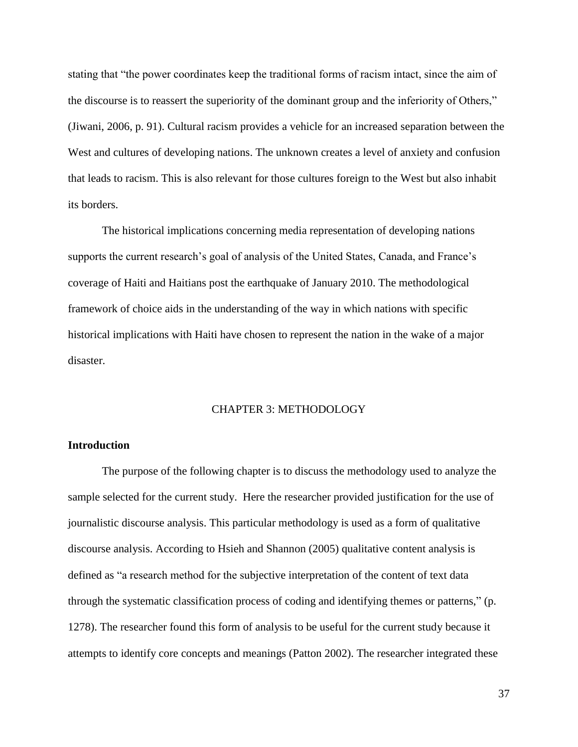stating that "the power coordinates keep the traditional forms of racism intact, since the aim of the discourse is to reassert the superiority of the dominant group and the inferiority of Others," (Jiwani, 2006, p. 91). Cultural racism provides a vehicle for an increased separation between the West and cultures of developing nations. The unknown creates a level of anxiety and confusion that leads to racism. This is also relevant for those cultures foreign to the West but also inhabit its borders.

The historical implications concerning media representation of developing nations supports the current research's goal of analysis of the United States, Canada, and France's coverage of Haiti and Haitians post the earthquake of January 2010. The methodological framework of choice aids in the understanding of the way in which nations with specific historical implications with Haiti have chosen to represent the nation in the wake of a major disaster.

## CHAPTER 3: METHODOLOGY

## **Introduction**

The purpose of the following chapter is to discuss the methodology used to analyze the sample selected for the current study. Here the researcher provided justification for the use of journalistic discourse analysis. This particular methodology is used as a form of qualitative discourse analysis. According to Hsieh and Shannon (2005) qualitative content analysis is defined as "a research method for the subjective interpretation of the content of text data through the systematic classification process of coding and identifying themes or patterns," (p. 1278). The researcher found this form of analysis to be useful for the current study because it attempts to identify core concepts and meanings (Patton 2002). The researcher integrated these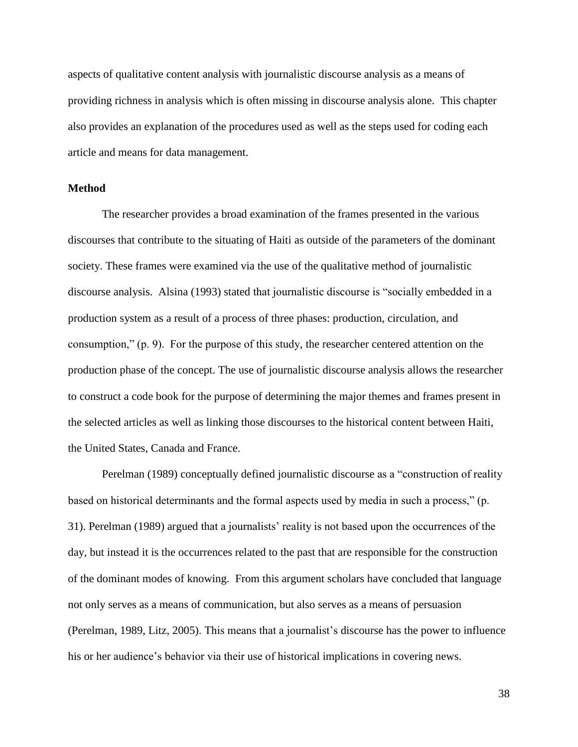aspects of qualitative content analysis with journalistic discourse analysis as a means of providing richness in analysis which is often missing in discourse analysis alone. This chapter also provides an explanation of the procedures used as well as the steps used for coding each article and means for data management.

## **Method**

The researcher provides a broad examination of the frames presented in the various discourses that contribute to the situating of Haiti as outside of the parameters of the dominant society. These frames were examined via the use of the qualitative method of journalistic discourse analysis. Alsina (1993) stated that journalistic discourse is "socially embedded in a production system as a result of a process of three phases: production, circulation, and consumption," (p. 9). For the purpose of this study, the researcher centered attention on the production phase of the concept. The use of journalistic discourse analysis allows the researcher to construct a code book for the purpose of determining the major themes and frames present in the selected articles as well as linking those discourses to the historical content between Haiti, the United States, Canada and France.

Perelman (1989) conceptually defined journalistic discourse as a "construction of reality based on historical determinants and the formal aspects used by media in such a process," (p. 31). Perelman (1989) argued that a journalists' reality is not based upon the occurrences of the day, but instead it is the occurrences related to the past that are responsible for the construction of the dominant modes of knowing. From this argument scholars have concluded that language not only serves as a means of communication, but also serves as a means of persuasion (Perelman, 1989, Litz, 2005). This means that a journalist's discourse has the power to influence his or her audience's behavior via their use of historical implications in covering news.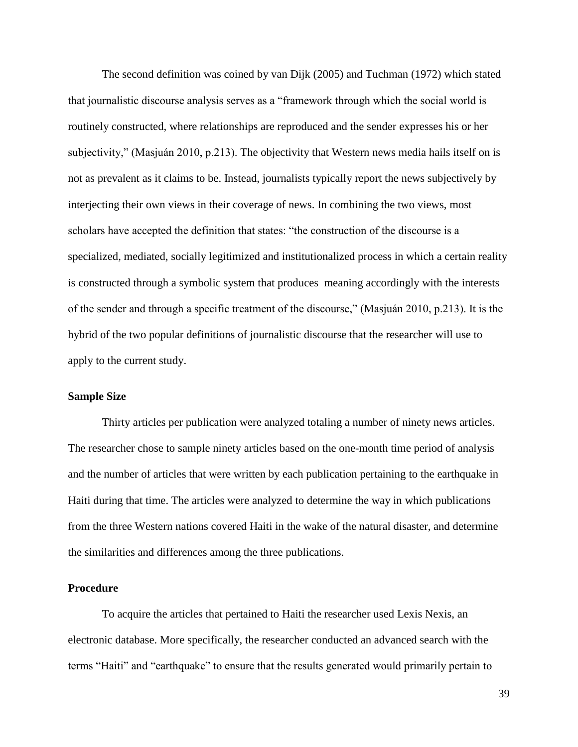The second definition was coined by van Dijk (2005) and Tuchman (1972) which stated that journalistic discourse analysis serves as a "framework through which the social world is routinely constructed, where relationships are reproduced and the sender expresses his or her subjectivity," (Masjuán 2010, p.213). The objectivity that Western news media hails itself on is not as prevalent as it claims to be. Instead, journalists typically report the news subjectively by interjecting their own views in their coverage of news. In combining the two views, most scholars have accepted the definition that states: "the construction of the discourse is a specialized, mediated, socially legitimized and institutionalized process in which a certain reality is constructed through a symbolic system that produces meaning accordingly with the interests of the sender and through a specific treatment of the discourse," (Masjuán 2010, p.213). It is the hybrid of the two popular definitions of journalistic discourse that the researcher will use to apply to the current study.

## **Sample Size**

Thirty articles per publication were analyzed totaling a number of ninety news articles. The researcher chose to sample ninety articles based on the one-month time period of analysis and the number of articles that were written by each publication pertaining to the earthquake in Haiti during that time. The articles were analyzed to determine the way in which publications from the three Western nations covered Haiti in the wake of the natural disaster, and determine the similarities and differences among the three publications.

### **Procedure**

To acquire the articles that pertained to Haiti the researcher used Lexis Nexis, an electronic database. More specifically, the researcher conducted an advanced search with the terms "Haiti" and "earthquake" to ensure that the results generated would primarily pertain to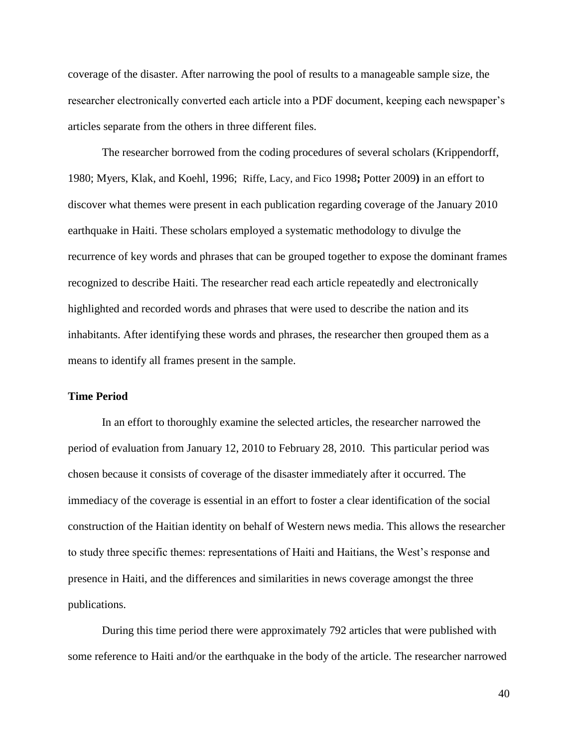coverage of the disaster. After narrowing the pool of results to a manageable sample size, the researcher electronically converted each article into a PDF document, keeping each newspaper's articles separate from the others in three different files.

The researcher borrowed from the coding procedures of several scholars (Krippendorff, 1980; Myers, Klak, and Koehl, 1996; Riffe, Lacy, and Fico 1998**;** Potter 2009**)** in an effort to discover what themes were present in each publication regarding coverage of the January 2010 earthquake in Haiti. These scholars employed a systematic methodology to divulge the recurrence of key words and phrases that can be grouped together to expose the dominant frames recognized to describe Haiti. The researcher read each article repeatedly and electronically highlighted and recorded words and phrases that were used to describe the nation and its inhabitants. After identifying these words and phrases, the researcher then grouped them as a means to identify all frames present in the sample.

#### **Time Period**

In an effort to thoroughly examine the selected articles, the researcher narrowed the period of evaluation from January 12, 2010 to February 28, 2010. This particular period was chosen because it consists of coverage of the disaster immediately after it occurred. The immediacy of the coverage is essential in an effort to foster a clear identification of the social construction of the Haitian identity on behalf of Western news media. This allows the researcher to study three specific themes: representations of Haiti and Haitians, the West's response and presence in Haiti, and the differences and similarities in news coverage amongst the three publications.

During this time period there were approximately 792 articles that were published with some reference to Haiti and/or the earthquake in the body of the article. The researcher narrowed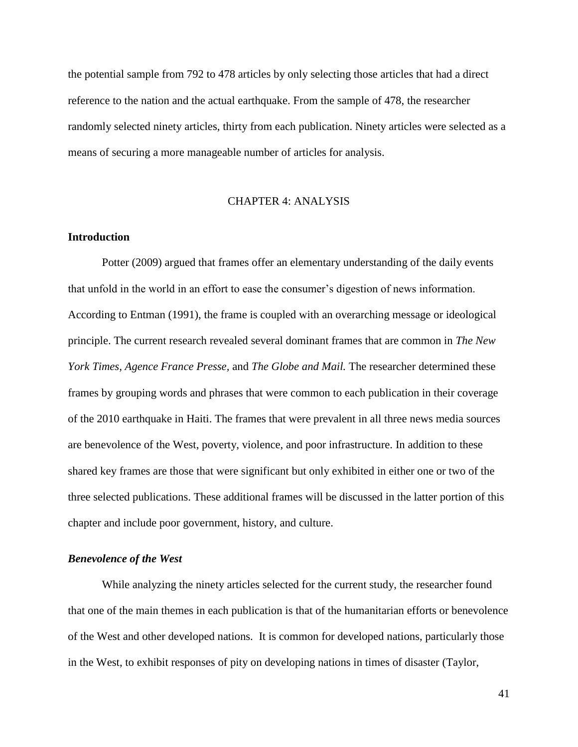the potential sample from 792 to 478 articles by only selecting those articles that had a direct reference to the nation and the actual earthquake. From the sample of 478, the researcher randomly selected ninety articles, thirty from each publication. Ninety articles were selected as a means of securing a more manageable number of articles for analysis.

#### CHAPTER 4: ANALYSIS

#### **Introduction**

Potter (2009) argued that frames offer an elementary understanding of the daily events that unfold in the world in an effort to ease the consumer's digestion of news information. According to Entman (1991), the frame is coupled with an overarching message or ideological principle. The current research revealed several dominant frames that are common in *The New York Times, Agence France Presse,* and *The Globe and Mail.* The researcher determined these frames by grouping words and phrases that were common to each publication in their coverage of the 2010 earthquake in Haiti. The frames that were prevalent in all three news media sources are benevolence of the West, poverty, violence, and poor infrastructure. In addition to these shared key frames are those that were significant but only exhibited in either one or two of the three selected publications. These additional frames will be discussed in the latter portion of this chapter and include poor government, history, and culture.

#### *Benevolence of the West*

While analyzing the ninety articles selected for the current study, the researcher found that one of the main themes in each publication is that of the humanitarian efforts or benevolence of the West and other developed nations. It is common for developed nations, particularly those in the West, to exhibit responses of pity on developing nations in times of disaster (Taylor,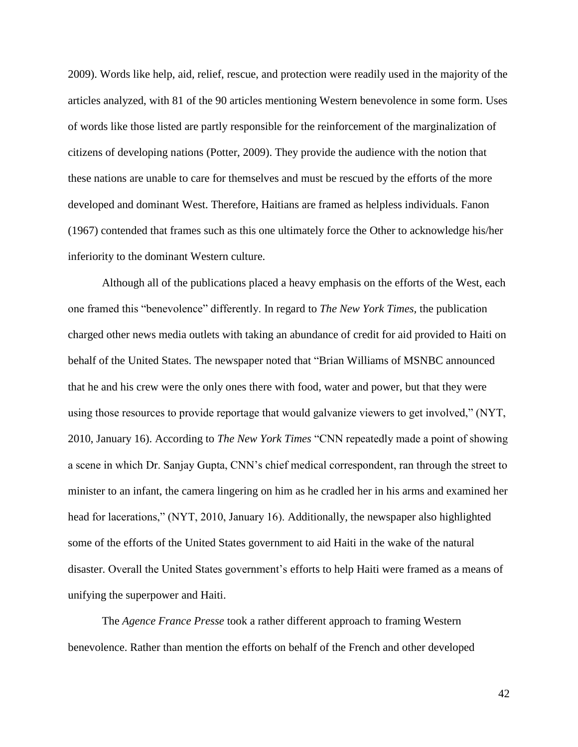2009). Words like help, aid, relief, rescue, and protection were readily used in the majority of the articles analyzed, with 81 of the 90 articles mentioning Western benevolence in some form. Uses of words like those listed are partly responsible for the reinforcement of the marginalization of citizens of developing nations (Potter, 2009). They provide the audience with the notion that these nations are unable to care for themselves and must be rescued by the efforts of the more developed and dominant West. Therefore, Haitians are framed as helpless individuals. Fanon (1967) contended that frames such as this one ultimately force the Other to acknowledge his/her inferiority to the dominant Western culture.

Although all of the publications placed a heavy emphasis on the efforts of the West, each one framed this "benevolence" differently. In regard to *The New York Times,* the publication charged other news media outlets with taking an abundance of credit for aid provided to Haiti on behalf of the United States. The newspaper noted that "Brian Williams of MSNBC announced that he and his crew were the only ones there with food, water and power, but that they were using those resources to provide reportage that would galvanize viewers to get involved," (NYT, 2010, January 16). According to *The New York Times* "CNN repeatedly made a point of showing a scene in which Dr. Sanjay Gupta, CNN's chief medical correspondent, ran through the street to minister to an infant, the camera lingering on him as he cradled her in his arms and examined her head for lacerations," (NYT, 2010, January 16). Additionally, the newspaper also highlighted some of the efforts of the United States government to aid Haiti in the wake of the natural disaster. Overall the United States government's efforts to help Haiti were framed as a means of unifying the superpower and Haiti.

The *Agence France Presse* took a rather different approach to framing Western benevolence. Rather than mention the efforts on behalf of the French and other developed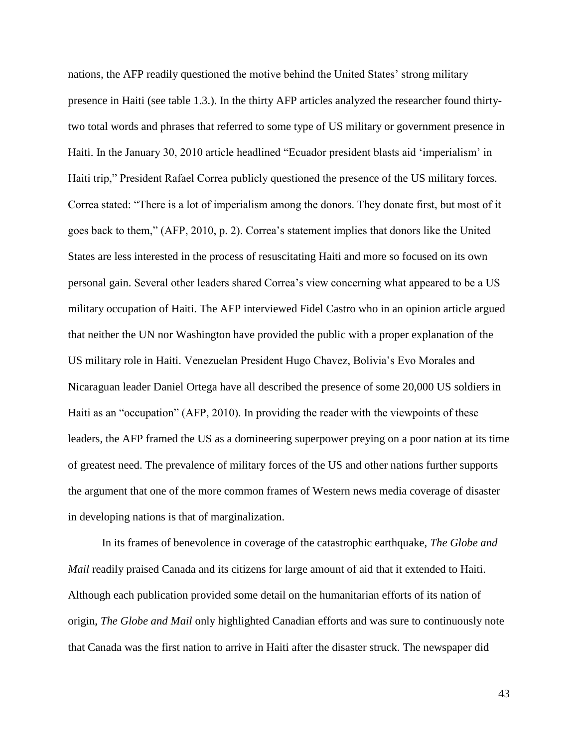nations, the AFP readily questioned the motive behind the United States' strong military presence in Haiti (see table 1.3.). In the thirty AFP articles analyzed the researcher found thirtytwo total words and phrases that referred to some type of US military or government presence in Haiti. In the January 30, 2010 article headlined "Ecuador president blasts aid 'imperialism' in Haiti trip," President Rafael Correa publicly questioned the presence of the US military forces. Correa stated: "There is a lot of imperialism among the donors. They donate first, but most of it goes back to them," (AFP, 2010, p. 2). Correa's statement implies that donors like the United States are less interested in the process of resuscitating Haiti and more so focused on its own personal gain. Several other leaders shared Correa's view concerning what appeared to be a US military occupation of Haiti. The AFP interviewed Fidel Castro who in an opinion article argued that neither the UN nor Washington have provided the public with a proper explanation of the US military role in Haiti. Venezuelan President Hugo Chavez, Bolivia's Evo Morales and Nicaraguan leader Daniel Ortega have all described the presence of some 20,000 US soldiers in Haiti as an "occupation" (AFP, 2010). In providing the reader with the viewpoints of these leaders, the AFP framed the US as a domineering superpower preying on a poor nation at its time of greatest need. The prevalence of military forces of the US and other nations further supports the argument that one of the more common frames of Western news media coverage of disaster in developing nations is that of marginalization.

In its frames of benevolence in coverage of the catastrophic earthquake, *The Globe and Mail* readily praised Canada and its citizens for large amount of aid that it extended to Haiti. Although each publication provided some detail on the humanitarian efforts of its nation of origin, *The Globe and Mail* only highlighted Canadian efforts and was sure to continuously note that Canada was the first nation to arrive in Haiti after the disaster struck. The newspaper did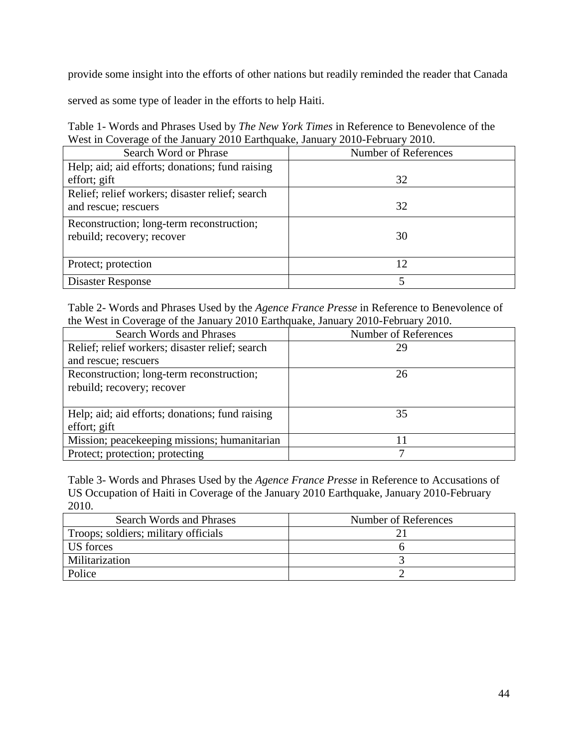provide some insight into the efforts of other nations but readily reminded the reader that Canada

served as some type of leader in the efforts to help Haiti.

Table 1- Words and Phrases Used by *The New York Times* in Reference to Benevolence of the West in Coverage of the January 2010 Earthquake, January 2010-February 2010.

| Search Word or Phrase                           | Number of References |
|-------------------------------------------------|----------------------|
| Help; aid; aid efforts; donations; fund raising |                      |
| effort; gift                                    | 32                   |
| Relief; relief workers; disaster relief; search |                      |
| and rescue; rescuers                            | 32                   |
| Reconstruction; long-term reconstruction;       |                      |
| rebuild; recovery; recover                      | 30                   |
|                                                 |                      |
| Protect; protection                             | 12                   |
| Disaster Response                               |                      |

Table 2- Words and Phrases Used by the *Agence France Presse* in Reference to Benevolence of the West in Coverage of the January 2010 Earthquake, January 2010-February 2010.

| <b>Search Words and Phrases</b>                 | Number of References |
|-------------------------------------------------|----------------------|
| Relief; relief workers; disaster relief; search | 29                   |
| and rescue; rescuers                            |                      |
| Reconstruction; long-term reconstruction;       | 26                   |
| rebuild; recovery; recover                      |                      |
|                                                 |                      |
| Help; aid; aid efforts; donations; fund raising | 35                   |
| effort; gift                                    |                      |
| Mission; peacekeeping missions; humanitarian    | 11                   |
| Protect; protection; protecting                 |                      |

Table 3- Words and Phrases Used by the *Agence France Presse* in Reference to Accusations of US Occupation of Haiti in Coverage of the January 2010 Earthquake, January 2010-February 2010.

| Search Words and Phrases             | Number of References |
|--------------------------------------|----------------------|
| Troops; soldiers; military officials |                      |
| US forces                            |                      |
| Militarization                       |                      |
| Police                               |                      |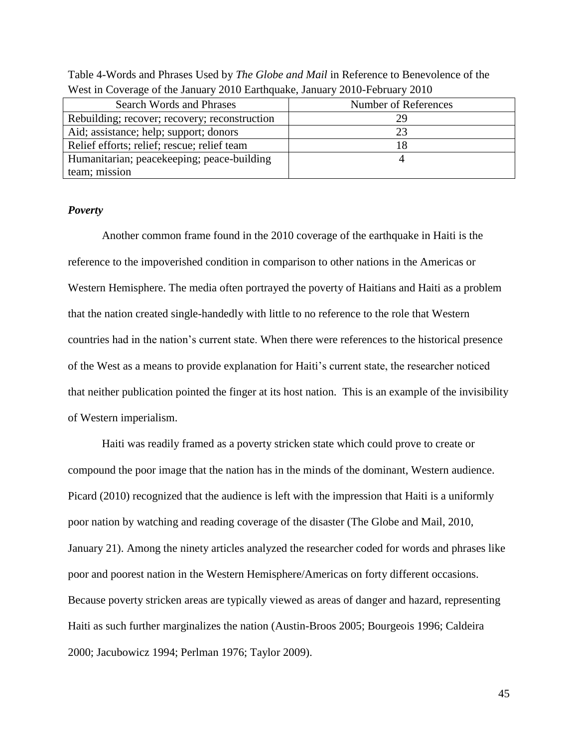| Search Words and Phrases                      | Number of References |
|-----------------------------------------------|----------------------|
| Rebuilding; recover; recovery; reconstruction | 7Q                   |
| Aid; assistance; help; support; donors        |                      |
| Relief efforts; relief; rescue; relief team   |                      |
| Humanitarian; peacekeeping; peace-building    |                      |
| team; mission                                 |                      |

Table 4-Words and Phrases Used by *The Globe and Mail* in Reference to Benevolence of the West in Coverage of the January 2010 Earthquake, January 2010-February 2010

#### *Poverty*

Another common frame found in the 2010 coverage of the earthquake in Haiti is the reference to the impoverished condition in comparison to other nations in the Americas or Western Hemisphere. The media often portrayed the poverty of Haitians and Haiti as a problem that the nation created single-handedly with little to no reference to the role that Western countries had in the nation's current state. When there were references to the historical presence of the West as a means to provide explanation for Haiti's current state, the researcher noticed that neither publication pointed the finger at its host nation. This is an example of the invisibility of Western imperialism.

Haiti was readily framed as a poverty stricken state which could prove to create or compound the poor image that the nation has in the minds of the dominant, Western audience. Picard (2010) recognized that the audience is left with the impression that Haiti is a uniformly poor nation by watching and reading coverage of the disaster (The Globe and Mail, 2010, January 21). Among the ninety articles analyzed the researcher coded for words and phrases like poor and poorest nation in the Western Hemisphere/Americas on forty different occasions. Because poverty stricken areas are typically viewed as areas of danger and hazard, representing Haiti as such further marginalizes the nation (Austin-Broos 2005; Bourgeois 1996; Caldeira 2000; Jacubowicz 1994; Perlman 1976; Taylor 2009).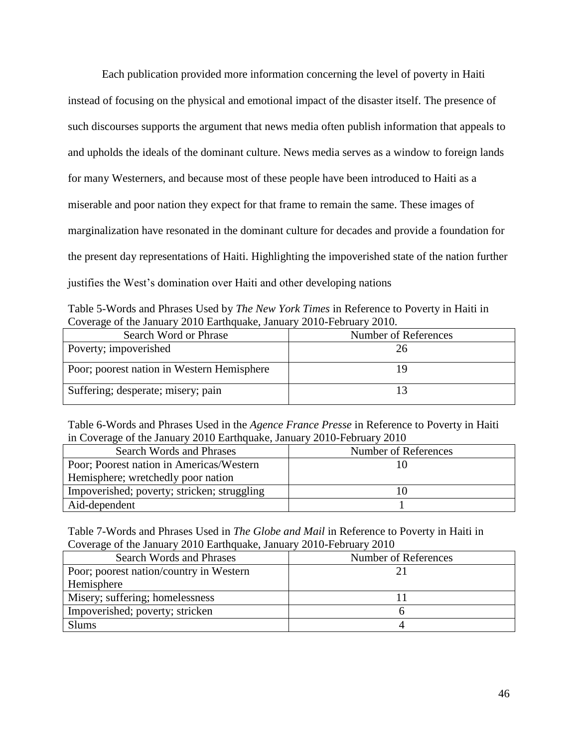Each publication provided more information concerning the level of poverty in Haiti instead of focusing on the physical and emotional impact of the disaster itself. The presence of such discourses supports the argument that news media often publish information that appeals to and upholds the ideals of the dominant culture. News media serves as a window to foreign lands for many Westerners, and because most of these people have been introduced to Haiti as a miserable and poor nation they expect for that frame to remain the same. These images of marginalization have resonated in the dominant culture for decades and provide a foundation for the present day representations of Haiti. Highlighting the impoverished state of the nation further justifies the West's domination over Haiti and other developing nations

Table 5-Words and Phrases Used by *The New York Times* in Reference to Poverty in Haiti in Coverage of the January 2010 Earthquake, January 2010-February 2010.

| Search Word or Phrase                      | Number of References |
|--------------------------------------------|----------------------|
| Poverty; impoverished                      |                      |
| Poor; poorest nation in Western Hemisphere |                      |
| Suffering; desperate; misery; pain         |                      |

Table 6-Words and Phrases Used in the *Agence France Presse* in Reference to Poverty in Haiti in Coverage of the January 2010 Earthquake, January 2010-February 2010

| Search Words and Phrases                    | Number of References |
|---------------------------------------------|----------------------|
| Poor; Poorest nation in Americas/Western    |                      |
| Hemisphere; wretchedly poor nation          |                      |
| Impoverished; poverty; stricken; struggling |                      |
| Aid-dependent                               |                      |

Table 7-Words and Phrases Used in *The Globe and Mail* in Reference to Poverty in Haiti in Coverage of the January 2010 Earthquake, January 2010-February 2010

| Search Words and Phrases                | Number of References |
|-----------------------------------------|----------------------|
| Poor; poorest nation/country in Western |                      |
| Hemisphere                              |                      |
| Misery; suffering; homelessness         |                      |
| Impoverished; poverty; stricken         |                      |
| <b>Slums</b>                            |                      |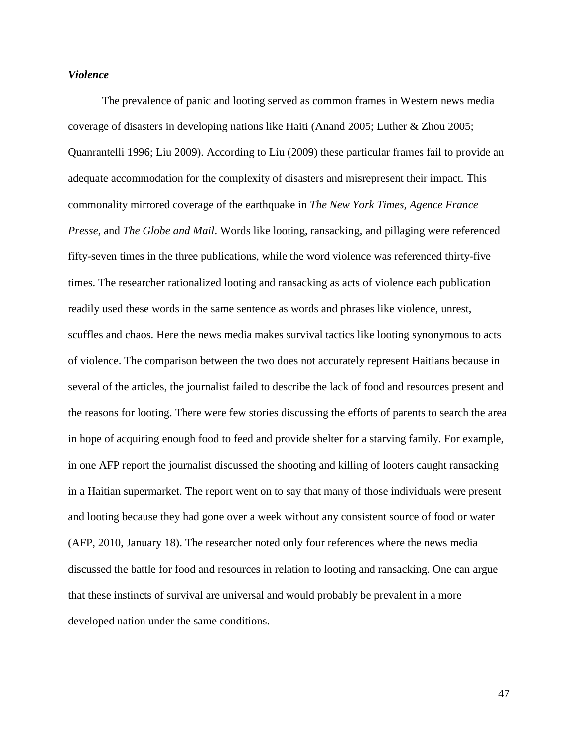#### *Violence*

The prevalence of panic and looting served as common frames in Western news media coverage of disasters in developing nations like Haiti (Anand 2005; Luther & Zhou 2005; Quanrantelli 1996; Liu 2009). According to Liu (2009) these particular frames fail to provide an adequate accommodation for the complexity of disasters and misrepresent their impact. This commonality mirrored coverage of the earthquake in *The New York Times, Agence France Presse,* and *The Globe and Mail*. Words like looting, ransacking, and pillaging were referenced fifty-seven times in the three publications, while the word violence was referenced thirty-five times. The researcher rationalized looting and ransacking as acts of violence each publication readily used these words in the same sentence as words and phrases like violence, unrest, scuffles and chaos. Here the news media makes survival tactics like looting synonymous to acts of violence. The comparison between the two does not accurately represent Haitians because in several of the articles, the journalist failed to describe the lack of food and resources present and the reasons for looting. There were few stories discussing the efforts of parents to search the area in hope of acquiring enough food to feed and provide shelter for a starving family. For example, in one AFP report the journalist discussed the shooting and killing of looters caught ransacking in a Haitian supermarket. The report went on to say that many of those individuals were present and looting because they had gone over a week without any consistent source of food or water (AFP, 2010, January 18). The researcher noted only four references where the news media discussed the battle for food and resources in relation to looting and ransacking. One can argue that these instincts of survival are universal and would probably be prevalent in a more developed nation under the same conditions.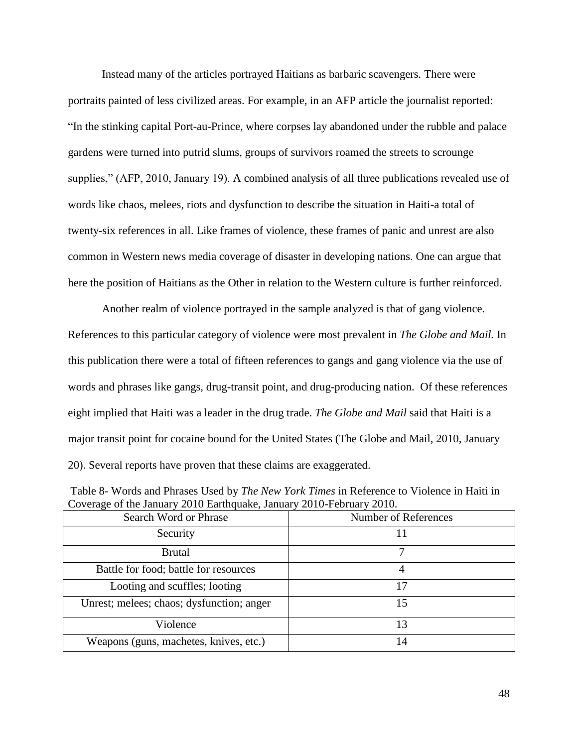Instead many of the articles portrayed Haitians as barbaric scavengers. There were portraits painted of less civilized areas. For example, in an AFP article the journalist reported: "In the stinking capital Port-au-Prince, where corpses lay abandoned under the rubble and palace gardens were turned into putrid slums, groups of survivors roamed the streets to scrounge supplies," (AFP, 2010, January 19). A combined analysis of all three publications revealed use of words like chaos, melees, riots and dysfunction to describe the situation in Haiti-a total of twenty-six references in all. Like frames of violence, these frames of panic and unrest are also common in Western news media coverage of disaster in developing nations. One can argue that here the position of Haitians as the Other in relation to the Western culture is further reinforced.

Another realm of violence portrayed in the sample analyzed is that of gang violence. References to this particular category of violence were most prevalent in *The Globe and Mail.* In this publication there were a total of fifteen references to gangs and gang violence via the use of words and phrases like gangs, drug-transit point, and drug-producing nation. Of these references eight implied that Haiti was a leader in the drug trade. *The Globe and Mail* said that Haiti is a major transit point for cocaine bound for the United States (The Globe and Mail, 2010, January 20). Several reports have proven that these claims are exaggerated.

| Table 8- Words and Phrases Used by <i>The New York Times</i> in Reference to Violence in Haiti in |                     |
|---------------------------------------------------------------------------------------------------|---------------------|
| Coverage of the January 2010 Earthquake, January 2010-February 2010.                              |                     |
| $\theta$ cand $W$ and an Dhussa                                                                   | Munkay of Defensess |

| Search Word or Phrase                     | Number of References |
|-------------------------------------------|----------------------|
| Security                                  | 11                   |
| <b>Brutal</b>                             |                      |
| Battle for food; battle for resources     |                      |
| Looting and scuffles; looting             | 17                   |
| Unrest; melees; chaos; dysfunction; anger | 15                   |
| Violence                                  | 13                   |
| Weapons (guns, machetes, knives, etc.)    | 14                   |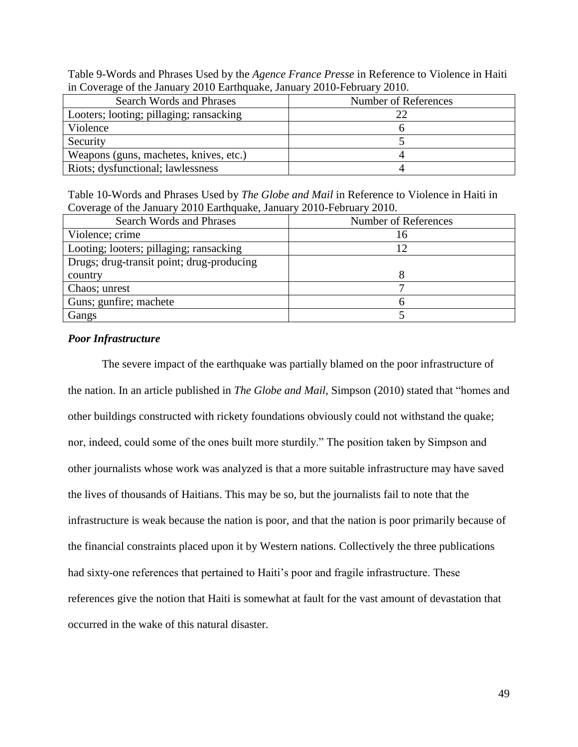Table 9-Words and Phrases Used by the *Agence France Presse* in Reference to Violence in Haiti in Coverage of the January 2010 Earthquake, January 2010-February 2010.

| $\cdots$ $\cdots$ . The state $\cdots$ is a second $\cdots$ if $\cdots$ is a second second second second second second second second second second second second second second second second second second second second second second secon |                      |
|----------------------------------------------------------------------------------------------------------------------------------------------------------------------------------------------------------------------------------------------|----------------------|
| Search Words and Phrases                                                                                                                                                                                                                     | Number of References |
| Looters; looting; pillaging; ransacking                                                                                                                                                                                                      | 22                   |
| Violence                                                                                                                                                                                                                                     |                      |
| Security                                                                                                                                                                                                                                     |                      |
| Weapons (guns, machetes, knives, etc.)                                                                                                                                                                                                       |                      |
| Riots; dysfunctional; lawlessness                                                                                                                                                                                                            |                      |

Table 10-Words and Phrases Used by *The Globe and Mail* in Reference to Violence in Haiti in Coverage of the January 2010 Earthquake, January 2010-February 2010.

| <b>Search Words and Phrases</b>           | Number of References |
|-------------------------------------------|----------------------|
| Violence; crime                           | 16                   |
| Looting; looters; pillaging; ransacking   | 12                   |
| Drugs; drug-transit point; drug-producing |                      |
| country                                   |                      |
| Chaos; unrest                             |                      |
| Guns; gunfire; machete                    |                      |
| Gangs                                     |                      |
|                                           |                      |

## *Poor Infrastructure*

The severe impact of the earthquake was partially blamed on the poor infrastructure of the nation. In an article published in *The Globe and Mail,* Simpson (2010) stated that "homes and other buildings constructed with rickety foundations obviously could not withstand the quake; nor, indeed, could some of the ones built more sturdily." The position taken by Simpson and other journalists whose work was analyzed is that a more suitable infrastructure may have saved the lives of thousands of Haitians. This may be so, but the journalists fail to note that the infrastructure is weak because the nation is poor, and that the nation is poor primarily because of the financial constraints placed upon it by Western nations. Collectively the three publications had sixty-one references that pertained to Haiti's poor and fragile infrastructure. These references give the notion that Haiti is somewhat at fault for the vast amount of devastation that occurred in the wake of this natural disaster.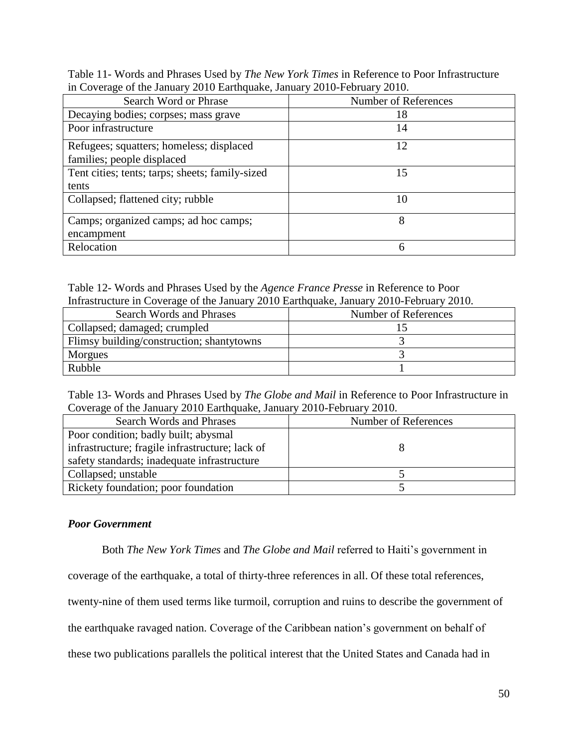Table 11- Words and Phrases Used by *The New York Times* in Reference to Poor Infrastructure in Coverage of the January 2010 Earthquake, January 2010-February 2010.

| Search Word or Phrase                           | Number of References |
|-------------------------------------------------|----------------------|
| Decaying bodies; corpses; mass grave            | 18                   |
| Poor infrastructure                             | 14                   |
| Refugees; squatters; homeless; displaced        | 12                   |
| families; people displaced                      |                      |
| Tent cities; tents; tarps; sheets; family-sized | 15                   |
| tents                                           |                      |
| Collapsed; flattened city; rubble               | 10                   |
| Camps; organized camps; ad hoc camps;           | 8                    |
| encampment                                      |                      |
| Relocation                                      | 6                    |

Table 12- Words and Phrases Used by the *Agence France Presse* in Reference to Poor Infrastructure in Coverage of the January 2010 Earthquake, January 2010-February 2010.

| minustrature in Coverage of the sumain f 2010 Europaine, sumain f 2010 February 2010. |                      |
|---------------------------------------------------------------------------------------|----------------------|
| Search Words and Phrases                                                              | Number of References |
| Collapsed; damaged; crumpled                                                          |                      |
| Flimsy building/construction; shantytowns                                             |                      |
| Morgues                                                                               |                      |
| Rubble                                                                                |                      |

Table 13- Words and Phrases Used by *The Globe and Mail* in Reference to Poor Infrastructure in Coverage of the January 2010 Earthquake, January 2010-February 2010.

| Search Words and Phrases                        | Number of References |
|-------------------------------------------------|----------------------|
| Poor condition; badly built; abysmal            |                      |
| infrastructure; fragile infrastructure; lack of |                      |
| safety standards; inadequate infrastructure     |                      |
| Collapsed; unstable                             |                      |
| Rickety foundation; poor foundation             |                      |

# *Poor Government*

Both *The New York Times* and *The Globe and Mail* referred to Haiti's government in

coverage of the earthquake, a total of thirty-three references in all. Of these total references,

twenty-nine of them used terms like turmoil, corruption and ruins to describe the government of

the earthquake ravaged nation. Coverage of the Caribbean nation's government on behalf of

these two publications parallels the political interest that the United States and Canada had in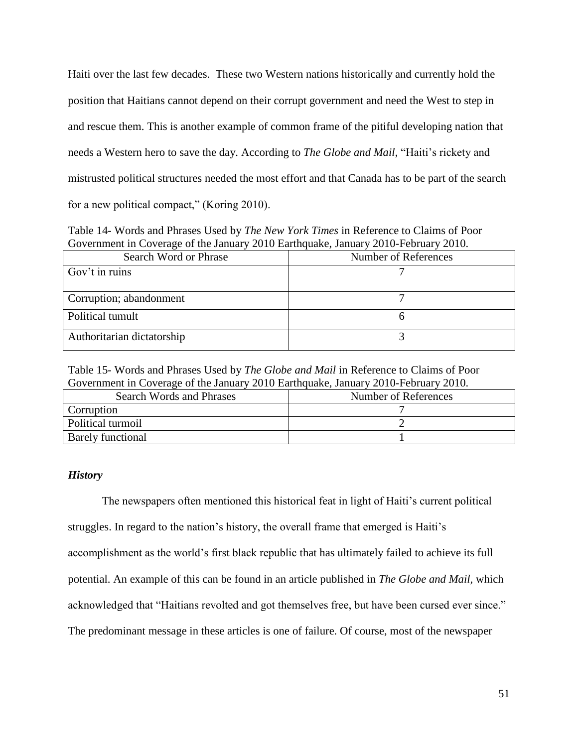Haiti over the last few decades. These two Western nations historically and currently hold the position that Haitians cannot depend on their corrupt government and need the West to step in and rescue them. This is another example of common frame of the pitiful developing nation that needs a Western hero to save the day. According to *The Globe and Mail*, "Haiti's rickety and mistrusted political structures needed the most effort and that Canada has to be part of the search for a new political compact," (Koring 2010).

Table 14- Words and Phrases Used by *The New York Times* in Reference to Claims of Poor Government in Coverage of the January 2010 Earthquake, January 2010-February 2010.

| Search Word or Phrase      | Number of References |
|----------------------------|----------------------|
| Gov't in ruins             |                      |
| Corruption; abandonment    |                      |
| Political tumult           |                      |
| Authoritarian dictatorship |                      |

Table 15- Words and Phrases Used by *The Globe and Mail* in Reference to Claims of Poor Government in Coverage of the January 2010 Earthquake, January 2010-February 2010.

| Search Words and Phrases | Number of References |
|--------------------------|----------------------|
| Corruption               |                      |
| Political turmoil        |                      |
| <b>Barely functional</b> |                      |

### *History*

The newspapers often mentioned this historical feat in light of Haiti's current political struggles. In regard to the nation's history, the overall frame that emerged is Haiti's accomplishment as the world's first black republic that has ultimately failed to achieve its full potential. An example of this can be found in an article published in *The Globe and Mail,* which acknowledged that "Haitians revolted and got themselves free, but have been cursed ever since." The predominant message in these articles is one of failure. Of course, most of the newspaper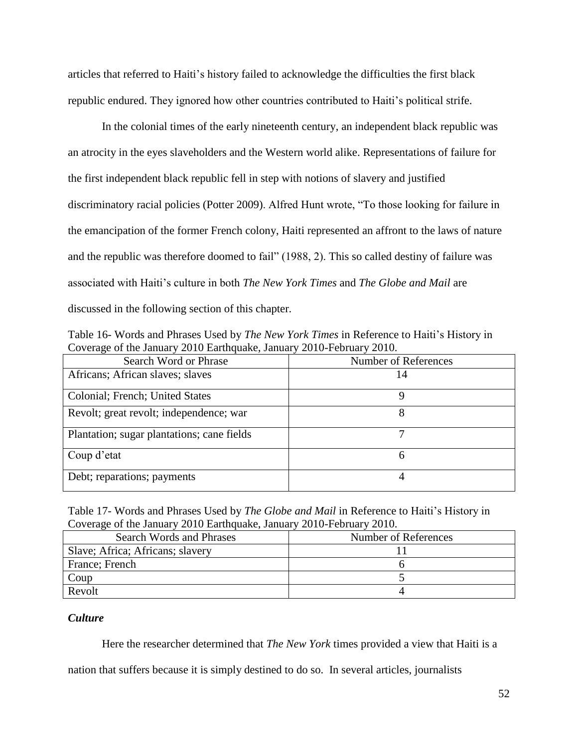articles that referred to Haiti's history failed to acknowledge the difficulties the first black republic endured. They ignored how other countries contributed to Haiti's political strife.

In the colonial times of the early nineteenth century, an independent black republic was an atrocity in the eyes slaveholders and the Western world alike. Representations of failure for the first independent black republic fell in step with notions of slavery and justified discriminatory racial policies (Potter 2009). Alfred Hunt wrote, "To those looking for failure in the emancipation of the former French colony, Haiti represented an affront to the laws of nature and the republic was therefore doomed to fail" (1988, 2). This so called destiny of failure was associated with Haiti's culture in both *The New York Times* and *The Globe and Mail* are discussed in the following section of this chapter.

Table 16- Words and Phrases Used by *The New York Times* in Reference to Haiti's History in Coverage of the January 2010 Earthquake, January 2010-February 2010.

| Search Word or Phrase                      | Number of References |
|--------------------------------------------|----------------------|
| Africans; African slaves; slaves           | 14                   |
| Colonial; French; United States            | 9                    |
| Revolt; great revolt; independence; war    | 8                    |
| Plantation; sugar plantations; cane fields |                      |
| Coup d'etat                                | 6                    |
| Debt; reparations; payments                |                      |

Table 17- Words and Phrases Used by *The Globe and Mail* in Reference to Haiti's History in Coverage of the January 2010 Earthquake, January 2010-February 2010.

| Search Words and Phrases         | Number of References |
|----------------------------------|----------------------|
| Slave; Africa; Africans; slavery |                      |
| France; French                   |                      |
| Coup                             |                      |
| Revolt                           |                      |

# *Culture*

Here the researcher determined that *The New York* times provided a view that Haiti is a

nation that suffers because it is simply destined to do so. In several articles, journalists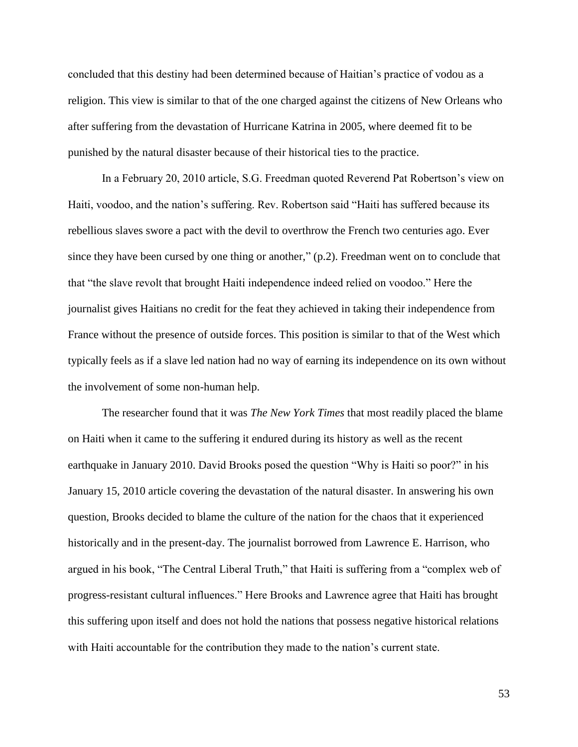concluded that this destiny had been determined because of Haitian's practice of vodou as a religion. This view is similar to that of the one charged against the citizens of New Orleans who after suffering from the devastation of Hurricane Katrina in 2005, where deemed fit to be punished by the natural disaster because of their historical ties to the practice.

In a February 20, 2010 article, S.G. Freedman quoted Reverend Pat Robertson's view on Haiti, voodoo, and the nation's suffering. Rev. Robertson said "Haiti has suffered because its rebellious slaves swore a pact with the devil to overthrow the French two centuries ago. Ever since they have been cursed by one thing or another," (p.2). Freedman went on to conclude that that "the slave revolt that brought Haiti independence indeed relied on voodoo." Here the journalist gives Haitians no credit for the feat they achieved in taking their independence from France without the presence of outside forces. This position is similar to that of the West which typically feels as if a slave led nation had no way of earning its independence on its own without the involvement of some non-human help.

The researcher found that it was *The New York Times* that most readily placed the blame on Haiti when it came to the suffering it endured during its history as well as the recent earthquake in January 2010. David Brooks posed the question "Why is Haiti so poor?" in his January 15, 2010 article covering the devastation of the natural disaster. In answering his own question, Brooks decided to blame the culture of the nation for the chaos that it experienced historically and in the present-day. The journalist borrowed from Lawrence E. Harrison, who argued in his book, "The Central Liberal Truth," that Haiti is suffering from a "complex web of progress-resistant cultural influences." Here Brooks and Lawrence agree that Haiti has brought this suffering upon itself and does not hold the nations that possess negative historical relations with Haiti accountable for the contribution they made to the nation's current state.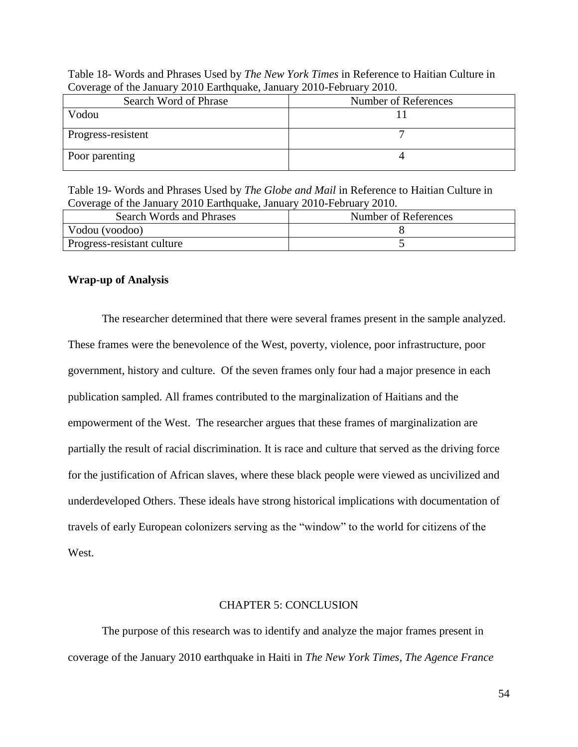| Coverage of the Jamaary 2010 Lammquake, Jamaary 2010 I cordary 2010. |                      |
|----------------------------------------------------------------------|----------------------|
| Search Word of Phrase                                                | Number of References |
| Vodou                                                                |                      |
| Progress-resistent                                                   |                      |
| Poor parenting                                                       |                      |

Table 18- Words and Phrases Used by *The New York Times* in Reference to Haitian Culture in Coverage of the January 2010 Earthquake, January 2010-February 2010.

Table 19- Words and Phrases Used by *The Globe and Mail* in Reference to Haitian Culture in Coverage of the January 2010 Earthquake, January 2010-February 2010.

| Search Words and Phrases   | Number of References |
|----------------------------|----------------------|
| Vodou (voodoo)             |                      |
| Progress-resistant culture |                      |

### **Wrap-up of Analysis**

The researcher determined that there were several frames present in the sample analyzed. These frames were the benevolence of the West, poverty, violence, poor infrastructure, poor government, history and culture. Of the seven frames only four had a major presence in each publication sampled. All frames contributed to the marginalization of Haitians and the empowerment of the West. The researcher argues that these frames of marginalization are partially the result of racial discrimination. It is race and culture that served as the driving force for the justification of African slaves, where these black people were viewed as uncivilized and underdeveloped Others. These ideals have strong historical implications with documentation of travels of early European colonizers serving as the "window" to the world for citizens of the West.

#### CHAPTER 5: CONCLUSION

The purpose of this research was to identify and analyze the major frames present in coverage of the January 2010 earthquake in Haiti in *The New York Times, The Agence France*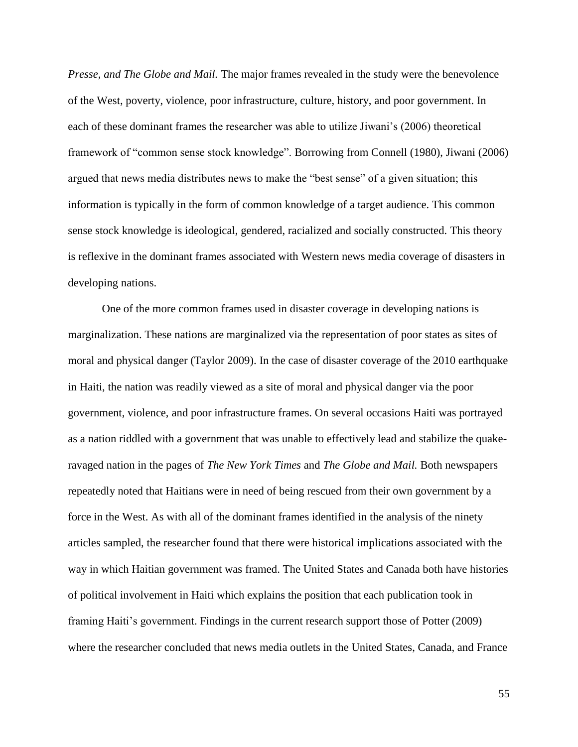*Presse, and The Globe and Mail.* The major frames revealed in the study were the benevolence of the West, poverty, violence, poor infrastructure, culture, history, and poor government. In each of these dominant frames the researcher was able to utilize Jiwani's (2006) theoretical framework of "common sense stock knowledge". Borrowing from Connell (1980), Jiwani (2006) argued that news media distributes news to make the "best sense" of a given situation; this information is typically in the form of common knowledge of a target audience. This common sense stock knowledge is ideological, gendered, racialized and socially constructed. This theory is reflexive in the dominant frames associated with Western news media coverage of disasters in developing nations.

One of the more common frames used in disaster coverage in developing nations is marginalization. These nations are marginalized via the representation of poor states as sites of moral and physical danger (Taylor 2009). In the case of disaster coverage of the 2010 earthquake in Haiti, the nation was readily viewed as a site of moral and physical danger via the poor government, violence, and poor infrastructure frames. On several occasions Haiti was portrayed as a nation riddled with a government that was unable to effectively lead and stabilize the quakeravaged nation in the pages of *The New York Times* and *The Globe and Mail.* Both newspapers repeatedly noted that Haitians were in need of being rescued from their own government by a force in the West. As with all of the dominant frames identified in the analysis of the ninety articles sampled, the researcher found that there were historical implications associated with the way in which Haitian government was framed. The United States and Canada both have histories of political involvement in Haiti which explains the position that each publication took in framing Haiti's government. Findings in the current research support those of Potter (2009) where the researcher concluded that news media outlets in the United States, Canada, and France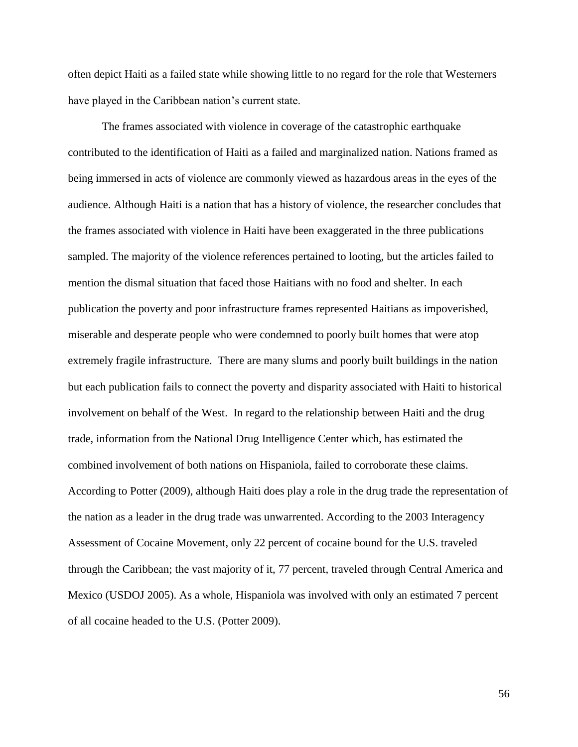often depict Haiti as a failed state while showing little to no regard for the role that Westerners have played in the Caribbean nation's current state.

The frames associated with violence in coverage of the catastrophic earthquake contributed to the identification of Haiti as a failed and marginalized nation. Nations framed as being immersed in acts of violence are commonly viewed as hazardous areas in the eyes of the audience. Although Haiti is a nation that has a history of violence, the researcher concludes that the frames associated with violence in Haiti have been exaggerated in the three publications sampled. The majority of the violence references pertained to looting, but the articles failed to mention the dismal situation that faced those Haitians with no food and shelter. In each publication the poverty and poor infrastructure frames represented Haitians as impoverished, miserable and desperate people who were condemned to poorly built homes that were atop extremely fragile infrastructure. There are many slums and poorly built buildings in the nation but each publication fails to connect the poverty and disparity associated with Haiti to historical involvement on behalf of the West. In regard to the relationship between Haiti and the drug trade, information from the National Drug Intelligence Center which, has estimated the combined involvement of both nations on Hispaniola, failed to corroborate these claims. According to Potter (2009), although Haiti does play a role in the drug trade the representation of the nation as a leader in the drug trade was unwarrented. According to the 2003 Interagency Assessment of Cocaine Movement, only 22 percent of cocaine bound for the U.S. traveled through the Caribbean; the vast majority of it, 77 percent, traveled through Central America and Mexico (USDOJ 2005). As a whole, Hispaniola was involved with only an estimated 7 percent of all cocaine headed to the U.S. (Potter 2009).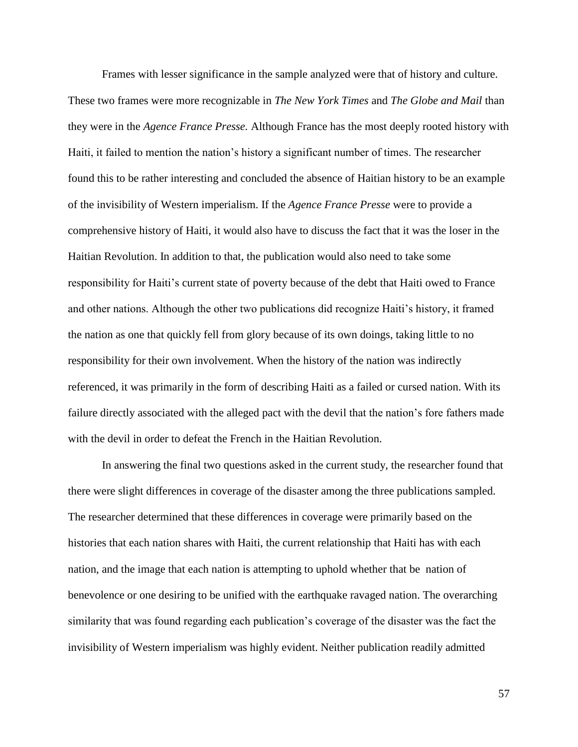Frames with lesser significance in the sample analyzed were that of history and culture.

These two frames were more recognizable in *The New York Times* and *The Globe and Mail* than they were in the *Agence France Presse.* Although France has the most deeply rooted history with Haiti, it failed to mention the nation's history a significant number of times. The researcher found this to be rather interesting and concluded the absence of Haitian history to be an example of the invisibility of Western imperialism. If the *Agence France Presse* were to provide a comprehensive history of Haiti, it would also have to discuss the fact that it was the loser in the Haitian Revolution. In addition to that, the publication would also need to take some responsibility for Haiti's current state of poverty because of the debt that Haiti owed to France and other nations. Although the other two publications did recognize Haiti's history, it framed the nation as one that quickly fell from glory because of its own doings, taking little to no responsibility for their own involvement. When the history of the nation was indirectly referenced, it was primarily in the form of describing Haiti as a failed or cursed nation. With its failure directly associated with the alleged pact with the devil that the nation's fore fathers made with the devil in order to defeat the French in the Haitian Revolution.

In answering the final two questions asked in the current study, the researcher found that there were slight differences in coverage of the disaster among the three publications sampled. The researcher determined that these differences in coverage were primarily based on the histories that each nation shares with Haiti, the current relationship that Haiti has with each nation, and the image that each nation is attempting to uphold whether that be nation of benevolence or one desiring to be unified with the earthquake ravaged nation. The overarching similarity that was found regarding each publication's coverage of the disaster was the fact the invisibility of Western imperialism was highly evident. Neither publication readily admitted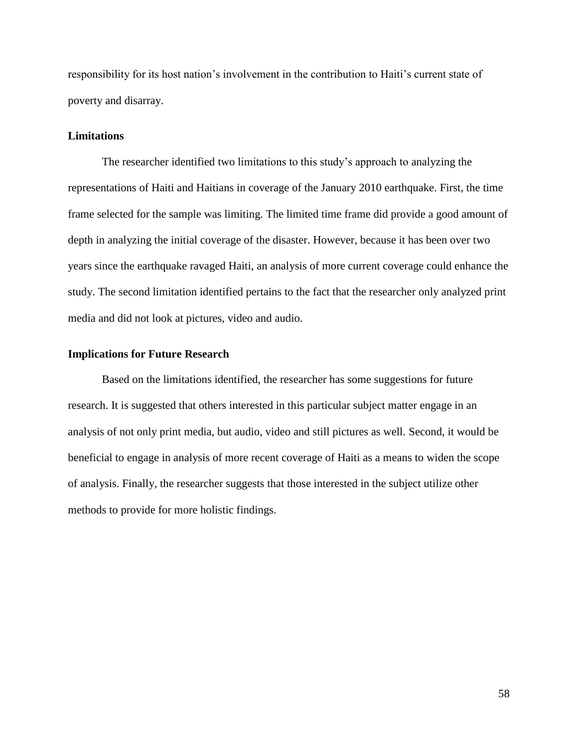responsibility for its host nation's involvement in the contribution to Haiti's current state of poverty and disarray.

## **Limitations**

The researcher identified two limitations to this study's approach to analyzing the representations of Haiti and Haitians in coverage of the January 2010 earthquake. First, the time frame selected for the sample was limiting. The limited time frame did provide a good amount of depth in analyzing the initial coverage of the disaster. However, because it has been over two years since the earthquake ravaged Haiti, an analysis of more current coverage could enhance the study. The second limitation identified pertains to the fact that the researcher only analyzed print media and did not look at pictures, video and audio.

#### **Implications for Future Research**

Based on the limitations identified, the researcher has some suggestions for future research. It is suggested that others interested in this particular subject matter engage in an analysis of not only print media, but audio, video and still pictures as well. Second, it would be beneficial to engage in analysis of more recent coverage of Haiti as a means to widen the scope of analysis. Finally, the researcher suggests that those interested in the subject utilize other methods to provide for more holistic findings.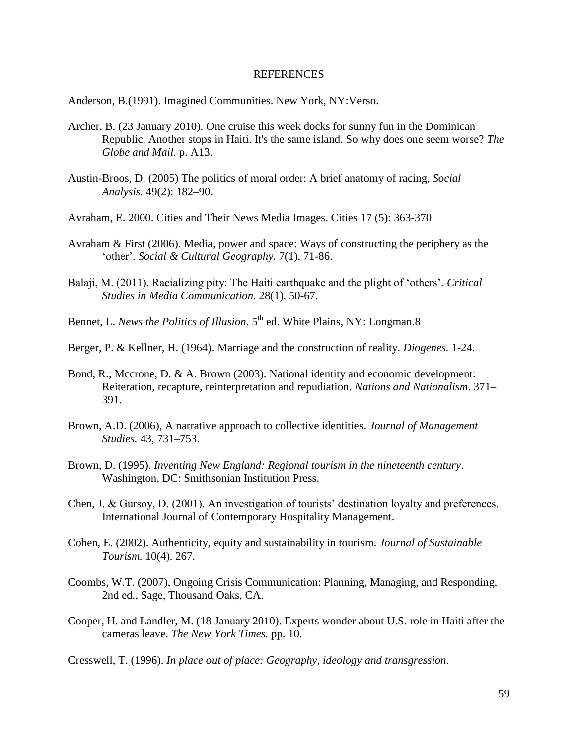## REFERENCES

Anderson, B.(1991). Imagined Communities. New York, NY:Verso.

- Archer, B. (23 January 2010). One cruise this week docks for sunny fun in the Dominican Republic. Another stops in Haiti. It's the same island. So why does one seem worse? *The Globe and Mail.* p. A13.
- Austin-Broos, D. (2005) The politics of moral order: A brief anatomy of racing, *Social Analysis.* 49(2): 182–90.
- Avraham, E. 2000. Cities and Their News Media Images. Cities 17 (5): 363-370
- Avraham & First (2006). Media, power and space: Ways of constructing the periphery as the 'other'. *Social & Cultural Geography.* 7(1). 71-86.
- Balaji, M. (2011). Racializing pity: The Haiti earthquake and the plight of 'others'. *Critical Studies in Media Communication.* 28(1). 50-67.
- Bennet, L. *News the Politics of Illusion*. 5<sup>th</sup> ed. White Plains, NY: Longman.8
- Berger, P. & Kellner, H. (1964). Marriage and the construction of reality. *Diogenes.* 1-24.
- Bond, R.; Mccrone, D. & A. Brown (2003). National identity and economic development: Reiteration, recapture, reinterpretation and repudiation. *Nations and Nationalism*. 371– 391.
- Brown, A.D. (2006), A narrative approach to collective identities. *Journal of Management Studies.* 43, 731–753.
- Brown, D. (1995). *Inventing New England: Regional tourism in the nineteenth century*. Washington, DC: Smithsonian Institution Press.
- Chen, J. & Gursoy, D. (2001). An investigation of tourists' destination loyalty and preferences. International Journal of Contemporary Hospitality Management.
- Cohen, E. (2002). Authenticity, equity and sustainability in tourism. *Journal of Sustainable Tourism.* 10(4). 267.
- Coombs, W.T. (2007), Ongoing Crisis Communication: Planning, Managing, and Responding, 2nd ed., Sage, Thousand Oaks, CA.
- Cooper, H. and Landler, M. (18 January 2010). Experts wonder about U.S. role in Haiti after the cameras leave. *The New York Times.* pp. 10.

Cresswell, T. (1996). *In place out of place: Geography, ideology and transgression*.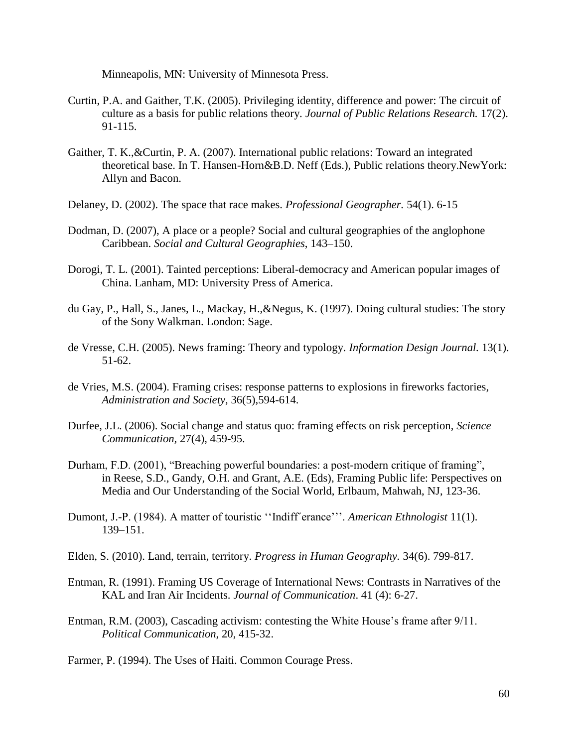Minneapolis, MN: University of Minnesota Press.

- Curtin, P.A. and Gaither, T.K. (2005). Privileging identity, difference and power: The circuit of culture as a basis for public relations theory. *Journal of Public Relations Research.* 17(2). 91-115.
- Gaither, T. K.,&Curtin, P. A. (2007). International public relations: Toward an integrated theoretical base. In T. Hansen-Horn&B.D. Neff (Eds.), Public relations theory.NewYork: Allyn and Bacon.
- Delaney, D. (2002). The space that race makes. *Professional Geographer.* 54(1). 6-15
- Dodman, D. (2007), A place or a people? Social and cultural geographies of the anglophone Caribbean. *Social and Cultural Geographies*, 143–150.
- Dorogi, T. L. (2001). Tainted perceptions: Liberal-democracy and American popular images of China. Lanham, MD: University Press of America.
- du Gay, P., Hall, S., Janes, L., Mackay, H.,&Negus, K. (1997). Doing cultural studies: The story of the Sony Walkman. London: Sage.
- de Vresse, C.H. (2005). News framing: Theory and typology. *Information Design Journal.* 13(1). 51-62.
- de Vries, M.S. (2004). Framing crises: response patterns to explosions in fireworks factories, *Administration and Society*, 36(5),594-614.
- Durfee, J.L. (2006). Social change and status quo: framing effects on risk perception, *Science Communication,* 27(4), 459-95.
- Durham, F.D. (2001), "Breaching powerful boundaries: a post-modern critique of framing", in Reese, S.D., Gandy, O.H. and Grant, A.E. (Eds), Framing Public life: Perspectives on Media and Our Understanding of the Social World, Erlbaum, Mahwah, NJ, 123-36.
- Dumont, J.-P. (1984). A matter of touristic ''Indiff´erance'''. *American Ethnologist* 11(1). 139–151.
- Elden, S. (2010). Land, terrain, territory. *Progress in Human Geography.* 34(6). 799-817.
- Entman, R. (1991). Framing US Coverage of International News: Contrasts in Narratives of the KAL and Iran Air Incidents. *Journal of Communication*. 41 (4): 6-27.
- Entman, R.M. (2003), Cascading activism: contesting the White House's frame after 9/11. *Political Communication*, 20, 415-32.
- Farmer, P. (1994). The Uses of Haiti. Common Courage Press.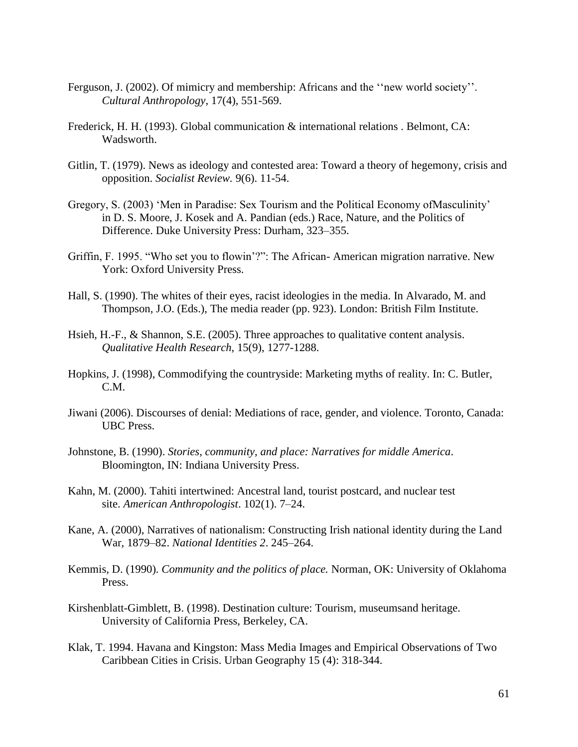- Ferguson, J. (2002). Of mimicry and membership: Africans and the ''new world society''. *Cultural Anthropology*, 17(4), 551-569.
- Frederick, H. H. (1993). Global communication & international relations . Belmont, CA: Wadsworth.
- Gitlin, T. (1979). News as ideology and contested area: Toward a theory of hegemony, crisis and opposition. *Socialist Review.* 9(6). 11-54.
- Gregory, S. (2003) 'Men in Paradise: Sex Tourism and the Political Economy ofMasculinity' in D. S. Moore, J. Kosek and A. Pandian (eds.) Race, Nature, and the Politics of Difference. Duke University Press: Durham, 323–355.
- Griffin, F. 1995. "Who set you to flowin'?": The African- American migration narrative. New York: Oxford University Press.
- Hall, S. (1990). The whites of their eyes, racist ideologies in the media. In Alvarado, M. and Thompson, J.O. (Eds.), The media reader (pp. 923). London: British Film Institute.
- Hsieh, H.-F., & Shannon, S.E. (2005). Three approaches to qualitative content analysis. *Qualitative Health Research*, 15(9), 1277-1288.
- Hopkins, J. (1998), Commodifying the countryside: Marketing myths of reality. In: C. Butler, C.M.
- Jiwani (2006). Discourses of denial: Mediations of race, gender, and violence. Toronto, Canada: UBC Press.
- Johnstone, B. (1990). *Stories, community, and place: Narratives for middle America*. Bloomington, IN: Indiana University Press.
- Kahn, M. (2000). Tahiti intertwined: Ancestral land, tourist postcard, and nuclear test site. *American Anthropologist*. 102(1). 7–24.
- Kane, A. (2000), Narratives of nationalism: Constructing Irish national identity during the Land War, 1879–82. *National Identities 2*. 245–264.
- Kemmis, D. (1990). *Community and the politics of place.* Norman, OK: University of Oklahoma Press.
- Kirshenblatt-Gimblett, B. (1998). Destination culture: Tourism, museumsand heritage. University of California Press, Berkeley, CA.
- Klak, T. 1994. Havana and Kingston: Mass Media Images and Empirical Observations of Two Caribbean Cities in Crisis. Urban Geography 15 (4): 318-344.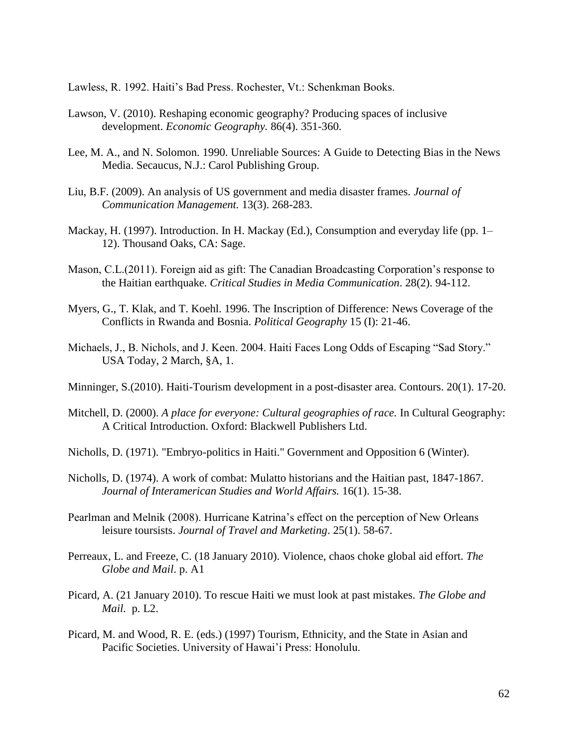Lawless, R. 1992. Haiti's Bad Press. Rochester, Vt.: Schenkman Books.

- Lawson, V. (2010). Reshaping economic geography? Producing spaces of inclusive development. *Economic Geography.* 86(4). 351-360.
- Lee, M. A., and N. Solomon. 1990. Unreliable Sources: A Guide to Detecting Bias in the News Media. Secaucus, N.J.: Carol Publishing Group.
- Liu, B.F. (2009). An analysis of US government and media disaster frames. *Journal of Communication Management.* 13(3). 268-283.
- Mackay, H. (1997). Introduction. In H. Mackay (Ed.), Consumption and everyday life (pp. 1– 12). Thousand Oaks, CA: Sage.
- Mason, C.L.(2011). Foreign aid as gift: The Canadian Broadcasting Corporation's response to the Haitian earthquake. *Critical Studies in Media Communication*. 28(2). 94-112.
- Myers, G., T. Klak, and T. Koehl. 1996. The Inscription of Difference: News Coverage of the Conflicts in Rwanda and Bosnia. *Political Geography* 15 (I): 21-46.
- Michaels, J., B. Nichols, and J. Keen. 2004. Haiti Faces Long Odds of Escaping "Sad Story." USA Today, 2 March, §A, 1.
- Minninger, S.(2010). Haiti-Tourism development in a post-disaster area. Contours. 20(1). 17-20.
- Mitchell, D. (2000). *A place for everyone: Cultural geographies of race.* In Cultural Geography: A Critical Introduction. Oxford: Blackwell Publishers Ltd.
- Nicholls, D. (1971). "Embryo-politics in Haiti." Government and Opposition 6 (Winter).
- Nicholls, D. (1974). A work of combat: Mulatto historians and the Haitian past, 1847-1867. *Journal of Interamerican Studies and World Affairs.* 16(1). 15-38.
- Pearlman and Melnik (2008). Hurricane Katrina's effect on the perception of New Orleans leisure toursists. *Journal of Travel and Marketing*. 25(1). 58-67.
- Perreaux, L. and Freeze, C. (18 January 2010). Violence, chaos choke global aid effort. *The Globe and Mail*. p. A1
- Picard, A. (21 January 2010). To rescue Haiti we must look at past mistakes. *The Globe and Mail.* p. L2.
- Picard, M. and Wood, R. E. (eds.) (1997) Tourism, Ethnicity, and the State in Asian and Pacific Societies. University of Hawai'i Press: Honolulu.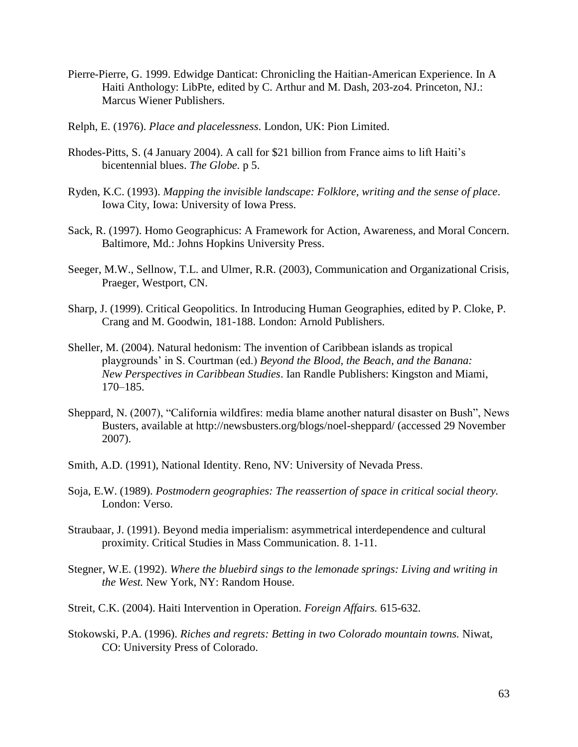- Pierre-Pierre, G. 1999. Edwidge Danticat: Chronicling the Haitian-American Experience. In A Haiti Anthology: LibPte, edited by C. Arthur and M. Dash, 203-zo4. Princeton, NJ.: Marcus Wiener Publishers.
- Relph, E. (1976). *Place and placelessness*. London, UK: Pion Limited.
- Rhodes-Pitts, S. (4 January 2004). A call for \$21 billion from France aims to lift Haiti's bicentennial blues. *The Globe.* p 5.
- Ryden, K.C. (1993). *Mapping the invisible landscape: Folklore, writing and the sense of place*. Iowa City, Iowa: University of Iowa Press.
- Sack, R. (1997). Homo Geographicus: A Framework for Action, Awareness, and Moral Concern. Baltimore, Md.: Johns Hopkins University Press.
- Seeger, M.W., Sellnow, T.L. and Ulmer, R.R. (2003), Communication and Organizational Crisis, Praeger, Westport, CN.
- Sharp, J. (1999). Critical Geopolitics. In Introducing Human Geographies, edited by P. Cloke, P. Crang and M. Goodwin, 181-188. London: Arnold Publishers.
- Sheller, M. (2004). Natural hedonism: The invention of Caribbean islands as tropical playgrounds' in S. Courtman (ed.) *Beyond the Blood, the Beach, and the Banana: New Perspectives in Caribbean Studies*. Ian Randle Publishers: Kingston and Miami, 170–185.
- Sheppard, N. (2007), "California wildfires: media blame another natural disaster on Bush", News Busters, available at http://newsbusters.org/blogs/noel-sheppard/ (accessed 29 November 2007).
- Smith, A.D. (1991), National Identity. Reno, NV: University of Nevada Press.
- Soja, E.W. (1989). *Postmodern geographies: The reassertion of space in critical social theory.*  London: Verso.
- Straubaar, J. (1991). Beyond media imperialism: asymmetrical interdependence and cultural proximity. Critical Studies in Mass Communication. 8. 1-11.
- Stegner, W.E. (1992). *Where the bluebird sings to the lemonade springs: Living and writing in the West.* New York, NY: Random House.
- Streit, C.K. (2004). Haiti Intervention in Operation. *Foreign Affairs.* 615-632.
- Stokowski, P.A. (1996). *Riches and regrets: Betting in two Colorado mountain towns.* Niwat, CO: University Press of Colorado.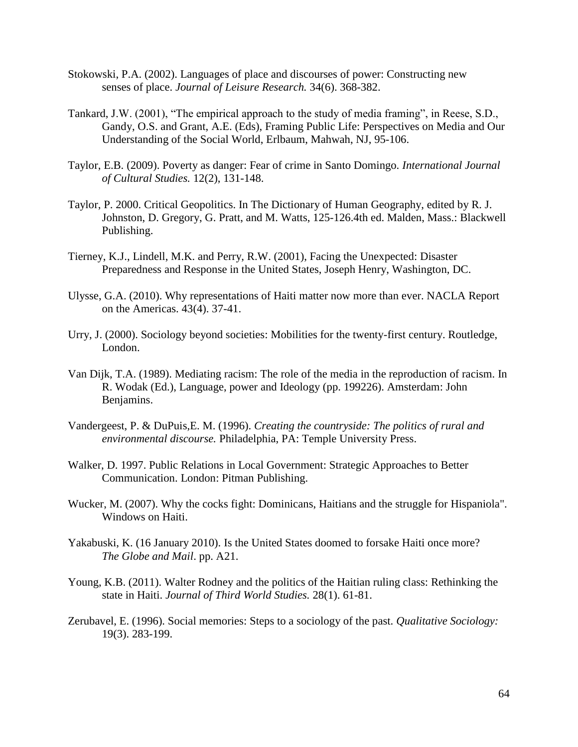- Stokowski, P.A. (2002). Languages of place and discourses of power: Constructing new senses of place. *Journal of Leisure Research.* 34(6). 368-382.
- Tankard, J.W. (2001), "The empirical approach to the study of media framing", in Reese, S.D., Gandy, O.S. and Grant, A.E. (Eds), Framing Public Life: Perspectives on Media and Our Understanding of the Social World, Erlbaum, Mahwah, NJ, 95-106.
- Taylor, E.B. (2009). Poverty as danger: Fear of crime in Santo Domingo. *International Journal of Cultural Studies.* 12(2), 131-148.
- Taylor, P. 2000. Critical Geopolitics. In The Dictionary of Human Geography, edited by R. J. Johnston, D. Gregory, G. Pratt, and M. Watts, 125-126.4th ed. Malden, Mass.: Blackwell Publishing.
- Tierney, K.J., Lindell, M.K. and Perry, R.W. (2001), Facing the Unexpected: Disaster Preparedness and Response in the United States, Joseph Henry, Washington, DC.
- Ulysse, G.A. (2010). Why representations of Haiti matter now more than ever. NACLA Report on the Americas. 43(4). 37-41.
- Urry, J. (2000). Sociology beyond societies: Mobilities for the twenty-first century. Routledge, London.
- Van Dijk, T.A. (1989). Mediating racism: The role of the media in the reproduction of racism. In R. Wodak (Ed.), Language, power and Ideology (pp. 199226). Amsterdam: John Benjamins.
- Vandergeest, P. & DuPuis,E. M. (1996). *Creating the countryside: The politics of rural and environmental discourse.* Philadelphia, PA: Temple University Press.
- Walker, D. 1997. Public Relations in Local Government: Strategic Approaches to Better Communication. London: Pitman Publishing.
- Wucker, M. (2007). Why the cocks fight: Dominicans, Haitians and the struggle for Hispaniola". Windows on Haiti.
- Yakabuski, K. (16 January 2010). Is the United States doomed to forsake Haiti once more? *The Globe and Mail*. pp. A21.
- Young, K.B. (2011). Walter Rodney and the politics of the Haitian ruling class: Rethinking the state in Haiti. *Journal of Third World Studies.* 28(1). 61-81.
- Zerubavel, E. (1996). Social memories: Steps to a sociology of the past. *Qualitative Sociology:*  19(3). 283-199.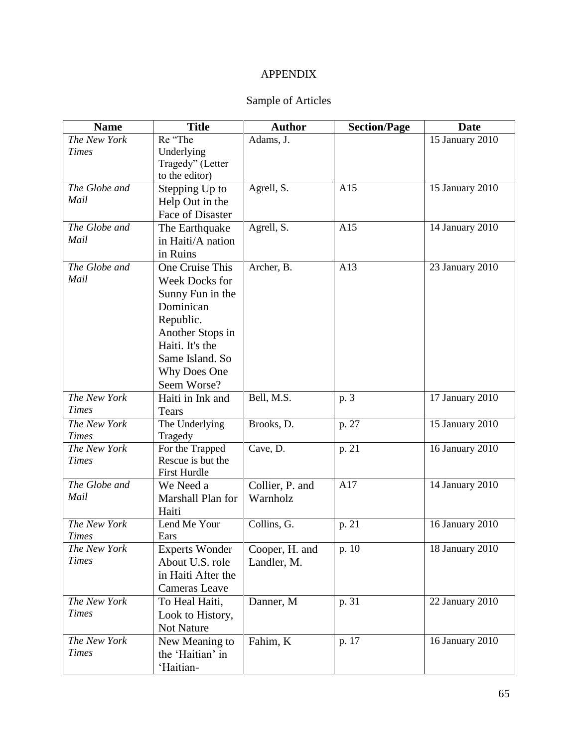## APPENDIX

## Sample of Articles

| <b>Name</b>   | <b>Title</b>          | <b>Author</b>   | <b>Section/Page</b> | <b>Date</b>     |
|---------------|-----------------------|-----------------|---------------------|-----------------|
| The New York  | Re "The               | Adams, J.       |                     | 15 January 2010 |
| <b>Times</b>  | Underlying            |                 |                     |                 |
|               | Tragedy" (Letter      |                 |                     |                 |
|               | to the editor)        |                 |                     |                 |
| The Globe and | Stepping Up to        | Agrell, S.      | A15                 | 15 January 2010 |
| Mail          | Help Out in the       |                 |                     |                 |
|               | Face of Disaster      |                 |                     |                 |
| The Globe and | The Earthquake        | Agrell, S.      | A15                 | 14 January 2010 |
| Mail          | in Haiti/A nation     |                 |                     |                 |
|               | in Ruins              |                 |                     |                 |
| The Globe and | One Cruise This       | Archer, B.      | A13                 | 23 January 2010 |
| Mail          | Week Docks for        |                 |                     |                 |
|               | Sunny Fun in the      |                 |                     |                 |
|               | Dominican             |                 |                     |                 |
|               | Republic.             |                 |                     |                 |
|               | Another Stops in      |                 |                     |                 |
|               | Haiti. It's the       |                 |                     |                 |
|               | Same Island. So       |                 |                     |                 |
|               | Why Does One          |                 |                     |                 |
|               | Seem Worse?           |                 |                     |                 |
| The New York  | Haiti in Ink and      | Bell, M.S.      | p. 3                | 17 January 2010 |
| <b>Times</b>  | Tears                 |                 |                     |                 |
| The New York  | The Underlying        | Brooks, D.      | p. 27               | 15 January 2010 |
| <b>Times</b>  | Tragedy               |                 |                     |                 |
| The New York  | For the Trapped       | Cave, D.        | p. 21               | 16 January 2010 |
| <b>Times</b>  | Rescue is but the     |                 |                     |                 |
|               | <b>First Hurdle</b>   |                 |                     |                 |
| The Globe and | We Need a             | Collier, P. and | A17                 | 14 January 2010 |
| Mail          | Marshall Plan for     | Warnholz        |                     |                 |
|               | Haiti                 |                 |                     |                 |
| The New York  | Lend Me Your          | Collins, G.     | p. 21               | 16 January 2010 |
| <b>Times</b>  | Ears                  |                 |                     |                 |
| The New York  | <b>Experts Wonder</b> | Cooper, H. and  | p. 10               | 18 January 2010 |
| <b>Times</b>  | About U.S. role       | Landler, M.     |                     |                 |
|               | in Haiti After the    |                 |                     |                 |
|               | Cameras Leave         |                 |                     |                 |
| The New York  | To Heal Haiti,        | Danner, M       | p. 31               | 22 January 2010 |
| <b>Times</b>  | Look to History,      |                 |                     |                 |
|               | Not Nature            |                 |                     |                 |
| The New York  | New Meaning to        | Fahim, K        | p. 17               | 16 January 2010 |
| <b>Times</b>  | the 'Haitian' in      |                 |                     |                 |
|               | 'Haitian-             |                 |                     |                 |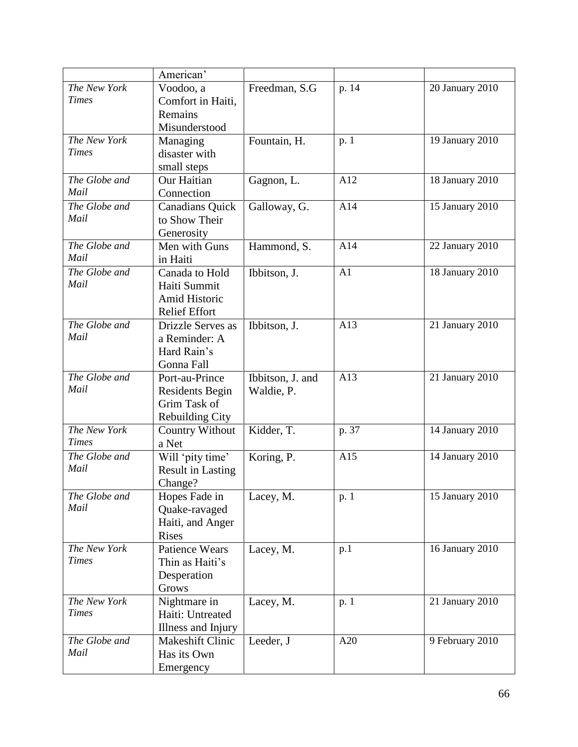|               | American'                |                  |       |                        |
|---------------|--------------------------|------------------|-------|------------------------|
| The New York  | Voodoo, a                | Freedman, S.G    | p. 14 | 20 January 2010        |
| <b>Times</b>  | Comfort in Haiti,        |                  |       |                        |
|               | Remains                  |                  |       |                        |
|               | Misunderstood            |                  |       |                        |
| The New York  | Managing                 | Fountain, H.     | p. 1  | 19 January 2010        |
| <b>Times</b>  | disaster with            |                  |       |                        |
|               | small steps              |                  |       |                        |
| The Globe and | Our Haitian              | Gagnon, L.       | A12   | 18 January 2010        |
| Mail          | Connection               |                  |       |                        |
| The Globe and | <b>Canadians Quick</b>   | Galloway, G.     | A14   | 15 January 2010        |
| Mail          | to Show Their            |                  |       |                        |
|               | Generosity               |                  |       |                        |
| The Globe and | Men with Guns            | Hammond, S.      | A14   | 22 January 2010        |
| Mail          | in Haiti                 |                  |       |                        |
| The Globe and | Canada to Hold           | Ibbitson, J.     | A1    | 18 January 2010        |
| Mail          | Haiti Summit             |                  |       |                        |
|               | Amid Historic            |                  |       |                        |
|               | <b>Relief Effort</b>     |                  |       |                        |
| The Globe and | <b>Drizzle Serves as</b> | Ibbitson, J.     | A13   | 21 January 2010        |
| Mail          | a Reminder: A            |                  |       |                        |
|               | Hard Rain's              |                  |       |                        |
|               | Gonna Fall               |                  |       |                        |
| The Globe and | Port-au-Prince           | Ibbitson, J. and | A13   | 21 January 2010        |
| Mail          | <b>Residents Begin</b>   | Waldie, P.       |       |                        |
|               | Grim Task of             |                  |       |                        |
|               | <b>Rebuilding City</b>   |                  |       |                        |
| The New York  | <b>Country Without</b>   | Kidder, T.       | p. 37 | 14 January 2010        |
| <b>Times</b>  | a Net                    |                  |       |                        |
| The Globe and | Will 'pity time'         | Koring, P.       | A15   | 14 January 2010        |
| Mail          | <b>Result in Lasting</b> |                  |       |                        |
|               | Change?                  |                  |       |                        |
| The Globe and | Hopes Fade in            | Lacey, M.        | p. 1  | <b>15 January 2010</b> |
| Mail          | Quake-ravaged            |                  |       |                        |
|               | Haiti, and Anger         |                  |       |                        |
|               | <b>Rises</b>             |                  |       |                        |
| The New York  | <b>Patience Wears</b>    | Lacey, M.        | p.1   | 16 January 2010        |
| <b>Times</b>  | Thin as Haiti's          |                  |       |                        |
|               | Desperation              |                  |       |                        |
|               | Grows                    |                  |       |                        |
| The New York  | Nightmare in             | Lacey, M.        | p. 1  | 21 January 2010        |
| <b>Times</b>  | Haiti: Untreated         |                  |       |                        |
|               | Illness and Injury       |                  |       |                        |
| The Globe and | Makeshift Clinic         | Leeder, J        | A20   | 9 February 2010        |
| Mail          | Has its Own              |                  |       |                        |
|               | Emergency                |                  |       |                        |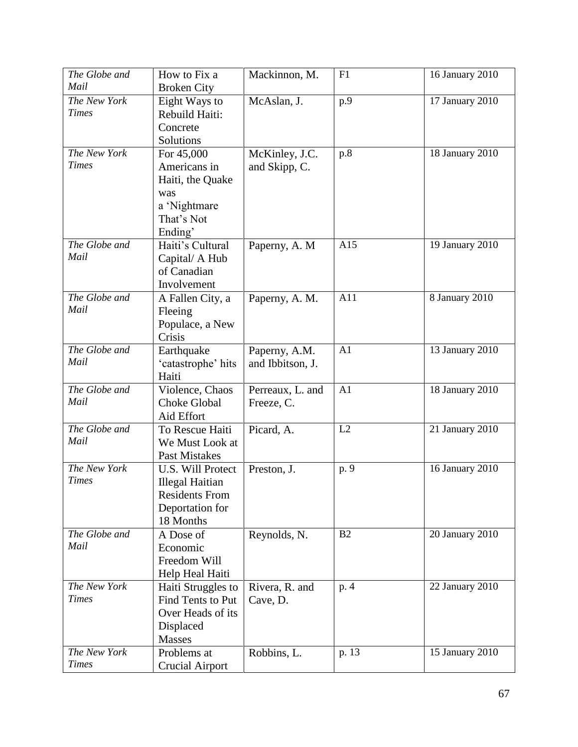| The Globe and         | How to Fix a                  | Mackinnon, M.    | F1             | 16 January 2010 |
|-----------------------|-------------------------------|------------------|----------------|-----------------|
| Mail                  | <b>Broken City</b>            |                  |                |                 |
| The New York          | Eight Ways to                 | McAslan, J.      | p.9            | 17 January 2010 |
| <b>Times</b>          | Rebuild Haiti:                |                  |                |                 |
|                       | Concrete                      |                  |                |                 |
|                       | Solutions                     |                  |                |                 |
| The New York          | For 45,000                    | McKinley, J.C.   | p.8            | 18 January 2010 |
| <b>Times</b>          | Americans in                  | and Skipp, C.    |                |                 |
|                       | Haiti, the Quake              |                  |                |                 |
|                       | was                           |                  |                |                 |
|                       | a 'Nightmare                  |                  |                |                 |
|                       | That's Not                    |                  |                |                 |
|                       | Ending'                       |                  |                |                 |
| The Globe and         | Haiti's Cultural              | Paperny, A. M.   | A15            | 19 January 2010 |
| Mail                  | Capital/ A Hub                |                  |                |                 |
|                       | of Canadian                   |                  |                |                 |
|                       | Involvement                   |                  |                |                 |
| The Globe and         | A Fallen City, a              | Paperny, A. M.   | A11            | 8 January 2010  |
| Mail                  | Fleeing                       |                  |                |                 |
|                       | Populace, a New               |                  |                |                 |
|                       | Crisis                        |                  |                |                 |
| The Globe and<br>Mail | Earthquake                    | Paperny, A.M.    | A <sub>1</sub> | 13 January 2010 |
|                       | 'catastrophe' hits            | and Ibbitson, J. |                |                 |
| The Globe and         | Haiti                         |                  |                |                 |
| Mail                  | Violence, Chaos               | Perreaux, L. and | A <sub>1</sub> | 18 January 2010 |
|                       | <b>Choke Global</b>           | Freeze, C.       |                |                 |
| The Globe and         | Aid Effort<br>To Rescue Haiti |                  | L2             |                 |
| Mail                  | We Must Look at               | Picard, A.       |                | 21 January 2010 |
|                       | <b>Past Mistakes</b>          |                  |                |                 |
| The New York          | <b>U.S. Will Protect</b>      | Preston, J.      | p. 9           | 16 January 2010 |
| <b>Times</b>          | <b>Illegal Haitian</b>        |                  |                |                 |
|                       | <b>Residents From</b>         |                  |                |                 |
|                       | Deportation for               |                  |                |                 |
|                       | 18 Months                     |                  |                |                 |
| The Globe and         | A Dose of                     | Reynolds, N.     | B <sub>2</sub> | 20 January 2010 |
| Mail                  | Economic                      |                  |                |                 |
|                       | Freedom Will                  |                  |                |                 |
|                       | Help Heal Haiti               |                  |                |                 |
| The New York          | Haiti Struggles to            | Rivera, R. and   | p. 4           | 22 January 2010 |
| <b>Times</b>          | Find Tents to Put             | Cave, D.         |                |                 |
|                       | Over Heads of its             |                  |                |                 |
|                       | Displaced                     |                  |                |                 |
|                       | Masses                        |                  |                |                 |
| The New York          | Problems at                   | Robbins, L.      | p. 13          | 15 January 2010 |
| <b>Times</b>          | <b>Crucial Airport</b>        |                  |                |                 |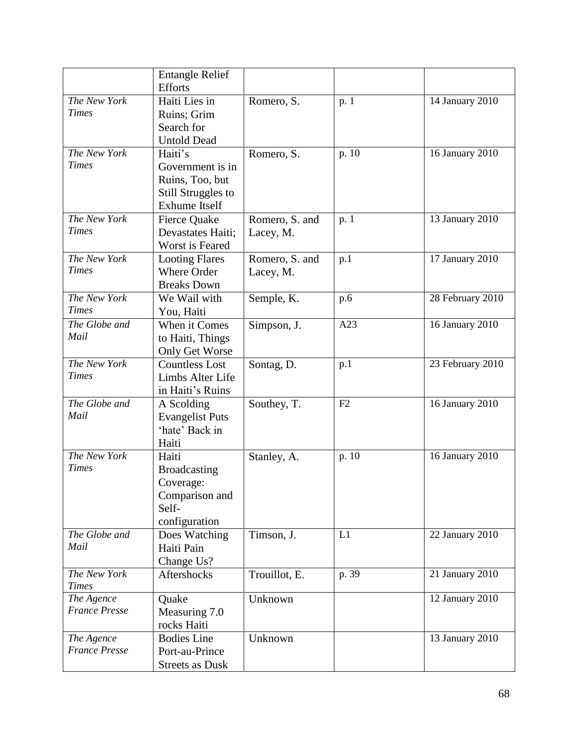|                      | <b>Entangle Relief</b> |                |       |                  |
|----------------------|------------------------|----------------|-------|------------------|
|                      | <b>Efforts</b>         |                |       |                  |
| The New York         | Haiti Lies in          | Romero, S.     | p. 1  | 14 January 2010  |
| <b>Times</b>         | Ruins; Grim            |                |       |                  |
|                      | Search for             |                |       |                  |
|                      | <b>Untold Dead</b>     |                |       |                  |
| The New York         | Haiti's                | Romero, S.     | p. 10 | 16 January 2010  |
| <b>Times</b>         | Government is in       |                |       |                  |
|                      | Ruins, Too, but        |                |       |                  |
|                      | Still Struggles to     |                |       |                  |
|                      | <b>Exhume Itself</b>   |                |       |                  |
| The New York         | <b>Fierce Quake</b>    | Romero, S. and | p. 1  | 13 January 2010  |
| <b>Times</b>         | Devastates Haiti;      | Lacey, M.      |       |                  |
|                      | Worst is Feared        |                |       |                  |
| The New York         | <b>Looting Flares</b>  | Romero, S. and | p.1   | 17 January 2010  |
| <b>Times</b>         | Where Order            | Lacey, M.      |       |                  |
|                      | <b>Breaks Down</b>     |                |       |                  |
| The New York         | We Wail with           | Semple, K.     | p.6   | 28 February 2010 |
| <b>Times</b>         | You, Haiti             |                |       |                  |
| The Globe and        | When it Comes          | Simpson, J.    | A23   | 16 January 2010  |
| Mail                 | to Haiti, Things       |                |       |                  |
|                      | Only Get Worse         |                |       |                  |
| The New York         | <b>Countless Lost</b>  | Sontag, D.     | p.1   | 23 February 2010 |
| <b>Times</b>         | Limbs Alter Life       |                |       |                  |
|                      | in Haiti's Ruins       |                |       |                  |
| The Globe and        | A Scolding             | Southey, T.    | F2    | 16 January 2010  |
| Mail                 | <b>Evangelist Puts</b> |                |       |                  |
|                      | 'hate' Back in         |                |       |                  |
|                      | Haiti                  |                |       |                  |
| The New York         | Haiti                  | Stanley, A.    | p. 10 | 16 January 2010  |
| <b>Times</b>         | <b>Broadcasting</b>    |                |       |                  |
|                      | Coverage:              |                |       |                  |
|                      | Comparison and         |                |       |                  |
|                      | Self-                  |                |       |                  |
|                      | configuration          |                |       |                  |
| The Globe and        | Does Watching          | Timson, J.     | L1    | 22 January 2010  |
| Mail                 | Haiti Pain             |                |       |                  |
|                      | Change Us?             |                |       |                  |
| The New York         | <b>Aftershocks</b>     | Trouillot, E.  | p. 39 | 21 January 2010  |
| <b>Times</b>         |                        |                |       |                  |
| The Agence           | Quake                  | Unknown        |       | 12 January 2010  |
| <b>France Presse</b> | Measuring 7.0          |                |       |                  |
|                      | rocks Haiti            |                |       |                  |
| The Agence           | <b>Bodies</b> Line     | Unknown        |       | 13 January 2010  |
| <b>France Presse</b> | Port-au-Prince         |                |       |                  |
|                      | <b>Streets as Dusk</b> |                |       |                  |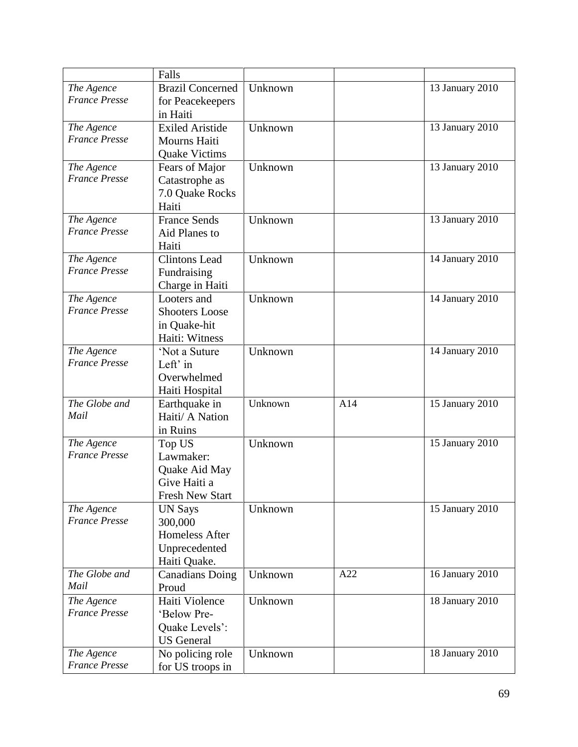|                      | Falls                   |         |     |                 |
|----------------------|-------------------------|---------|-----|-----------------|
| The Agence           | <b>Brazil Concerned</b> | Unknown |     | 13 January 2010 |
| <b>France Presse</b> | for Peacekeepers        |         |     |                 |
|                      | in Haiti                |         |     |                 |
| The Agence           | <b>Exiled Aristide</b>  | Unknown |     | 13 January 2010 |
| <b>France Presse</b> | Mourns Haiti            |         |     |                 |
|                      | <b>Quake Victims</b>    |         |     |                 |
| The Agence           | Fears of Major          | Unknown |     | 13 January 2010 |
| <b>France Presse</b> | Catastrophe as          |         |     |                 |
|                      | 7.0 Quake Rocks         |         |     |                 |
|                      | Haiti                   |         |     |                 |
| The Agence           | <b>France Sends</b>     | Unknown |     | 13 January 2010 |
| <b>France Presse</b> | Aid Planes to           |         |     |                 |
|                      | Haiti                   |         |     |                 |
| The Agence           | <b>Clintons Lead</b>    | Unknown |     | 14 January 2010 |
| <b>France Presse</b> | Fundraising             |         |     |                 |
|                      | Charge in Haiti         |         |     |                 |
| The Agence           | Looters and             | Unknown |     | 14 January 2010 |
| <b>France Presse</b> | <b>Shooters Loose</b>   |         |     |                 |
|                      | in Quake-hit            |         |     |                 |
|                      | Haiti: Witness          |         |     |                 |
| The Agence           | 'Not a Suture           | Unknown |     | 14 January 2010 |
| <b>France Presse</b> | Left' in                |         |     |                 |
|                      | Overwhelmed             |         |     |                 |
|                      | Haiti Hospital          |         |     |                 |
| The Globe and        | Earthquake in           | Unknown | A14 | 15 January 2010 |
| Mail                 | Haiti/ A Nation         |         |     |                 |
|                      | in Ruins                |         |     |                 |
| The Agence           | Top US                  | Unknown |     | 15 January 2010 |
| <b>France Presse</b> | Lawmaker:               |         |     |                 |
|                      | Quake Aid May           |         |     |                 |
|                      | Give Haiti a            |         |     |                 |
|                      | <b>Fresh New Start</b>  |         |     |                 |
| The Agence           | <b>UN Says</b>          | Unknown |     | 15 January 2010 |
| <b>France Presse</b> | 300,000                 |         |     |                 |
|                      | Homeless After          |         |     |                 |
|                      | Unprecedented           |         |     |                 |
|                      | Haiti Quake.            |         |     |                 |
| The Globe and        | <b>Canadians Doing</b>  | Unknown | A22 | 16 January 2010 |
| Mail                 | Proud                   |         |     |                 |
| The Agence           | Haiti Violence          | Unknown |     | 18 January 2010 |
| <b>France Presse</b> | 'Below Pre-             |         |     |                 |
|                      | Quake Levels':          |         |     |                 |
|                      | <b>US</b> General       |         |     |                 |
| The Agence           | No policing role        | Unknown |     | 18 January 2010 |
| <b>France Presse</b> | for US troops in        |         |     |                 |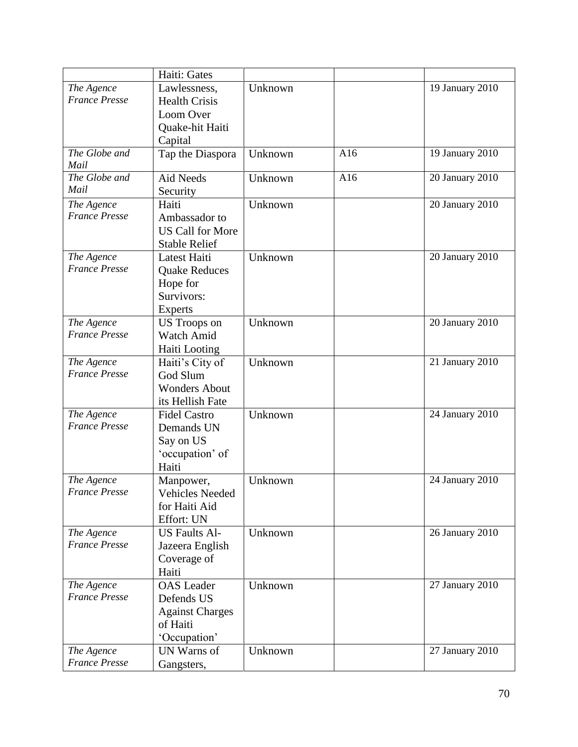|                       | Haiti: Gates            |         |     |                 |
|-----------------------|-------------------------|---------|-----|-----------------|
| The Agence            | Lawlessness,            | Unknown |     | 19 January 2010 |
| <b>France Presse</b>  | <b>Health Crisis</b>    |         |     |                 |
|                       | Loom Over               |         |     |                 |
|                       | Quake-hit Haiti         |         |     |                 |
|                       | Capital                 |         |     |                 |
| The Globe and<br>Mail | Tap the Diaspora        | Unknown | A16 | 19 January 2010 |
| The Globe and         | <b>Aid Needs</b>        | Unknown | A16 | 20 January 2010 |
| Mail                  | Security                |         |     |                 |
| The Agence            | Haiti                   | Unknown |     | 20 January 2010 |
| <b>France Presse</b>  | Ambassador to           |         |     |                 |
|                       | <b>US Call for More</b> |         |     |                 |
|                       | <b>Stable Relief</b>    |         |     |                 |
| The Agence            | Latest Haiti            | Unknown |     | 20 January 2010 |
| <b>France Presse</b>  | <b>Quake Reduces</b>    |         |     |                 |
|                       | Hope for                |         |     |                 |
|                       | Survivors:              |         |     |                 |
|                       | <b>Experts</b>          |         |     |                 |
| The Agence            | <b>US</b> Troops on     | Unknown |     | 20 January 2010 |
| <b>France Presse</b>  | Watch Amid              |         |     |                 |
|                       | Haiti Looting           |         |     |                 |
| The Agence            | Haiti's City of         | Unknown |     | 21 January 2010 |
| <b>France Presse</b>  | God Slum                |         |     |                 |
|                       | <b>Wonders About</b>    |         |     |                 |
|                       | its Hellish Fate        |         |     |                 |
| The Agence            | <b>Fidel Castro</b>     | Unknown |     | 24 January 2010 |
| <b>France Presse</b>  | Demands UN              |         |     |                 |
|                       | Say on US               |         |     |                 |
|                       | 'occupation' of         |         |     |                 |
|                       | Haiti                   |         |     |                 |
| The Agence            | Manpower,               | Unknown |     | 24 January 2010 |
| <b>France Presse</b>  | <b>Vehicles Needed</b>  |         |     |                 |
|                       | for Haiti Aid           |         |     |                 |
|                       | Effort: UN              |         |     |                 |
| The Agence            | <b>US Faults Al-</b>    | Unknown |     | 26 January 2010 |
| <b>France Presse</b>  | Jazeera English         |         |     |                 |
|                       | Coverage of             |         |     |                 |
|                       | Haiti                   |         |     |                 |
| The Agence            | <b>OAS</b> Leader       | Unknown |     | 27 January 2010 |
| <b>France Presse</b>  | Defends US              |         |     |                 |
|                       | <b>Against Charges</b>  |         |     |                 |
|                       | of Haiti                |         |     |                 |
|                       | 'Occupation'            |         |     |                 |
| The Agence            | UN Warns of             | Unknown |     | 27 January 2010 |
| <b>France Presse</b>  | Gangsters,              |         |     |                 |